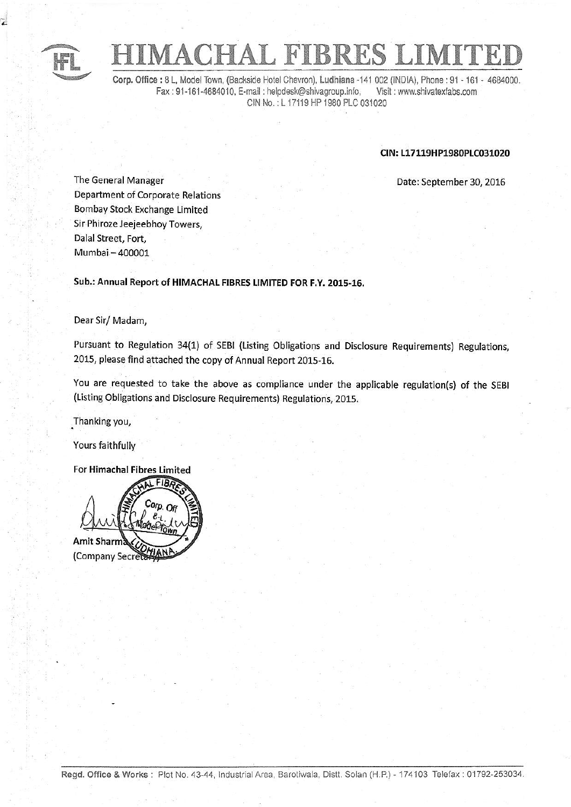

,

# **TACHAL FIBRES I**

Corp. Office : 8 L, Model Town, (Backside Hotel Chevron), Ludhiana -141 002 (INDIA), Phone : 91 - 161 - 4684000.<br>Fax : 91-161-4684010, E-mail : helpdesk@shivagroup.info, Visit : www.shivatexfabs.com Fax : 91-161-4684010, E-mail : helpdesk@shivagroup.info, CIN No. : L 17119 HP 1980 PLC 031020

# CIN: 117119HP1980P1C031020

Date: September 30, 2016

**The General Manager** Department of Corporate Relations Bombay Stock Fxchange Limited Sir Phiroze Jeejeebhoy Towers, Dalal Street, Fort, Mumbai- 4OOOO1

# Sub.: Annual Report of HIMACHAL FIBRES LIMITED FOR F.Y. 2015-16.

# Dear Sir/ Madam,

Pursuant to Regulation 34(1) of SEBI (Listing Obligations and Disclosure Requirements) Regulations 2015, please find attached the copy of Annual Report 2015-16.

You are requested to take the above as compliance under the applicable regulation(s) of the SEBI (Listing Obligations and Disclosure Requirements) Regulations, 2015.

.Thanking you,

Yours faithfully

For Himachal Fibres Limited

FIBE Amit Sha(Company Secret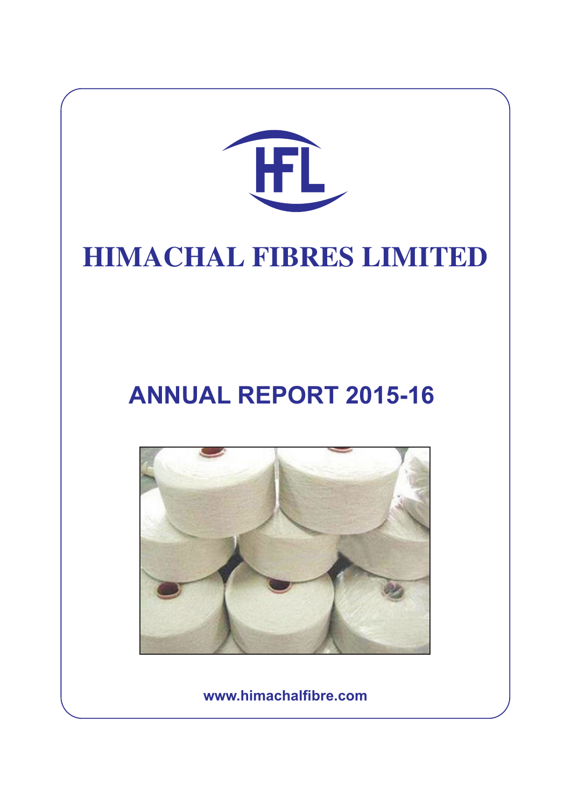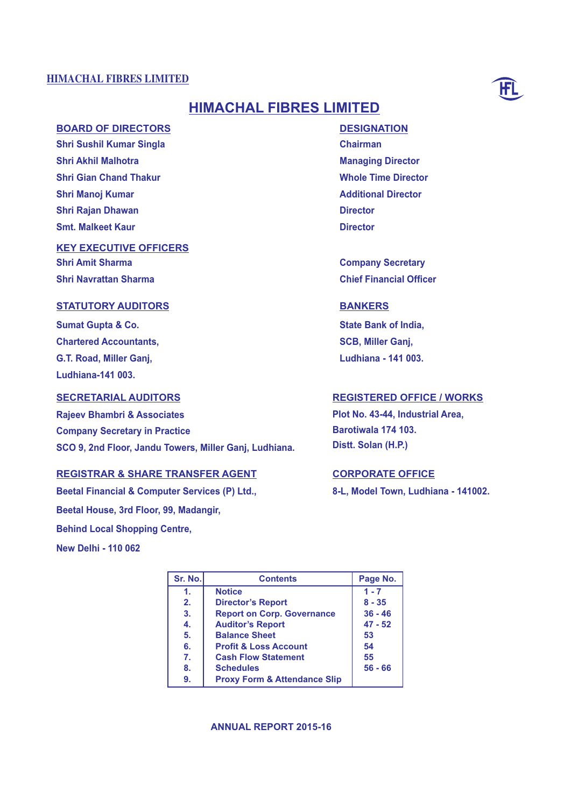

# **HIMACHAL FIBRES LIMITED**

# **BOARD OF DIRECTORS**

**Shri Sushil Kumar Singla Shri Akhil Malhotra Shri Gian Chand Thakur Shri Manoj Kumar Shri Rajan Dhawan Smt. Malkeet Kaur**

# **KEY EXECUTIVE OFFICERS**

**Shri Amit Sharma Shri Navrattan Sharma**

# **STATUTORY AUDITORS**

**Sumat Gupta & Co. Chartered Accountants, G.T. Road, Miller Ganj, Ludhiana-141 003.**

# **SECRETARIAL AUDITORS**

**Rajeev Bhambri & Associates Company Secretary in Practice SCO 9, 2nd Floor, Jandu Towers, Miller Ganj, Ludhiana.**

# **REGISTRAR & SHARE TRANSFER AGENT**

**Beetal Financial & Computer Services (P) Ltd., Beetal House, 3rd Floor, 99, Madangir, Behind Local Shopping Centre, New Delhi - 110 062**

**DESIGNATION Chairman Managing Director Whole Time Director Additional Director Director Director**

**Company Secretary Chief Financial Officer**

# **BANKERS**

**State Bank of India, SCB, Miller Ganj, Ludhiana - 141 003.**

# **REGISTERED OFFICE / WORKS**

**Plot No. 43-44, Industrial Area, Barotiwala 174 103. Distt. Solan (H.P.)**

# **CORPORATE OFFICE**

**8-L, Model Town, Ludhiana - 141002.**

| Sr. No. | <b>Contents</b>                         | Page No.  |
|---------|-----------------------------------------|-----------|
| 1.      | <b>Notice</b>                           | $1 - 7$   |
| 2.      | <b>Director's Report</b>                | $8 - 35$  |
| 3.      | <b>Report on Corp. Governance</b>       | $36 - 46$ |
| 4.      | <b>Auditor's Report</b>                 | $47 - 52$ |
| 5.      | <b>Balance Sheet</b>                    | 53        |
| 6.      | <b>Profit &amp; Loss Account</b>        | 54        |
| 7.      | <b>Cash Flow Statement</b>              | 55        |
| 8.      | <b>Schedules</b>                        | $56 - 66$ |
| 9.      | <b>Proxy Form &amp; Attendance Slip</b> |           |

### **ANNUAL REPORT 2015-16**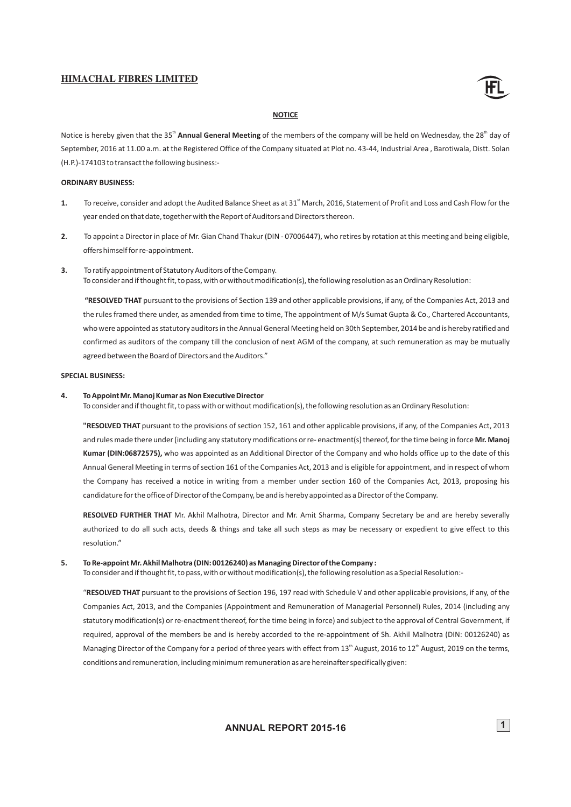

#### **NOTICE**

Notice is hereby given that the 35<sup>th</sup> Annual General Meeting of the members of the company will be held on Wednesday, the 28<sup>th</sup> day of September, 2016 at 11.00 a.m. at the Registered Office of the Company situated at Plot no. 43-44, Industrial Area , Barotiwala, Distt. Solan (H.P.)-174103 to transact the following business:-

#### **ORDINARY BUSINESS:**

- 1. To receive, consider and adopt the Audited Balance Sheet as at 31<sup>st</sup> March, 2016, Statement of Profit and Loss and Cash Flow for the year ended on that date, together with the Report of Auditors and Directors thereon.
- **2.** To appoint a Director in place of Mr. Gian Chand Thakur (DIN 07006447), who retires by rotation at this meeting and being eligible, offers himself for re-appointment.
- **3.** To ratify appointment of Statutory Auditors of the Company. To consider and if thought fit, to pass, with or without modification(s), the following resolution as an Ordinary Resolution:

**"RESOLVED THAT** pursuant to the provisions of Section 139 and other applicable provisions, if any, of the Companies Act, 2013 and the rules framed there under, as amended from time to time, The appointment of M/s Sumat Gupta & Co., Chartered Accountants, who were appointed as statutory auditors in the Annual General Meeting held on 30th September, 2014 be and is hereby ratified and confirmed as auditors of the company till the conclusion of next AGM of the company, at such remuneration as may be mutually agreed between the Board of Directors and the Auditors."

#### **SPECIAL BUSINESS:**

#### **4. To Appoint Mr. Manoj Kumar as Non Executive Director**

To consider and if thought fit, to pass with or without modification(s), the following resolution as an Ordinary Resolution:

**"RESOLVED THAT** pursuant to the provisions of section 152, 161 and other applicable provisions, if any, of the Companies Act, 2013 and rules made there under (including any statutory modifications or re- enactment(s) thereof, for the time being in force **Mr. Manoj Kumar (DIN:06872575),** who was appointed as an Additional Director of the Company and who holds office up to the date of this Annual General Meeting in terms of section 161 of the Companies Act, 2013 and is eligible for appointment, and in respect of whom the Company has received a notice in writing from a member under section 160 of the Companies Act, 2013, proposing his candidature for the office of Director of the Company, be and is hereby appointed as a Director of the Company.

**RESOLVED FURTHER THAT** Mr. Akhil Malhotra, Director and Mr. Amit Sharma, Company Secretary be and are hereby severally authorized to do all such acts, deeds & things and take all such steps as may be necessary or expedient to give effect to this resolution."

#### **5. To Re-appointMr. Akhil Malhotra (DIN: 00126240) as Managing Director of the Company :**

To consider and if thought fit, to pass, with or without modification(s), the following resolution as a Special Resolution:-

"**RESOLVED THAT** pursuant to the provisions of Section 196, 197 read with Schedule V and other applicable provisions, if any, of the Companies Act, 2013, and the Companies (Appointment and Remuneration of Managerial Personnel) Rules, 2014 (including any required, approval of the members be and is hereby accorded to the re-appointment of Sh. Akhil Malhotra (DIN: 00126240) as Managing Director of the Company for a period of three years with effect from 13<sup>th</sup> August, 2016 to 12<sup>th</sup> August, 2019 on the terms, conditions and remuneration, including minimum remuneration as are hereinafter specifically given: statutory modification(s) or re-enactment thereof, for the time being in force) and subject to the approval of Central Government, if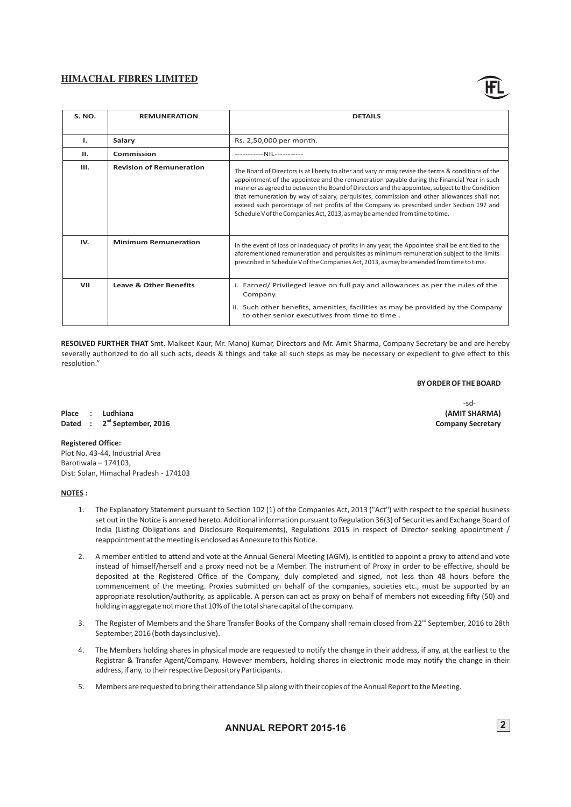| The Board of Directors is at liberty to alter and vary or may revise the terms & conditions of the<br>appointment of the appointee and the remuneration payable during the Financial Year in such<br>manner as agreed to between the Board of Directors and the appointee, subject to the Condition<br>that remuneration by way of salary, perquisites, commission and other allowances shall not<br>exceed such percentage of net profits of the Company as prescribed under Section 197 and<br>Schedule V of the Companies Act, 2013, as may be amended from time to time. |
|------------------------------------------------------------------------------------------------------------------------------------------------------------------------------------------------------------------------------------------------------------------------------------------------------------------------------------------------------------------------------------------------------------------------------------------------------------------------------------------------------------------------------------------------------------------------------|
| In the event of loss or inadequacy of profits in any year, the Appointee shall be entitled to the<br>aforementioned remuneration and perquisites as minimum remuneration subject to the limits<br>prescribed in Schedule V of the Companies Act, 2013, as may be amended from time to time.                                                                                                                                                                                                                                                                                  |
| i. Earned/Privileged leave on full pay and allowances as per the rules of the<br>ii. Such other benefits, amenities, facilities as may be provided by the Company<br>to other senior executives from time to time.                                                                                                                                                                                                                                                                                                                                                           |
|                                                                                                                                                                                                                                                                                                                                                                                                                                                                                                                                                                              |

**RESOLVED FURTHER THAT** Smt. Malkeet Kaur, Mr. Manoj Kumar, Directors and Mr. Amit Sharma, Company Secretary be and are hereby severally authorized to do all such acts, deeds & things and take all such steps as may be necessary or expedient to give effect to this resolution."

 $-sd-$ 

#### **BY ORDER OF THE BOARD**

**Place : Ludhiana (AMIT SHARMA) Dated :**  $2^{nd}$  September, 2016 **Company Secretary** 

**Registered Office:** Plot No. 43-44, Industrial Area

Barotiwala – 174103, Dist: Solan, Himachal Pradesh - 174103

### **NOTES :**

- 1. The Explanatory Statement pursuant to Section 102 (1) of the Companies Act, 2013 ("Act") with respect to the special business set out in the Notice is annexed hereto. Additional information pursuant to Regulation 36(3) of Securities and Exchange Board of India (Listing Obligations and Disclosure Requirements), Regulations 2015 in respect of Director seeking appointment / reappointment at the meeting is enclosed as Annexure to this Notice.
- 2. A member entitled to attend and vote at the Annual General Meeting (AGM), is entitled to appoint a proxy to attend and vote instead of himself/herself and a proxy need not be a Member. The instrument of Proxy in order to be effective, should be deposited at the Registered Office of the Company, duly completed and signed, not less than 48 hours before the commencement of the meeting. Proxies submitted on behalf of the companies, societies etc., must be supported by an appropriate resolution/authority, as applicable. A person can act as proxy on behalf of members not exceeding fifty (50) and holding in aggregate not more that 10% of the total share capital of the company.
- 3. The Register of Members and the Share Transfer Books of the Company shall remain closed from 22<sup>nd</sup> September, 2016 to 28th September, 2016 (both days inclusive).
- 4. The Members holding shares in physical mode are requested to notify the change in their address, if any, at the earliest to the Registrar & Transfer Agent/Company. However members, holding shares in electronic mode may notify the change in their address, if any, to their respective Depository Participants.
- 5. Members are requested to bring their attendance Slip along with their copies of the Annual Report to the Meeting.

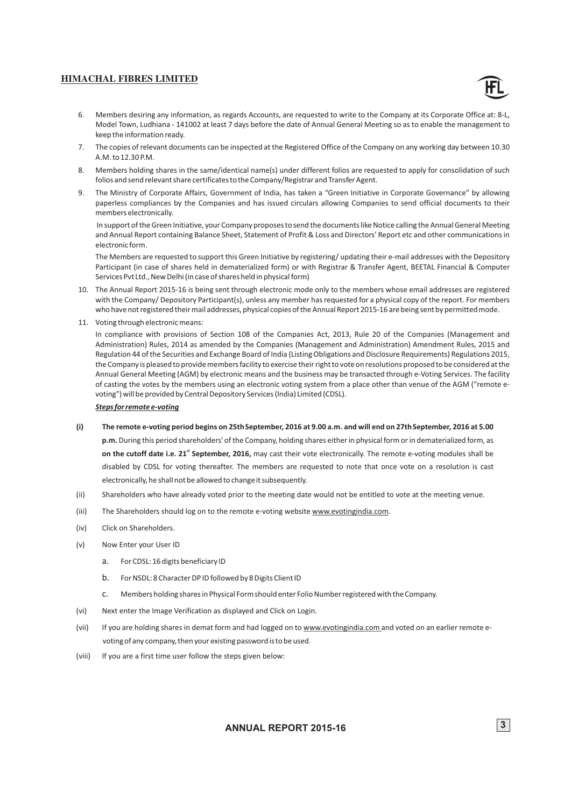

- 6. Members desiring any information, as regards Accounts, are requested to write to the Company at its Corporate Office at: 8-L, Model Town, Ludhiana - 141002 at least 7 days before the date of Annual General Meeting so as to enable the management to keep the information ready.
- 7. The copies of relevant documents can be inspected at the Registered Office of the Company on any working day between 10.30 A.M. to 12.30 P.M.
- 8. Members holding shares in the same/identical name(s) under different folios are requested to apply for consolidation of such folios and send relevant share certificates to the Company/Registrar and Transfer Agent.
- 9. The Ministry of Corporate Affairs, Government of India, has taken a "Green Initiative in Corporate Governance" by allowing paperless compliances by the Companies and has issued circulars allowing Companies to send official documents to their members electronically.

In support of the Green Initiative, your Company proposes to send the documents like Notice calling the Annual General Meeting and Annual Report containing Balance Sheet, Statement of Profit & Loss and Directors' Report etc and other communications in electronic form.

The Members are requested to support this Green Initiative by registering/ updating their e-mail addresses with the Depository Participant (in case of shares held in dematerialized form) or with Registrar & Transfer Agent, BEETAL Financial & Computer Services Pvt Ltd., New Delhi (in case of shares held in physical form)

- 10. The Annual Report 2015-16 is being sent through electronic mode only to the members whose email addresses are registered with the Company/ Depository Participant(s), unless any member has requested for a physical copy of the report. For members who have not registered their mail addresses, physical copies of the Annual Report 2015-16 are being sent by permitted mode.
- 11. Voting through electronic means:

In compliance with provisions of Section 108 of the Companies Act, 2013, Rule 20 of the Companies (Management and Administration) Rules, 2014 as amended by the Companies (Management and Administration) Amendment Rules, 2015 and Regulation 44 of the Securities and Exchange Board of India (Listing Obligations and Disclosure Requirements) Regulations 2015, the Company is pleased to provide members facility to exercise their right to vote on resolutions proposed to be considered at the Annual General Meeting (AGM) by electronic means and the business may be transacted through e-Voting Services. The facility of casting the votes by the members using an electronic voting system from a place other than venue of the AGM ("remote evoting") will be provided by Central Depository Services (India) Limited (CDSL).

#### *Steps for remote e-voting*

- **(i) The remote e-voting period begins on 25thSeptember, 2016 at 9.00 a.m. and will end on 27thSeptember, 2016 at 5.00 p.m.** During this period shareholders' of the Company, holding shares either in physical form or in dematerialized form, as on the cutoff date i.e. 21<sup>\*</sup> September, 2016, may cast their vote electronically. The remote e-voting modules shall be disabled by CDSL for voting thereafter. The members are requested to note that once vote on a resolution is cast electronically, he shall not be allowed to change it subsequently.
- (ii) Shareholders who have already voted prior to the meeting date would not be entitled to vote at the meeting venue.
- (iii) The Shareholders should log on to the remote e-voting website www.evotingindia.com.
- (iv) Click on Shareholders.
- (v) Now Enter your User ID
	- a. For CDSL: 16 digits beneficiary ID
	- b. For NSDL: 8 Character DP ID followed by 8 Digits Client ID
	- c. Members holding shares in Physical Form should enter Folio Number registered with the Company.
- (vi) Next enter the Image Verification as displayed and Click on Login.
- (vii) If you are holding shares in demat form and had logged on to www.evotingindia.com and voted on an earlier remote evoting of any company, then your existing password is to be used.
- (viii) If you are a first time user follow the steps given below: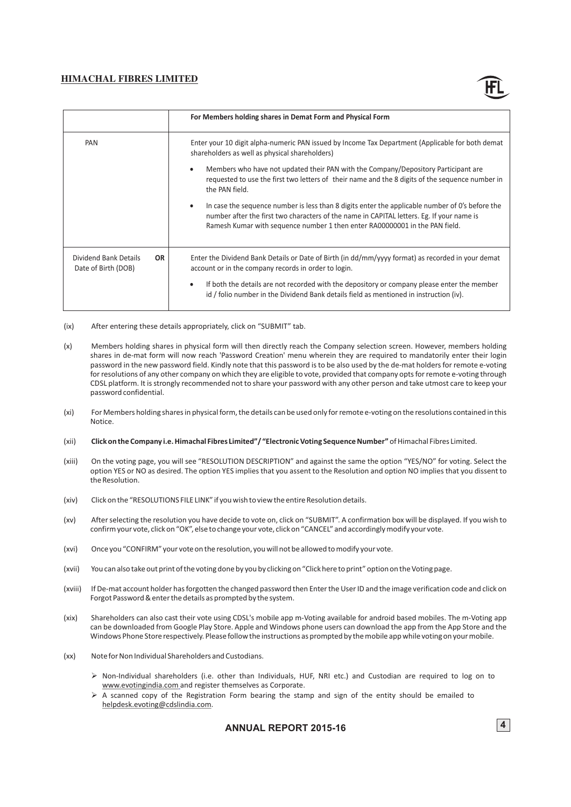

|                                              |           | For Members holding shares in Demat Form and Physical Form                                                                                                                                                                                                                               |
|----------------------------------------------|-----------|------------------------------------------------------------------------------------------------------------------------------------------------------------------------------------------------------------------------------------------------------------------------------------------|
| PAN                                          |           | Enter your 10 digit alpha-numeric PAN issued by Income Tax Department (Applicable for both demat<br>shareholders as well as physical shareholders)                                                                                                                                       |
|                                              |           | Members who have not updated their PAN with the Company/Depository Participant are<br>$\bullet$<br>requested to use the first two letters of their name and the 8 digits of the sequence number in<br>the PAN field.                                                                     |
|                                              |           | In case the sequence number is less than 8 digits enter the applicable number of 0's before the<br>$\bullet$<br>number after the first two characters of the name in CAPITAL letters. Eg. If your name is<br>Ramesh Kumar with sequence number 1 then enter RA00000001 in the PAN field. |
| Dividend Bank Details<br>Date of Birth (DOB) | <b>OR</b> | Enter the Dividend Bank Details or Date of Birth (in dd/mm/yyyy format) as recorded in your demat<br>account or in the company records in order to login.                                                                                                                                |
|                                              |           | If both the details are not recorded with the depository or company please enter the member<br>$\bullet$<br>id / folio number in the Dividend Bank details field as mentioned in instruction (iv).                                                                                       |

- (ix) After entering these details appropriately, click on "SUBMIT" tab.
- (x) Members holding shares in physical form will then directly reach the Company selection screen. However, members holding shares in de-mat form will now reach 'Password Creation' menu wherein they are required to mandatorily enter their login password in the new password field. Kindly note that this password is to be also used by the de-mat holders for remote e-voting for resolutions of any other company on which they are eligible to vote, provided that company opts for remote e-voting through CDSL platform. It is strongly recommended not to share your password with any other person and take utmost care to keep your password confidential.
- (xi) For Members holding shares in physical form, the details can be used only for remote e-voting on the resolutions contained in this Notice.
- (xii) **Click on the Company i.e. Himachal Fibres Limited"/ "Electronic Voting Sequence Number"** of Himachal Fibres Limited.
- (xiii) On the voting page, you will see "RESOLUTION DESCRIPTION" and against the same the option "YES/NO" for voting. Select the option YES or NO as desired. The option YES implies that you assent to the Resolution and option NO implies that you dissent to the Resolution.
- (xiv) Click on the "RESOLUTIONS FILE LINK" if you wish to view the entire Resolution details.
- (xv) After selecting the resolution you have decide to vote on, click on "SUBMIT". A confirmation box will be displayed. If you wish to confirm your vote, click on "OK", else to change your vote, click on "CANCEL" and accordingly modify your vote.
- (xvi) Once you "CONFIRM" your vote on the resolution, you will not be allowed to modify your vote.
- (xvii) You can also take out print of the voting done by you by clicking on "Click here to print" option on the Voting page.
- (xviii) If De-mat account holder has forgotten the changed password then Enter the User ID and the image verification code and click on Forgot Password & enter the details as prompted by the system.
- (xix) Shareholders can also cast their vote using CDSL's mobile app m-Voting available for android based mobiles. The m-Voting app can be downloaded from Google Play Store. Apple and Windows phone users can download the app from the App Store and the Windows Phone Store respectively. Please follow the instructions as prompted by the mobile app while voting on your mobile.
- (xx) Note for Non Individual Shareholders and Custodians.
	- $\triangleright$  Non-Individual shareholders (i.e. other than Individuals, HUF, NRI etc.) and Custodian are required to log on to www.evotingindia.com and register themselves as Corporate.
	- www.evotingindia.co[m](http://www.evotingindia.com/) and register themselves as Corporate.<br>  $\triangleright$  A scanned copy of the Registration Form bearing the stamp and sign of the entity should be emailed to helpdesk.evoting@cdslindia.com.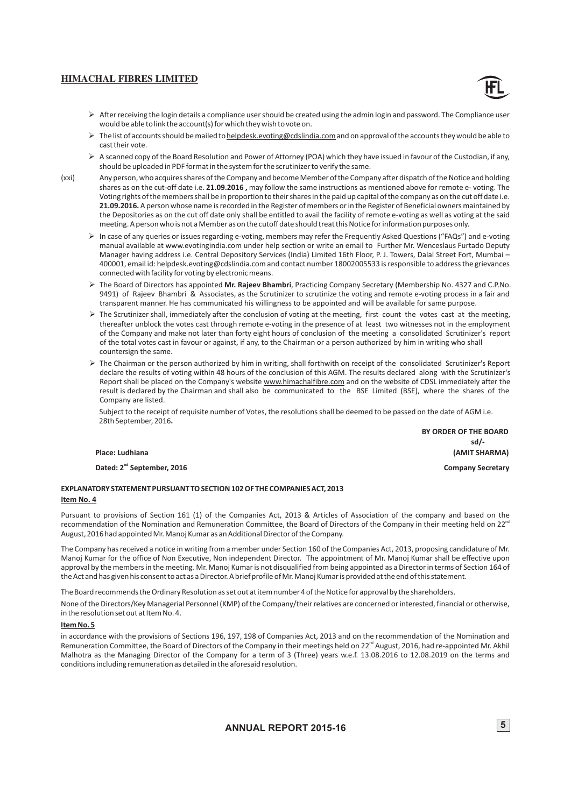![](_page_7_Picture_1.jpeg)

- $\triangleright$  After receiving the login details a compliance user should be created using the admin login and password. The Compliance user would be able to link the account(s) for which they wish to vote on.
- ▶ The list of accounts should be mailed to helpdesk.evoting@cdslindia.com and on approval of the accounts they would be able to
- Øcast their vote. A scanned copy of the Board Resolution and Power of Attorney (POA) which they have issued in favour of the Custodian, if any, should be uploaded in PDF format in the system for the scrutinizer to verify the same.
- (xxi) Any person, who acquires shares of the Company and become Member of the Company after dispatch of the Notice and holding shares as on the cut-off date i.e. **21.09.2016 ,** may follow the same instructions as mentioned above for remote e- voting. The Voting rights of the members shall be in proportion to their shares in the paid up capital of the company as on the cut off date i.e. **21.09.2016.** A person whose name is recorded in the Register of members or in the Register of Beneficial owners maintained by the Depositories as on the cut off date only shall be entitled to avail the facility of remote e-voting as well as voting at the said meeting. A person who is not a Member as on the cutoff date should treat this Notice for information purposes only.
	- Ø In case of any queries or issues regarding e-voting, members may refer the Frequently Asked Questions ("FAQs") and e-voting manual available at www.evotingindia.com under help section or write an email to Further Mr. Wenceslaus Furtado Deputy Manager having address i.e. Central Depository Services (India) Limited 16th Floor, P. J. Towers, Dalal Street Fort, Mumbai – 400001, email id: helpdesk.evoting@cdslindia.com and contact number 18002005533 is responsible to address the grievances connected with facility for voting by electronic means.
	- Ø The Board of Directors has appointed **Mr. Rajeev Bhambri**, Practicing Company Secretary (Membership No. 4327 and C.P.No. 9491) of Rajeev Bhambri & Associates, as the Scrutinizer to scrutinize the voting and remote e-voting process in a fair and transparent manner. He has communicated his willingness to be appointed and will be available for same purpose.
	- $\triangleright$  The Scrutinizer shall, immediately after the conclusion of voting at the meeting, first count the votes cast at the meeting, thereafter unblock the votes cast through remote e-voting in the presence of at least two witnesses not in the employment of the Company and make not later than forty eight hours of conclusion of the meeting a consolidated Scrutinizer's report of the total votes cast in favour or against, if any, to the Chairman or a person authorized by him in writing who shall countersign the same.
	- Ø The Chairman or the person authorized by him in writing, shall forthwith on receipt of the consolidated Scrutinizer's Report declare the results of voting within 48 hours of the conclusion of this AGM. The results declared along with the Scrutinizer's Report shall be placed on the Company's website www.himachalfibre.com and on the website of CDSL immediately after the result is declared by the Chairman and shall also be communicated to the BSE Limited (BSE), where the shares of the Company are listed.

Subject to the receipt of requisite number of Votes, the resolutions shall be deemed to be passed on the date of AGM i.e. 28th September, 2016**.**

 **BY ORDER OF THE BOARD** *sd/-* sd/-**Place: Ludhiana (AMIT SHARMA)**

**Dated: 2<sup>nd</sup> September, 2016 Company Secretary Company Secretary** 

#### **EXPLANATORY STATEMENT PURSUANT TO SECTION 102 OF THE COMPANIES ACT, 2013 Item No. 4**

Pursuant to provisions of Section 161 (1) of the Companies Act, 2013 & Articles of Association of the company and based on the recommendation of the Nomination and Remuneration Committee, the Board of Directors of the Company in their meeting held on 22<sup>ne</sup> August, 2016 had appointed Mr. Manoj Kumar as an Additional Director of the Company.

The Company has received a notice in writing from a member under Section 160 of the Companies Act, 2013, proposing candidature of Mr. Manoj Kumar for the office of Non Executive, Non independent Director. The appointment of Mr. Manoj Kumar shall be effective upon approval by the members in the meeting. Mr. Manoj Kumar is not disqualified from being appointed as a Director in terms of Section 164 of the Act and has given his consent to act as a Director. A brief profile of Mr. Manoj Kumar is provided at the end of this statement.

The Board recommends the Ordinary Resolution as set out at itemnumber 4 of the Notice for approval by the shareholders.

None of the Directors/Key Managerial Personnel (KMP) of the Company/their relatives are concerned or interested, financial or otherwise, in the resolution set out at Item No. 4.

#### **Item No. 5**

in accordance with the provisions of Sections 196, 197, 198 of Companies Act, 2013 and on the recommendation of the Nomination and Remuneration Committee, the Board of Directors of the Company in their meetings held on 22<sup>nd</sup> August, 2016, had re-appointed Mr. Akhil Malhotra as the Managing Director of the Company for a term of 3 (Three) years w.e.f. 13.08.2016 to 12.08.2019 on the terms and conditions including remuneration as detailed in the aforesaid resolution.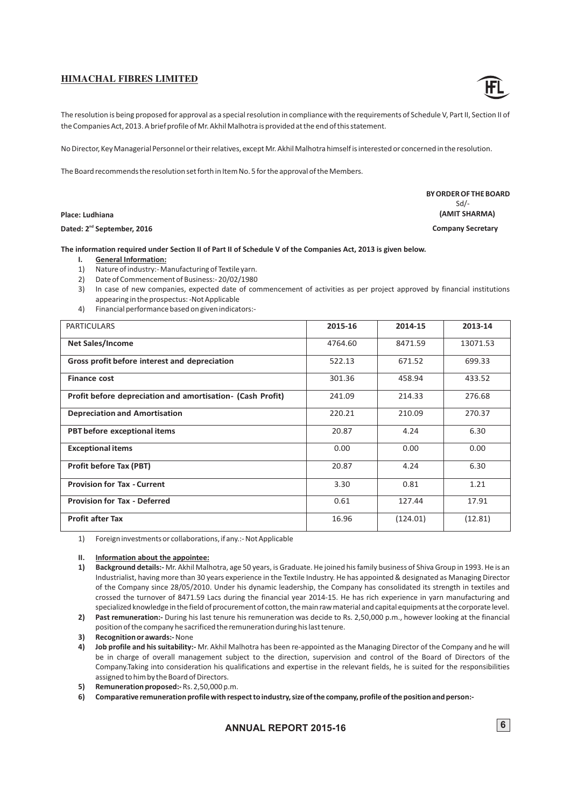The resolution is being proposed for approval as a special resolution in compliance with the requirements of Schedule V, Part II, Section II of the Companies Act, 2013. A brief profile of Mr. Akhil Malhotra is provided at the end of this statement.

No Director, Key Managerial Personnel or their relatives, except Mr. Akhil Malhotra himself is interested or concerned in the resolution.

The Board recommends the resolution set forth in Item No. 5 for the approval of the Members.

#### **Place: Ludhiana**

#### Dated: 2<sup>nd</sup> September, 2016

#### **The information required under Section II of Part II of Schedule V of the Companies Act, 2013 is given below.**

- **I. General Information:**
- 1) Nature of industry:- Manufacturing of Textile yarn.
- 2) Date of Commencement of Business:- 20/02/1980
- 3) In case of new companies, expected date of commencement of activities as per project approved by financial institutions appearing in the prospectus: -Not Applicable
- 4) Financial performance based on given indicators:-

| <b>PARTICULARS</b>                                         | 2015-16 | 2014-15  | 2013-14  |
|------------------------------------------------------------|---------|----------|----------|
| <b>Net Sales/Income</b>                                    | 4764.60 | 8471.59  | 13071.53 |
| Gross profit before interest and depreciation              | 522.13  | 671.52   | 699.33   |
| <b>Finance cost</b>                                        | 301.36  | 458.94   | 433.52   |
| Profit before depreciation and amortisation- (Cash Profit) | 241.09  | 214.33   | 276.68   |
| <b>Depreciation and Amortisation</b>                       | 220.21  | 210.09   | 270.37   |
| PBT before exceptional items                               | 20.87   | 4.24     | 6.30     |
| <b>Exceptional items</b>                                   | 0.00    | 0.00     | 0.00     |
| <b>Profit before Tax (PBT)</b>                             | 20.87   | 4.24     | 6.30     |
| <b>Provision for Tax - Current</b>                         | 3.30    | 0.81     | 1.21     |
| <b>Provision for Tax - Deferred</b>                        | 0.61    | 127.44   | 17.91    |
| <b>Profit after Tax</b>                                    | 16.96   | (124.01) | (12.81)  |

1) Foreign investments or collaborations, if any.:- Not Applicable

#### **II. Information about the appointee:**

**1) Background details:-** Mr. Akhil Malhotra, age 50 years, is Graduate. He joined his family business of Shiva Group in 1993. He is an Industrialist, having more than 30 years experience in the Textile Industry. He has appointed & designated as Managing Director of the Company since 28/05/2010. Under his dynamic leadership, the Company has consolidated its strength in textiles and crossed the turnover of 8471.59 Lacs during the financial year 2014-15. He has rich experience in yarn manufacturing and specialized knowledge in the field of procurement of cotton, the main raw material and capital equipments at the corporate level.

**2) Past remuneration:-** During his last tenure his remuneration was decide to Rs. 2,50,000 p.m., however looking at the financial position of the company he sacrificed the remuneration during his last tenure.

- **3) Recognition or awards:-**None
- **4) Job profile and his suitability:-** Mr. Akhil Malhotra has been re-appointed as the Managing Director of the Company and he will be in charge of overall management subject to the direction, supervision and control of the Board of Directors of the Company.Taking into consideration his qualifications and expertise in the relevant fields, he is suited for the responsibilities assigned to him by the Board of Directors.
- **5) Remuneration proposed:-**Rs. 2,50,000 p.m.

**6) Comparative remuneration profile with respect to industry, size of the company, profile of the position and person:-**

![](_page_8_Picture_22.jpeg)

 **BY ORDER OF THE BOARD**  $Sd$  **(AMIT SHARMA) Company Secretary**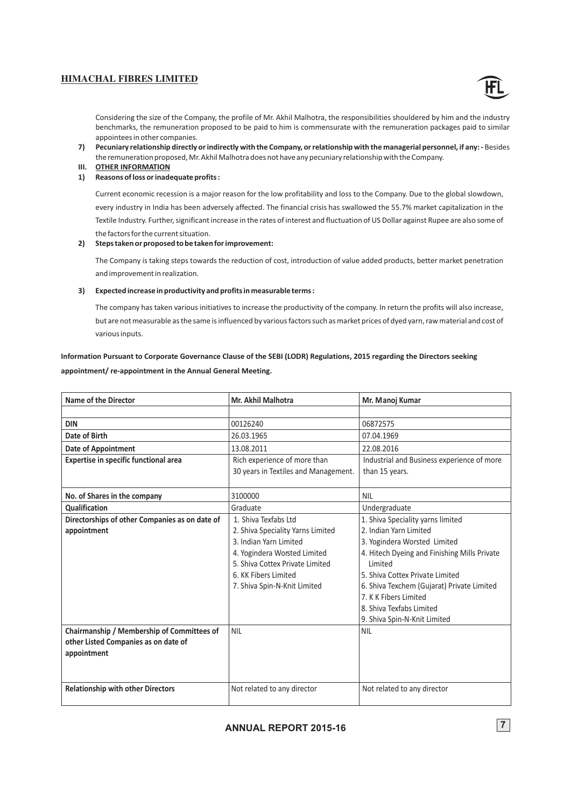![](_page_9_Picture_1.jpeg)

Considering the size of the Company, the profile of Mr. Akhil Malhotra, the responsibilities shouldered by him and the industry benchmarks, the remuneration proposed to be paid to him is commensurate with the remuneration packages paid to similar appointees in other companies.

- **7) Pecuniary relationship directly or indirectly with the Company, or relationship with the managerial personnel, if any: -** Besides the remuneration proposed, Mr. Akhil Malhotra does not have any pecuniary relationship with the Company.
- **III. OTHER INFORMATION**

#### **1) Reasons of loss or inadequate profits :**

Current economic recession is a major reason for the low profitability and loss to the Company. Due to the global slowdown, every industry in India has been adversely affected. The financial crisis has swallowed the 55.7% market capitalization in the Textile Industry. Further, significant increase in the rates of interest and fluctuation of US Dollar against Rupee are also some of the factors for the current situation.

#### **2) Steps taken or proposed to be taken for improvement:**

The Company is taking steps towards the reduction of cost, introduction of value added products, better market penetration and improvement in realization.

#### **3) Expected increase in productivity and profits in measurable terms :**

The company has taken various initiatives to increase the productivity of the company. In return the profits will also increase, but are not measurable as the same is influenced by various factors such as market prices of dyed yarn, raw material and cost of various inputs.

# **Information Pursuant to Corporate Governance Clause of the SEBI (LODR) Regulations, 2015 regarding the Directors seeking appointment/ re-appointment in the Annual General Meeting.**

| <b>Name of the Director</b>                    | Mr. Akhil Malhotra                   | Mr. Manoj Kumar                              |
|------------------------------------------------|--------------------------------------|----------------------------------------------|
|                                                |                                      |                                              |
| <b>DIN</b>                                     | 00126240                             | 06872575                                     |
| Date of Birth                                  | 26.03.1965                           | 07.04.1969                                   |
| <b>Date of Appointment</b>                     | 13.08.2011                           | 22.08.2016                                   |
| <b>Expertise in specific functional area</b>   | Rich experience of more than         | Industrial and Business experience of more   |
|                                                | 30 years in Textiles and Management. | than 15 years.                               |
|                                                |                                      |                                              |
| No. of Shares in the company                   | 3100000                              | <b>NIL</b>                                   |
| Qualification                                  | Graduate                             | Undergraduate                                |
| Directorships of other Companies as on date of | 1. Shiva Texfabs Ltd                 | 1. Shiva Speciality yarns limited            |
| appointment                                    | 2. Shiva Speciality Yarns Limited    | 2. Indian Yarn Limited                       |
|                                                | 3. Indian Yarn Limited               | 3. Yogindera Worsted Limited                 |
|                                                | 4. Yogindera Worsted Limited         | 4. Hitech Dyeing and Finishing Mills Private |
|                                                | 5. Shiva Cottex Private Limited      | <b>Limited</b>                               |
|                                                | 6. KK Fibers Limited                 | 5. Shiva Cottex Private Limited              |
|                                                | 7. Shiva Spin-N-Knit Limited         | 6. Shiva Texchem (Gujarat) Private Limited   |
|                                                |                                      | 7. K K Fibers Limited                        |
|                                                |                                      | 8. Shiva Texfabs Limited                     |
|                                                |                                      | 9. Shiva Spin-N-Knit Limited                 |
| Chairmanship / Membership of Committees of     | <b>NIL</b>                           | <b>NIL</b>                                   |
| other Listed Companies as on date of           |                                      |                                              |
| appointment                                    |                                      |                                              |
|                                                |                                      |                                              |
|                                                |                                      |                                              |
| <b>Relationship with other Directors</b>       | Not related to any director          | Not related to any director                  |
|                                                |                                      |                                              |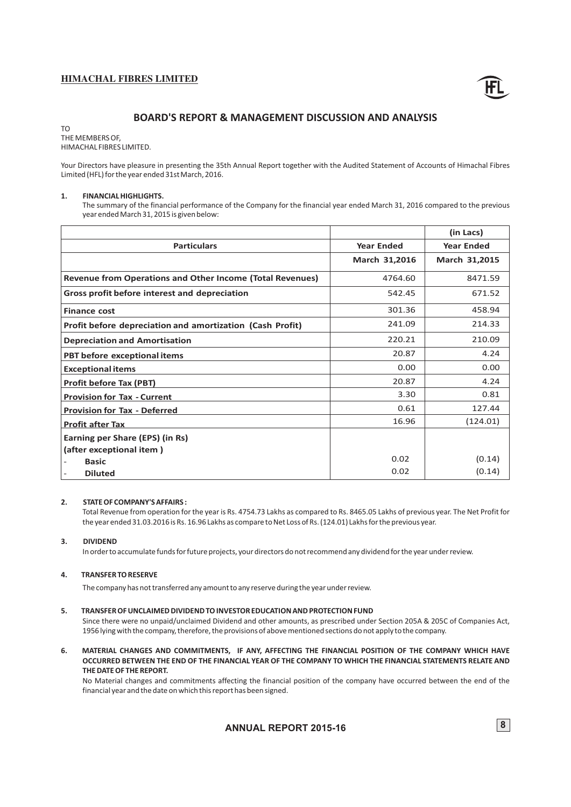![](_page_10_Picture_1.jpeg)

# **BOARD'S REPORT & MANAGEMENT DISCUSSION AND ANALYSIS**

TO THE MEMBERS OF, HIMACHAL FIBRES LIMITED.

Your Directors have pleasure in presenting the 35th Annual Report together with the Audited Statement of Accounts of Himachal Fibres Limited (HFL) for the year ended 31st March, 2016.

#### **1. FINANCIAL HIGHLIGHTS.**

The summary of the financial performance of the Company for the financial year ended March 31, 2016 compared to the previous year ended March 31, 2015 is given below:

|                                                                  |                   | (in Lacs)         |
|------------------------------------------------------------------|-------------------|-------------------|
| <b>Particulars</b>                                               | <b>Year Ended</b> | <b>Year Ended</b> |
|                                                                  | March 31,2016     | March 31,2015     |
| <b>Revenue from Operations and Other Income (Total Revenues)</b> | 4764.60           | 8471.59           |
| Gross profit before interest and depreciation                    | 542.45            | 671.52            |
| <b>Finance cost</b>                                              | 301.36            | 458.94            |
| Profit before depreciation and amortization (Cash Profit)        | 241.09            | 214.33            |
| <b>Depreciation and Amortisation</b>                             | 220.21            | 210.09            |
| PBT before exceptional items                                     | 20.87             | 4.24              |
| <b>Exceptional items</b>                                         | 0.00              | 0.00              |
| <b>Profit before Tax (PBT)</b>                                   | 20.87             | 4.24              |
| <b>Provision for Tax - Current</b>                               | 3.30              | 0.81              |
| <b>Provision for Tax - Deferred</b>                              | 0.61              | 127.44            |
| <b>Profit after Tax</b>                                          | 16.96             | (124.01)          |
| Earning per Share (EPS) (in Rs)                                  |                   |                   |
| (after exceptional item)                                         |                   |                   |
| <b>Basic</b>                                                     | 0.02              | (0.14)            |
| <b>Diluted</b>                                                   | 0.02              | (0.14)            |

#### **2. STATE OF COMPANY'S AFFAIRS :**

Total Revenue from operation for the year is Rs. 4754.73 Lakhs as compared to Rs. 8465.05 Lakhs of previous year. The Net Profit for the year ended 31.03.2016 is Rs. 16.96 Lakhs as compare to Net Loss of Rs. (124.01) Lakhs for the previous year.

#### **3. DIVIDEND**

In order to accumulate funds for future projects, your directors do not recommend any dividend for the year under review.

#### **4. TRANSFER TO RESERVE**

The company has not transferred any amount to any reserve during the year under review.

#### **5. TRANSFER OF UNCLAIMED DIVIDEND TO INVESTOR EDUCATION AND PROTECTION FUND**

Since there were no unpaid/unclaimed Dividend and other amounts, as prescribed under Section 205A & 205C of Companies Act, 1956 lying with the company, therefore, the provisions of above mentioned sections do not apply to the company.

**6. MATERIAL CHANGES AND COMMITMENTS, IF ANY, AFFECTING THE FINANCIAL POSITION OF THE COMPANY WHICH HAVE OCCURRED BETWEEN THE END OF THE FINANCIAL YEAR OF THE COMPANY TO WHICH THE FINANCIAL STATEMENTS RELATE AND THE DATE OF THE REPORT.**

No Material changes and commitments affecting the financial position of the company have occurred between the end of the financial year and the date on which this report has been signed.

**ANNUAL REPORT 2015-16** 8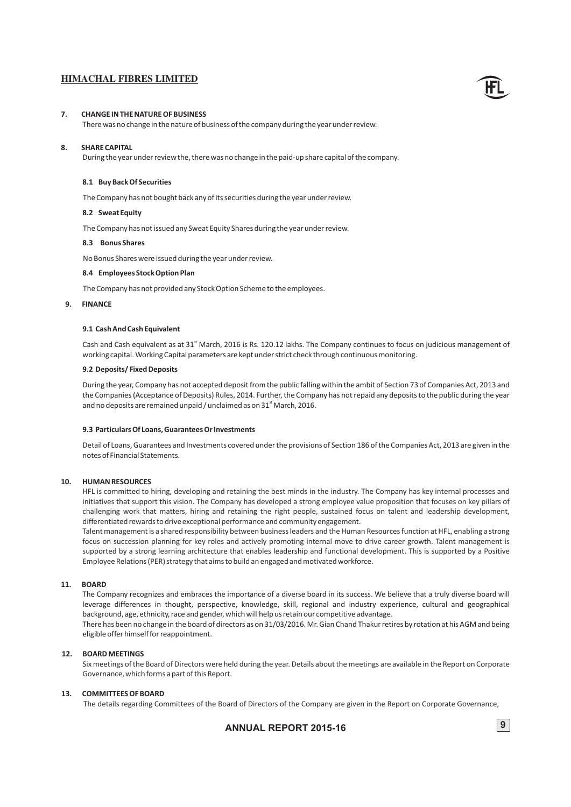#### **7. CHANGE IN THE NATURE OF BUSINESS**

There was no change in the nature of business of the company during the year under review.

#### **8. SHARE CAPITAL**

During the year under review the, there was no change in the paid-up share capital of the company.

#### **8.1 Buy Back Of Securities**

The Company has not bought back any of its securities during the year under review.

### **8.2 Sweat Equity**

The Company has not issued any Sweat Equity Shares during the year under review.

#### **8.3 Bonus Shares**

No Bonus Shares were issued during the year under review.

#### **8.4 Employees Stock Option Plan**

The Company has not provided any Stock Option Scheme to the employees.

#### **9. FINANCE**

#### **9.1 Cash And Cash Equivalent**

Cash and Cash equivalent as at 31<sup>st</sup> March, 2016 is Rs. 120.12 lakhs. The Company continues to focus on judicious management of working capital. Working Capital parameters are kept under strict check through continuous monitoring.

#### **9.2 Deposits/ Fixed Deposits**

During the year, Company has not accepted deposit from the public falling within the ambit of Section 73 of Companies Act, 2013 and the Companies (Acceptance of Deposits) Rules, 2014. Further, the Company has not repaid any deposits to the public during the year and no deposits are remained unpaid / unclaimed as on 31<sup>st</sup> March, 2016.

#### **9.3 Particulars Of Loans, Guarantees Or Investments**

Detail of Loans, Guarantees and Investments covered under the provisions of Section 186 of the Companies Act, 2013 are given in the notes of Financial Statements.

#### **10. HUMAN RESOURCES**

challenging work that matters, hiring and retaining the right people, sustained focus on talent and leadership development, HFL is committed to hiring, developing and retaining the best minds in the industry. The Company has key internal processes and initiatives that support this vision. The Company has developed a strong employee value proposition that focuses on key pillars of differentiated rewards to drive exceptional performance and community engagement.

supported by a strong learning architecture that enables leadership and functional development. This is supported by a Positive Talent management is a shared responsibility between business leaders and the Human Resources function at HFL, enabling a strong focus on succession planning for key roles and actively promoting internal move to drive career growth. Talent management is Employee Relations (PER) strategy that aims to build an engaged and motivated workforce.

#### **11. BOARD**

The Company recognizes and embraces the importance of a diverse board in its success. We believe that a truly diverse board will leverage differences in thought, perspective, knowledge, skill, regional and industry experience, cultural and geographical background, age, ethnicity, race and gender, which will help us retain our competitive advantage.

There has been no change in the board of directors as on 31/03/2016. Mr. Gian Chand Thakur retires by rotation at his AGM and being eligible offer himself for reappointment.

#### **12. BOARD MEETINGS**

Six meetings of the Board of Directors were held during the year. Details about the meetings are available in the Report on Corporate Governance, which forms a part of this Report.

#### **13. COMMITTEES OF BOARD**

The details regarding Committees of the Board of Directors of the Company are given in the Report on Corporate Governance,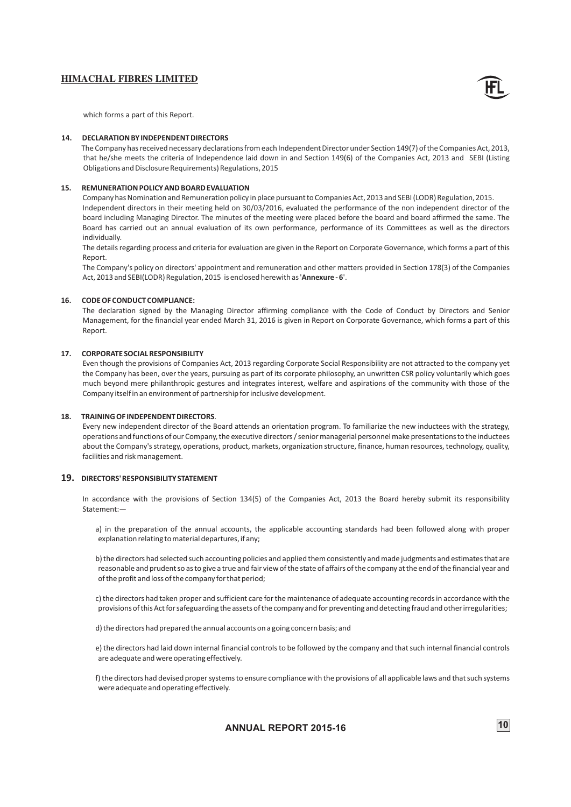![](_page_12_Picture_1.jpeg)

which forms a part of this Report.

#### **14. DECLARATION BY INDEPENDENT DIRECTORS**

 The Company has received necessary declarations from each Independent Director under Section 149(7) of the Companies Act, 2013, that he/she meets the criteria of Independence laid down in and Section 149(6) of the Companies Act, 2013 and SEBI (Listing Obligations and Disclosure Requirements) Regulations, 2015

#### **15. REMUNERATION POLICY AND BOARD EVALUATION**

Company has Nomination and Remuneration policy in place pursuant to Companies Act, 2013 and SEBI (LODR) Regulation, 2015. Independent directors in their meeting held on 30/03/2016, evaluated the performance of the non independent director of the board including Managing Director. The minutes of the meeting were placed before the board and board affirmed the same. The Board has carried out an annual evaluation of its own performance, performance of its Committees as well as the directors individually.

The details regarding process and criteria for evaluation are given in the Report on Corporate Governance, which forms a part of this Report.

The Company's policy on directors' appointment and remuneration and other matters provided in Section 178(3) of the Companies Act, 2013 and SEBI(LODR) Regulation, 2015 is enclosed herewith as '**Annexure - 6**'.

#### **16. CODE OF CONDUCT COMPLIANCE:**

The declaration signed by the Managing Director affirming compliance with the Code of Conduct by Directors and Senior Management, for the financial year ended March 31, 2016 is given in Report on Corporate Governance, which forms a part of this Report.

### **17. CORPORATE SOCIAL RESPONSIBILITY**

Even though the provisions of Companies Act, 2013 regarding Corporate Social Responsibility are not attracted to the company yet the Company has been, over the years, pursuing as part of its corporate philosophy, an unwritten CSR policy voluntarily which goes much beyond mere philanthropic gestures and integrates interest, welfare and aspirations of the community with those of the Company itself in an environment of partnership for inclusive development.

#### **18. TRAINING OF INDEPENDENT DIRECTORS**.

Every new independent director of the Board attends an orientation program. To familiarize the new inductees with the strategy, operations and functions of our Company, the executive directors / senior managerial personnel make presentations to the inductees about the Company's strategy, operations, product, markets, organization structure, finance, human resources, technology, quality, facilities and risk management.

#### **19. DIRECTORS' RESPONSIBILITY STATEMENT**

In accordance with the provisions of Section 134(5) of the Companies Act, 2013 the Board hereby submit its responsibility Statement:—

a) in the preparation of the annual accounts, the applicable accounting standards had been followed along with proper explanation relating to material departures, if any;

b) the directors had selected such accounting policies and applied them consistently and made judgments and estimates that are reasonable and prudent so as to give a true and fair view of the state of affairs of the company at the end of the financial year and of the profit and loss of the company for that period;

c) the directors had taken proper and sufficient care for the maintenance of adequate accounting records in accordance with the provisions of this Act for safeguarding the assets of the company and for preventing and detecting fraud and other irregularities;

d) the directors had prepared the annual accounts on a going concern basis; and

e) the directors had laid down internal financial controls to be followed by the company and that such internal financial controls are adequate and were operating effectively.

f) the directors had devised proper systems to ensure compliance with the provisions of all applicable laws and that such systems were adequate and operating effectively.

**ANNUAL REPORT 2015-16** 10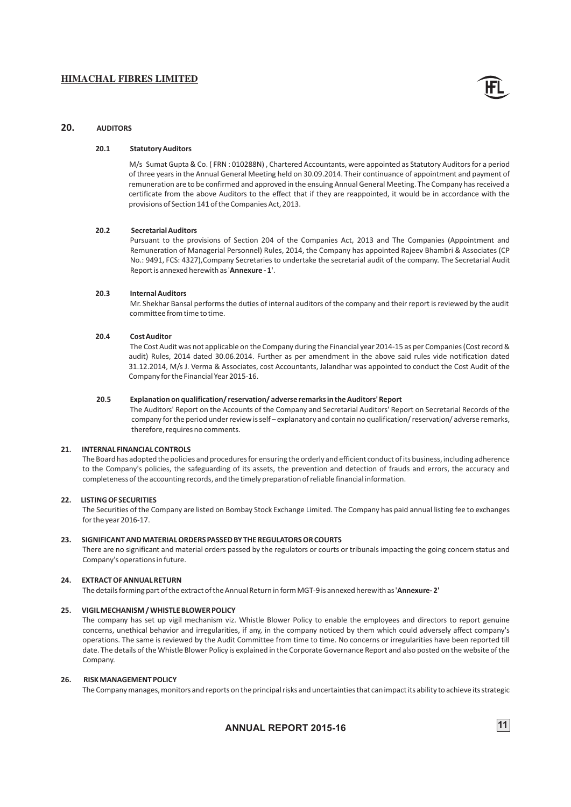![](_page_13_Picture_1.jpeg)

#### **20. AUDITORS**

#### **20.1 Statutory Auditors**

M/s Sumat Gupta & Co. ( FRN : 010288N) , Chartered Accountants, were appointed as Statutory Auditors for a period of three years in the Annual General Meeting held on 30.09.2014. Their continuance of appointment and payment of remuneration are to be confirmed and approved in the ensuing Annual General Meeting. The Company has received a certificate from the above Auditors to the effect that if they are reappointed, it would be in accordance with the provisions of Section 141 of the Companies Act, 2013.

#### **20.2 Secretarial Auditors**

Pursuant to the provisions of Section 204 of the Companies Act, 2013 and The Companies (Appointment and Remuneration of Managerial Personnel) Rules, 2014, the Company has appointed Rajeev Bhambri & Associates (CP No.: 9491, FCS: 4327),Company Secretaries to undertake the secretarial audit of the company. The Secretarial Audit Report is annexed herewith as '**Annexure - 1'**.

#### **20.3 Internal Auditors**

Mr. Shekhar Bansal performs the duties of internal auditors of the company and their report is reviewed by the audit committee from time to time.

#### **20.4 Cost Auditor**

The Cost Audit was not applicable on the Company during the Financial year 2014-15 as per Companies (Cost record & audit) Rules, 2014 dated 30.06.2014. Further as per amendment in the above said rules vide notification dated 31.12.2014, M/s J. Verma & Associates, cost Accountants, Jalandhar was appointed to conduct the Cost Audit of the Company for the Financial Year 2015-16.

#### **20.5 Explanation on qualification/ reservation/ adverse remarks in the Auditors' Report**

The Auditors' Report on the Accounts of the Company and Secretarial Auditors' Report on Secretarial Records of the company for the period under review is self – explanatory and contain no qualification/ reservation/ adverse remarks, therefore, requires no comments.

#### **21. INTERNAL FINANCIAL CONTROLS**

The Board has adopted the policies and procedures for ensuring the orderly and efficient conduct of its business, including adherence to the Company's policies, the safeguarding of its assets, the prevention and detection of frauds and errors, the accuracy and completeness of the accounting records, and the timely preparation of reliable financial information.

#### **22. LISTING OF SECURITIES**

The Securities of the Company are listed on Bombay Stock Exchange Limited. The Company has paid annual listing fee to exchanges for the year 2016-17.

#### **23. SIGNIFICANT AND MATERIAL ORDERS PASSED BY THE REGULATORS OR COURTS**

There are no significant and material orders passed by the regulators or courts or tribunals impacting the going concern status and Company's operations in future.

#### **24. EXTRACT OF ANNUAL RETURN**

The details forming part of the extract of the Annual Return in form MGT-9 is annexed herewith as '**Annexure- 2'**

#### **25. VIGIL MECHANISM / WHISTLE BLOWER POLICY**

The company has set up vigil mechanism viz. Whistle Blower Policy to enable the employees and directors to report genuine concerns, unethical behavior and irregularities, if any, in the company noticed by them which could adversely affect company's operations. The same is reviewed by the Audit Committee from time to time. No concerns or irregularities have been reported till date. The details of the Whistle Blower Policy is explained in the Corporate Governance Report and also posted on the website of the Company

#### **26. RISK MANAGEMENT POLICY**

The Company manages, monitors and reports on the principal risks and uncertainties that can impact its ability to achieve its strategic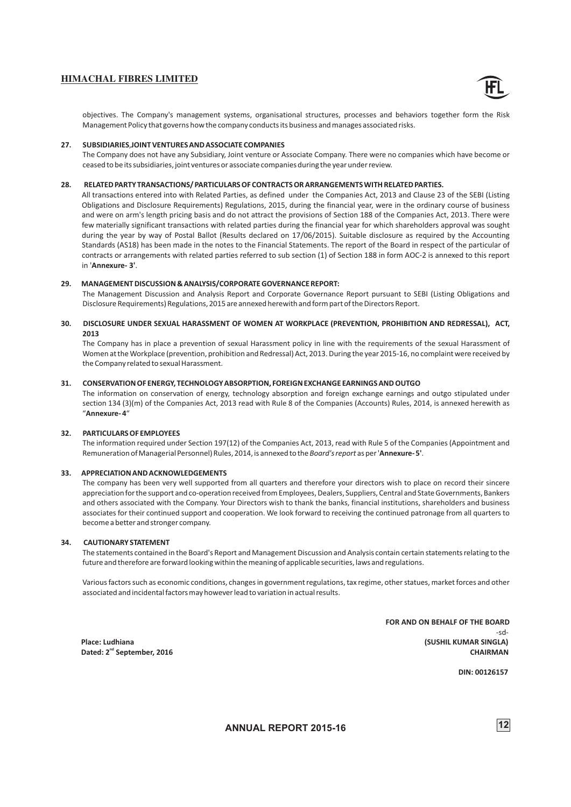![](_page_14_Picture_1.jpeg)

objectives. The Company's management systems, organisational structures, processes and behaviors together form the Risk Management Policy that governs how the company conducts its business and manages associated risks.

#### **27. SUBSIDIARIES**,**JOINT VENTURES AND ASSOCIATE COMPANIES**

The Company does not have any Subsidiary, Joint venture or Associate Company. There were no companies which have become or ceased to be its subsidiaries, joint ventures or associate companies during the year under review.

#### **28. RELATED PARTY TRANSACTIONS/ PARTICULARS OF CONTRACTS OR ARRANGEMENTS WITH RELATED PARTIES.**

All transactions entered into with Related Parties, as defined under the Companies Act, 2013 and Clause 23 of the SEBI (Listing Obligations and Disclosure Requirements) Regulations, 2015, during the financial year, were in the ordinary course of business and were on arm's length pricing basis and do not attract the provisions of Section 188 of the Companies Act, 2013. There were few materially significant transactions with related parties during the financial year for which shareholders approval was sought during the year by way of Postal Ballot (Results declared on 17/06/2015). Suitable disclosure as required by the Accounting Standards (AS18) has been made in the notes to the Financial Statements. The report of the Board in respect of the particular of contracts or arrangements with related parties referred to sub section (1) of Section 188 in form AOC-2 is annexed to this report in '**Annexure- 3'**.

#### **29. MANAGEMENT DISCUSSION & ANALYSIS/CORPORATE GOVERNANCE REPORT:**

The Management Discussion and Analysis Report and Corporate Governance Report pursuant to SEBI (Listing Obligations and Disclosure Requirements) Regulations, 2015 are annexed herewith and form part of the Directors Report.

#### **30. DISCLOSURE UNDER SEXUAL HARASSMENT OF WOMEN AT WORKPLACE (PREVENTION, PROHIBITION AND REDRESSAL), ACT, 2013**

The Company has in place a prevention of sexual Harassment policy in line with the requirements of the sexual Harassment of Women at the Workplace (prevention, prohibition and Redressal) Act, 2013. During the year 2015-16, no complaint were received by the Company related to sexual Harassment.

#### **31. CONSERVATION OF ENERGY, TECHNOLOGY ABSORPTION, FOREIGN EXCHANGE EARNINGS AND OUTGO**

The information on conservation of energy, technology absorption and foreign exchange earnings and outgo stipulated under section 134 (3)(m) of the Companies Act, 2013 read with Rule 8 of the Companies (Accounts) Rules, 2014, is annexed herewith as "**Annexure- 4**"

#### **32. PARTICULARS OF EMPLOYEES**

The information required under Section 197(12) of the Companies Act, 2013, read with Rule 5 of the Companies (Appointment and Remuneration of Managerial Personnel) Rules, 2014, is annexed to the *Board's report* as per '**Annexure- 5'**.

#### **33. APPRECIATION AND ACKNOWLEDGEMENTS**

The company has been very well supported from all quarters and therefore your directors wish to place on record their sincere appreciation for the support and co-operation received from Employees, Dealers, Suppliers, Central and State Governments, Bankers and others associated with the Company. Your Directors wish to thank the banks, financial institutions, shareholders and business associates for their continued support and cooperation. We look forward to receiving the continued patronage from all quarters to become a better and stronger company.

#### **34. CAUTIONARY STATEMENT**

The statements contained in the Board's Report and Management Discussion and Analysis contain certain statements relating to the future and therefore are forward looking within the meaning of applicable securities, laws and regulations.

Various factors such as economic conditions, changes in government regulations, tax regime, other statues, market forces and other associated and incidental factors may however lead to variation in actual results.

**FOR AND ON BEHALF OF THE BOARD**  $-sd-$  **Place: Ludhiana (SUSHIL KUMAR SINGLA)**  $\blacksquare$  Dated: 2 $^{\text{nd}}$  September, 2016  $\blacksquare$ 

 **DIN: 00126157**

**ANNUAL 12 REPORT 2015-16**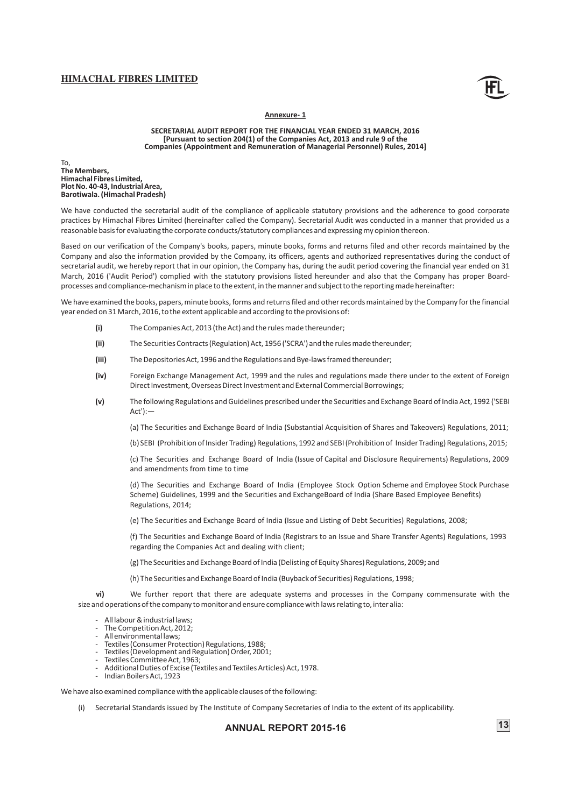![](_page_15_Picture_1.jpeg)

#### **Annexure- 1**

**SECRETARIAL AUDIT REPORT FOR THE FINANCIAL YEAR ENDED 31 MARCH, 2016 [Pursuant to section 204(1) of the Companies Act, 2013 and rule 9 of the Companies (Appointment and Remuneration of Managerial Personnel) Rules, 2014]**

To, **The Members, Himachal Fibres Limited, Plot No. 40-43, Industrial Area, Barotiwala. (Himachal Pradesh)**

We have conducted the secretarial audit of the compliance of applicable statutory provisions and the adherence to good corporate practices by Himachal Fibres Limited (hereinafter called the Company). Secretarial Audit was conducted in a manner that provided us a reasonable basis for evaluating the corporate conducts/statutory compliances and expressing my opinion thereon.

Based on our verification of the Company's books, papers, minute books, forms and returns filed and other records maintained by the Company and also the information provided by the Company, its officers, agents and authorized representatives during the conduct of secretarial audit, we hereby report that in our opinion, the Company has, during the audit period covering the financial year ended on 31 March, 2016 ('Audit Period') complied with the statutory provisions listed hereunder and also that the Company has proper Boardprocesses and compliance-mechanism in place to the extent, in the manner and subject to the reporting made hereinafter:

We have examined the books, papers, minute books, forms and returns filed and other records maintained by the Company for the financial year ended on 31 March, 2016, to the extent applicable and according to the provisions of:

- **(i)** The Companies Act, 2013 (the Act) and the rules made thereunder;
- **(ii)** The Securities Contracts (Regulation) Act, 1956 ('SCRA') and the rules made thereunder;
- **(iii)** The Depositories Act, 1996 and the Regulations and Bye-laws framed thereunder;
- **(iv)** Foreign Exchange Management Act, 1999 and the rules and regulations made there under to the extent of Foreign Direct Investment, Overseas Direct Investment and External Commercial Borrowings;
- **(v)** The following Regulations and Guidelines prescribed under the Securities and Exchange Board of India Act, 1992 ('SEBI Act'):—

(a) The Securities and Exchange Board of India (Substantial Acquisition of Shares and Takeovers) Regulations, 2011;

(b) SEBI (Prohibition of Insider Trading) Regulations, 1992 and SEBI (Prohibition of Insider Trading) Regulations, 2015;

(c) The Securities and Exchange Board of India (Issue of Capital and Disclosure Requirements) Regulations, 2009 and amendments from time to time

(d) The Securities and Exchange Board of India (Employee Stock Option Scheme and Employee Stock Purchase Scheme) Guidelines, 1999 and the Securities and ExchangeBoard of India (Share Based Employee Benefits) Regulations, 2014;

(e) The Securities and Exchange Board of India (Issue and Listing of Debt Securities) Regulations, 2008;

(f) The Securities and Exchange Board of India (Registrars to an Issue and Share Transfer Agents) Regulations, 1993 regarding the Companies Act and dealing with client;

(g) The Securities and Exchange Board of India (Delisting of Equity Shares) Regulations, 2009**;** and

(h) The Securities and Exchange Board of India (Buyback of Securities) Regulations, 1998;

**vi)** We further report that there are adequate systems and processes in the Company commensurate with the size and operations of the company to monitor and ensure compliance with laws relating to, inter alia:

- All labour & industrial laws;
- The Competition Act, 2012;
- All environmental laws;
- Textiles (Consumer Protection) Regulations, 1988;
- Textiles (Development and Regulation) Order, 2001;
- Textiles Committee Act, 1963;
- Additional Duties of Excise (Textiles and Textiles Articles) Act, 1978.
- Indian Boilers Act, 1923

We have also examined compliance with the applicable clauses of the following:

(i) Secretarial Standards issued by The Institute of Company Secretaries of India to the extent of its applicability.

# **ANNUAL REPORT 2015-16** 13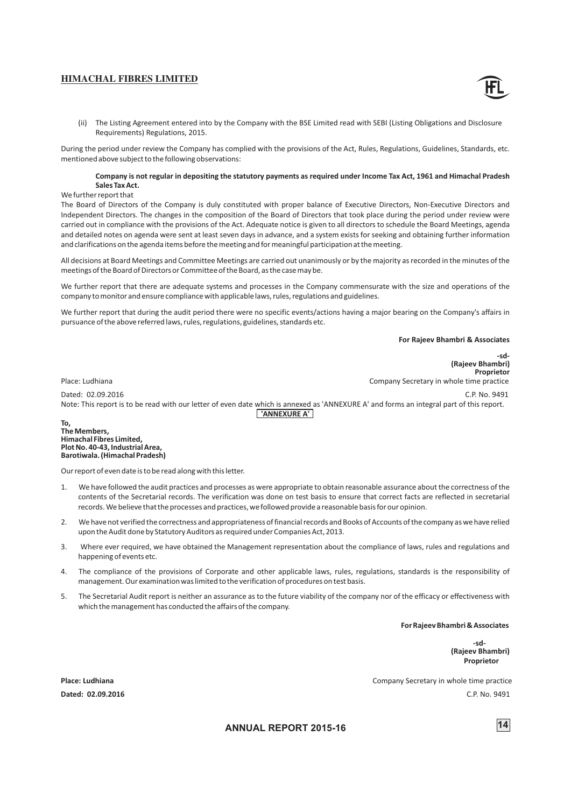- 
- The Listing Agreement entered into by the Company with the BSE Limited read with SEBI (Listing Obligations and Disclosure Requirements) Regulations, 2015.

During the period under review the Company has complied with the provisions of the Act, Rules, Regulations, Guidelines, Standards, etc. mentioned above subject to the following observations:

#### **Company is not regular in depositing the statutory payments as required under Income Tax Act, 1961 and Himachal Pradesh Sales Tax Act.**

#### We further report that

The Board of Directors of the Company is duly constituted with proper balance of Executive Directors, Non-Executive Directors and Independent Directors. The changes in the composition of the Board of Directors that took place during the period under review were carried out in compliance with the provisions of the Act. Adequate notice is given to all directors to schedule the Board Meetings, agenda and detailed notes on agenda were sent at least seven days in advance, and a system exists for seeking and obtaining further information and clarifications on the agenda items before the meeting and for meaningful participation at the meeting.

All decisions at Board Meetings and Committee Meetings are carried out unanimously or by the majority as recorded in the minutes of the meetings of the Board of Directors or Committee of the Board, as the case may be.

We further report that there are adequate systems and processes in the Company commensurate with the size and operations of the company to monitor and ensure compliance with applicable laws, rules, regulations and guidelines.

We further report that during the audit period there were no specific events/actions having a major bearing on the Company's affairs in pursuance of the above referred laws, rules, regulations, guidelines, standards etc.

**For Rajeev Bhambri & Associates**

**-sd- (Rajeev Bhambri) Proprietor** Place: Ludhiana Company Secretary in whole time practice

Dated: 02.09.2016 C.P. No. 9491

Note: This report is to be read with our letter of even date which is annexed as 'ANNEXURE A' and forms an integral part of this report.

**'ANNEXURE A'**

**To, The Members, Himachal Fibres Limited, Plot No. 40-43, Industrial Area, Barotiwala. (Himachal Pradesh)**

Our report of even date is to be read along with this letter.

- 1. We have followed the audit practices and processes as were appropriate to obtain reasonable assurance about the correctness of the contents of the Secretarial records. The verification was done on test basis to ensure that correct facts are reflected in secretarial records. We believe that the processes and practices, we followed provide a reasonable basis for our opinion.
- 2. We have not verified the correctness and appropriateness of financial records and Books of Accounts of the company as we have relied upon the Audit done by Statutory Auditors as required under Companies Act, 2013.
- 3. Where ever required, we have obtained the Management representation about the compliance of laws, rules and regulations and happening of events etc.
- 4. The compliance of the provisions of Corporate and other applicable laws, rules, regulations, standards is the responsibility of management. Our examination was limited to the verification of procedures on test basis.
- 5. The Secretarial Audit report is neither an assurance as to the future viability of the company nor of the efficacy or effectiveness with which the management has conducted the affairs of the company.

 **For Rajeev Bhambri & Associates**

 **-sd- (Rajeev Bhambri) Proprietor**

**Place: Ludhiana** Company Secretary in whole time practice **Dated: 02.09.2016** C.P. No. 9491

**ANNUAL REPORT 2015-16** 14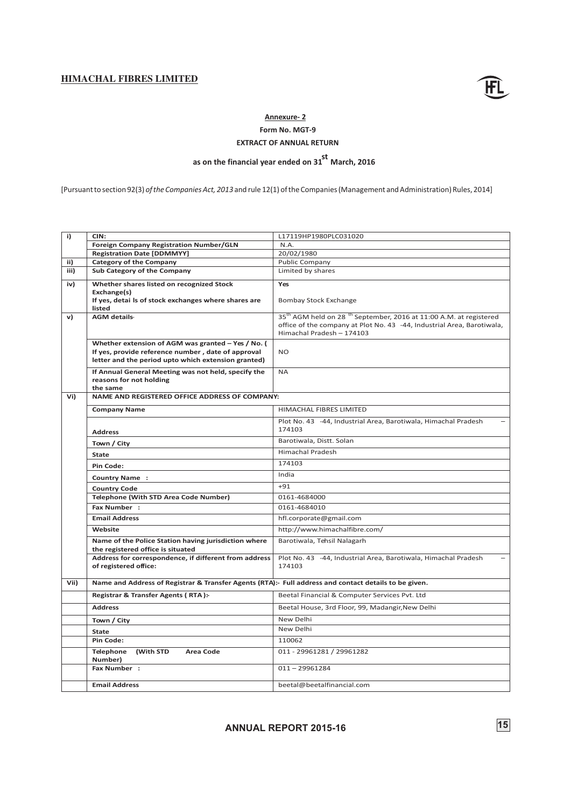![](_page_17_Picture_1.jpeg)

# **Annexure- 2**

**Form No. MGT-9**

# **EXTRACT OF ANNUAL RETURN**

# as on the financial year ended on 31<sup>st</sup> March, 2016

[Pursuant to section 92(3) *of the Companies Act, 2013* and rule 12(1) of the Companies (Management and Administration) Rules, 2014]

| i)   | CIN:                                                                                                                                                            | L17119HP1980PLC031020                                                                                                                                                                            |
|------|-----------------------------------------------------------------------------------------------------------------------------------------------------------------|--------------------------------------------------------------------------------------------------------------------------------------------------------------------------------------------------|
|      | <b>Foreign Company Registration Number/GLN</b>                                                                                                                  | N.A.                                                                                                                                                                                             |
|      | <b>Registration Date [DDMMYY]</b>                                                                                                                               | 20/02/1980                                                                                                                                                                                       |
| ii)  | <b>Category of the Company</b>                                                                                                                                  | <b>Public Company</b>                                                                                                                                                                            |
| iii) | Sub Category of the Company                                                                                                                                     | Limited by shares                                                                                                                                                                                |
| iv)  | Whether shares listed on recognized Stock                                                                                                                       | Yes                                                                                                                                                                                              |
|      | Exchange(s)<br>If yes, detai Is of stock exchanges where shares are<br>listed                                                                                   | <b>Bombay Stock Exchange</b>                                                                                                                                                                     |
| v)   | <b>AGM</b> details-                                                                                                                                             | 35 <sup>th</sup> AGM held on 28 <sup>th</sup> September, 2016 at 11:00 A.M. at registered<br>office of the company at Plot No. 43 -44, Industrial Area, Barotiwala,<br>Himachal Pradesh - 174103 |
|      | Whether extension of AGM was granted - Yes / No. (<br>If yes, provide reference number, date of approval<br>letter and the period upto which extension granted) | <b>NO</b>                                                                                                                                                                                        |
|      | If Annual General Meeting was not held, specify the<br>reasons for not holding<br>the same                                                                      | <b>NA</b>                                                                                                                                                                                        |
| Vi)  | NAME AND REGISTERED OFFICE ADDRESS OF COMPANY:                                                                                                                  |                                                                                                                                                                                                  |
|      | <b>Company Name</b>                                                                                                                                             | <b>HIMACHAL FIBRES LIMITED</b>                                                                                                                                                                   |
|      | <b>Address</b>                                                                                                                                                  | Plot No. 43 -44, Industrial Area, Barotiwala, Himachal Pradesh<br>174103                                                                                                                         |
|      | Town / City                                                                                                                                                     | Barotiwala, Distt. Solan                                                                                                                                                                         |
|      | <b>State</b>                                                                                                                                                    | <b>Himachal Pradesh</b>                                                                                                                                                                          |
|      | Pin Code:                                                                                                                                                       | 174103                                                                                                                                                                                           |
|      | <b>Country Name:</b>                                                                                                                                            | India                                                                                                                                                                                            |
|      | <b>Country Code</b>                                                                                                                                             | $+91$                                                                                                                                                                                            |
|      | <b>Telephone (With STD Area Code Number)</b>                                                                                                                    | 0161-4684000                                                                                                                                                                                     |
|      | Fax Number:                                                                                                                                                     | 0161-4684010                                                                                                                                                                                     |
|      | <b>Email Address</b>                                                                                                                                            | hfl.corporate@gmail.com                                                                                                                                                                          |
|      | Website                                                                                                                                                         | http://www.himachalfibre.com/                                                                                                                                                                    |
|      | Name of the Police Station having jurisdiction where<br>the registered office is situated                                                                       | Barotiwala, Tehsil Nalagarh                                                                                                                                                                      |
|      | Address for correspondence, if different from address<br>of registered office:                                                                                  | Plot No. 43 -44, Industrial Area, Barotiwala, Himachal Pradesh<br>174103                                                                                                                         |
| Vii) | Name and Address of Registrar & Transfer Agents (RTA):- Full address and contact details to be given.                                                           |                                                                                                                                                                                                  |
|      | Registrar & Transfer Agents (RTA):-                                                                                                                             | Beetal Financial & Computer Services Pvt. Ltd                                                                                                                                                    |
|      | <b>Address</b>                                                                                                                                                  | Beetal House, 3rd Floor, 99, Madangir, New Delhi                                                                                                                                                 |
|      | Town / City                                                                                                                                                     | New Delhi                                                                                                                                                                                        |
|      | <b>State</b>                                                                                                                                                    | New Delhi                                                                                                                                                                                        |
|      | Pin Code:                                                                                                                                                       | 110062                                                                                                                                                                                           |
|      | <b>Telephone</b><br>(With STD<br><b>Area Code</b><br>Number)                                                                                                    | 011 - 29961281 / 29961282                                                                                                                                                                        |
|      | Fax Number:                                                                                                                                                     | $011 - 29961284$                                                                                                                                                                                 |
|      | <b>Email Address</b>                                                                                                                                            | beetal@beetalfinancial.com                                                                                                                                                                       |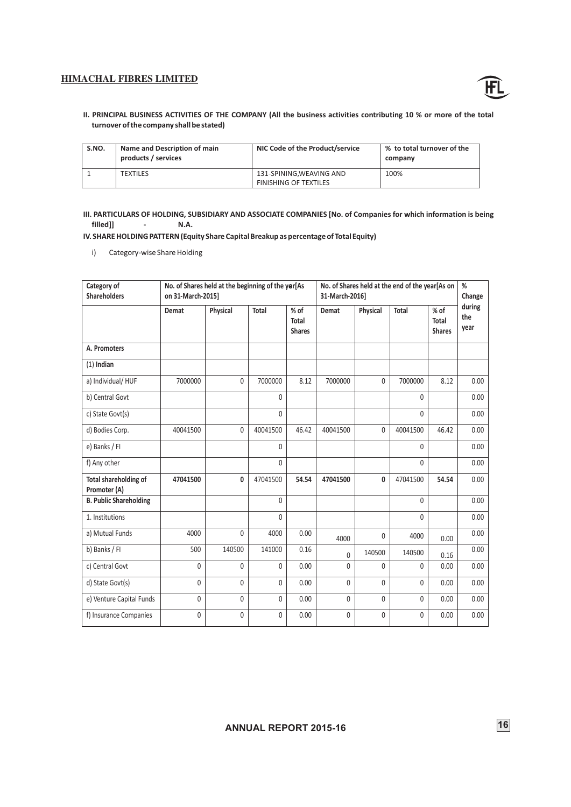![](_page_18_Picture_1.jpeg)

**II. PRINCIPAL BUSINESS ACTIVITIES OF THE COMPANY (All the business activities contributing 10 % or more of the total turnover of the company shall be stated)**

| S.NO. | Name and Description of main<br>products / services | NIC Code of the Product/service                         | % to total turnover of the<br>company |  |
|-------|-----------------------------------------------------|---------------------------------------------------------|---------------------------------------|--|
|       | <b>TEXTILES</b>                                     | 131-SPINING.WEAVING AND<br><b>FINISHING OF TEXTILES</b> | 100%                                  |  |

**III. PARTICULARS OF HOLDING, SUBSIDIARY AND ASSOCIATE COMPANIES [No. of Companies for which information is being filled]] - N.A.**

**IV. SHARE HOLDING PATTERN (Equity Share Capital Breakup as percentage of Total Equity)**

i) Category-wise Share Holding

| Category of<br><b>Shareholders</b>           | No. of Shares held at the beginning of the yer[As<br>No. of Shares held at the end of the year[As on<br>on 31-March-2015]<br>31-March-2016] |          |              |                                       |              |              | %<br>Change  |                                  |                       |
|----------------------------------------------|---------------------------------------------------------------------------------------------------------------------------------------------|----------|--------------|---------------------------------------|--------------|--------------|--------------|----------------------------------|-----------------------|
|                                              | Demat                                                                                                                                       | Physical | <b>Total</b> | % of<br><b>Total</b><br><b>Shares</b> | Demat        | Physical     | Total        | $%$ of<br>Total<br><b>Shares</b> | during<br>the<br>year |
| A. Promoters                                 |                                                                                                                                             |          |              |                                       |              |              |              |                                  |                       |
| $(1)$ Indian                                 |                                                                                                                                             |          |              |                                       |              |              |              |                                  |                       |
| a) Individual/HUF                            | 7000000                                                                                                                                     | 0        | 7000000      | 8.12                                  | 7000000      | $\mathbf{0}$ | 7000000      | 8.12                             | 0.00                  |
| b) Central Govt                              |                                                                                                                                             |          | $\mathbf 0$  |                                       |              |              | $\mathbf{0}$ |                                  | 0.00                  |
| c) State Govt(s)                             |                                                                                                                                             |          | $\mathbf{0}$ |                                       |              |              | 0            |                                  | 0.00                  |
| d) Bodies Corp.                              | 40041500                                                                                                                                    | 0        | 40041500     | 46.42                                 | 40041500     | 0            | 40041500     | 46.42                            | 0.00                  |
| e) Banks / FI                                |                                                                                                                                             |          | $\mathbf{0}$ |                                       |              |              | $\Omega$     |                                  | 0.00                  |
| f) Any other                                 |                                                                                                                                             |          | $\mathbf{0}$ |                                       |              |              | $\mathbf{0}$ |                                  | 0.00                  |
| <b>Total shareholding of</b><br>Promoter (A) | 47041500                                                                                                                                    | 0        | 47041500     | 54.54                                 | 47041500     | 0            | 47041500     | 54.54                            | 0.00                  |
| <b>B. Public Shareholding</b>                |                                                                                                                                             |          | $\mathbf{0}$ |                                       |              |              | $\mathbf{0}$ |                                  | 0.00                  |
| 1. Institutions                              |                                                                                                                                             |          | $\Omega$     |                                       |              |              | $\Omega$     |                                  | 0.00                  |
| a) Mutual Funds                              | 4000                                                                                                                                        | 0        | 4000         | 0.00                                  | 4000         | $\mathbf{0}$ | 4000         | 0.00                             | 0.00                  |
| b) Banks / FI                                | 500                                                                                                                                         | 140500   | 141000       | 0.16                                  | 0            | 140500       | 140500       | 0.16                             | 0.00                  |
| c) Central Govt                              | $\mathbf{0}$                                                                                                                                | $\Omega$ | $\mathbf{0}$ | 0.00                                  | $\Omega$     | $\Omega$     | 0            | 0.00                             | 0.00                  |
| d) State Govt(s)                             | $\Omega$                                                                                                                                    | 0        | 0            | 0.00                                  | 0            | $\Omega$     | $\mathbf{0}$ | 0.00                             | 0.00                  |
| e) Venture Capital Funds                     | $\mathbf{0}$                                                                                                                                | 0        | 0            | 0.00                                  | 0            | $\mathbf{0}$ | 0            | 0.00                             | 0.00                  |
| f) Insurance Companies                       | $\mathbf{0}$                                                                                                                                | 0        | 0            | 0.00                                  | $\mathbf{0}$ | $\mathbf{0}$ | 0            | 0.00                             | 0.00                  |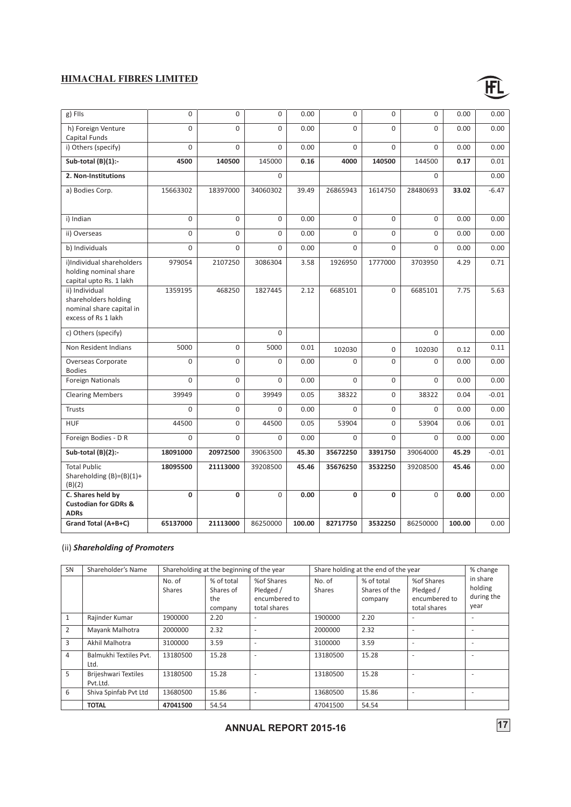![](_page_19_Picture_1.jpeg)

| g) FIIs                                          | $\Omega$     | $\Omega$     | 0           | 0.00   | $\Omega$     | $\overline{0}$ | $\mathbf 0$ | 0.00   | 0.00    |
|--------------------------------------------------|--------------|--------------|-------------|--------|--------------|----------------|-------------|--------|---------|
| h) Foreign Venture                               | $\Omega$     | $\Omega$     | $\Omega$    | 0.00   | $\Omega$     | $\Omega$       | $\Omega$    | 0.00   | 0.00    |
| <b>Capital Funds</b><br>i) Others (specify)      | $\Omega$     | $\Omega$     | 0           | 0.00   | $\Omega$     | $\Omega$       | 0           | 0.00   | 0.00    |
| Sub-total (B)(1):-                               | 4500         | 140500       | 145000      | 0.16   | 4000         | 140500         | 144500      | 0.17   | 0.01    |
|                                                  |              |              |             |        |              |                |             |        |         |
| 2. Non-Institutions                              |              |              | 0           |        |              |                | 0           |        | 0.00    |
| a) Bodies Corp.                                  | 15663302     | 18397000     | 34060302    | 39.49  | 26865943     | 1614750        | 28480693    | 33.02  | $-6.47$ |
|                                                  |              |              |             |        |              |                |             |        |         |
| i) Indian                                        | $\Omega$     | $\Omega$     | $\Omega$    | 0.00   | $\Omega$     | $\Omega$       | $\Omega$    | 0.00   | 0.00    |
| ii) Overseas                                     | $\mathbf 0$  | 0            | 0           | 0.00   | 0            | $\Omega$       | 0           | 0.00   | 0.00    |
| b) Individuals                                   | $\Omega$     | $\Omega$     | $\Omega$    | 0.00   | $\Omega$     | $\Omega$       | $\Omega$    | 0.00   | 0.00    |
| i)Individual shareholders                        | 979054       | 2107250      | 3086304     | 3.58   | 1926950      | 1777000        | 3703950     | 4.29   | 0.71    |
| holding nominal share<br>capital upto Rs. 1 lakh |              |              |             |        |              |                |             |        |         |
| ii) Individual                                   | 1359195      | 468250       | 1827445     | 2.12   | 6685101      | $\overline{0}$ | 6685101     | 7.75   | 5.63    |
| shareholders holding                             |              |              |             |        |              |                |             |        |         |
| nominal share capital in                         |              |              |             |        |              |                |             |        |         |
| excess of Rs 1 lakh                              |              |              |             |        |              |                |             |        |         |
| c) Others (specify)                              |              |              | $\mathbf 0$ |        |              |                | 0           |        | 0.00    |
| Non Resident Indians                             | 5000         | 0            | 5000        | 0.01   | 102030       | 0              | 102030      | 0.12   | 0.11    |
| Overseas Corporate                               | $\Omega$     | $\Omega$     | $\Omega$    | 0.00   | $\Omega$     | 0              | $\Omega$    | 0.00   | 0.00    |
| <b>Bodies</b><br><b>Foreign Nationals</b>        | $\Omega$     | $\Omega$     | $\Omega$    | 0.00   | $\Omega$     | $\Omega$       | $\Omega$    | 0.00   | 0.00    |
|                                                  |              |              |             |        |              |                |             |        |         |
| <b>Clearing Members</b>                          | 39949        | 0            | 39949       | 0.05   | 38322        | 0              | 38322       | 0.04   | $-0.01$ |
| <b>Trusts</b>                                    | $\Omega$     | $\Omega$     | $\Omega$    | 0.00   | $\Omega$     | $\Omega$       | $\Omega$    | 0.00   | 0.00    |
| <b>HUF</b>                                       | 44500        | 0            | 44500       | 0.05   | 53904        | 0              | 53904       | 0.06   | 0.01    |
| Foreign Bodies - D R                             | $\Omega$     | $\Omega$     | $\Omega$    | 0.00   | $\Omega$     | $\Omega$       | $\Omega$    | 0.00   | 0.00    |
| Sub-total (B)(2):-                               | 18091000     | 20972500     | 39063500    | 45.30  | 35672250     | 3391750        | 39064000    | 45.29  | $-0.01$ |
| <b>Total Public</b>                              | 18095500     | 21113000     | 39208500    | 45.46  | 35676250     | 3532250        | 39208500    | 45.46  | 0.00    |
| Shareholding $(B)=(B)(1)+$<br>(B)(2)             |              |              |             |        |              |                |             |        |         |
| C. Shares held by                                | $\mathbf{0}$ | $\mathbf{0}$ | 0           | 0.00   | $\mathbf{0}$ | $\mathbf{0}$   | 0           | 0.00   | 0.00    |
| <b>Custodian for GDRs &amp;</b><br><b>ADRs</b>   |              |              |             |        |              |                |             |        |         |
| Grand Total (A+B+C)                              | 65137000     | 21113000     | 86250000    | 100.00 | 82717750     | 3532250        | 86250000    | 100.00 | 0.00    |
|                                                  |              |              |             |        |              |                |             |        |         |

# (ii) *Shareholding of Promoters*

| <b>SN</b> | Shareholder's Name                      | Shareholding at the beginning of the year |                                           |                                                          | Share holding at the end of the year |                                        |                                                          | % change                                  |
|-----------|-----------------------------------------|-------------------------------------------|-------------------------------------------|----------------------------------------------------------|--------------------------------------|----------------------------------------|----------------------------------------------------------|-------------------------------------------|
|           |                                         | No. of<br>Shares                          | % of total<br>Shares of<br>the<br>company | %of Shares<br>Pledged /<br>encumbered to<br>total shares | No. of<br>Shares                     | % of total<br>Shares of the<br>company | %of Shares<br>Pledged /<br>encumbered to<br>total shares | in share<br>holding<br>during the<br>year |
|           | Rajinder Kumar                          | 1900000                                   | 2.20                                      | ۰                                                        | 1900000                              | 2.20                                   |                                                          |                                           |
| 2         | Mayank Malhotra                         | 2000000                                   | 2.32                                      | ۰                                                        | 2000000                              | 2.32                                   |                                                          |                                           |
| 3         | Akhil Malhotra                          | 3100000                                   | 3.59                                      | ٠                                                        | 3100000                              | 3.59                                   | ٠                                                        |                                           |
| 4         | Balmukhi Textiles Pvt.<br>Ltd.          | 13180500                                  | 15.28                                     | ٠                                                        | 13180500                             | 15.28                                  |                                                          |                                           |
| 5         | <b>Brijeshwari Textiles</b><br>Pvt.Ltd. | 13180500                                  | 15.28                                     | $\overline{\phantom{a}}$                                 | 13180500                             | 15.28                                  |                                                          |                                           |
| 6         | Shiva Spinfab Pvt Ltd                   | 13680500                                  | 15.86                                     | ۰                                                        | 13680500                             | 15.86                                  |                                                          |                                           |
|           | <b>TOTAL</b>                            | 47041500                                  | 54.54                                     |                                                          | 47041500                             | 54.54                                  |                                                          |                                           |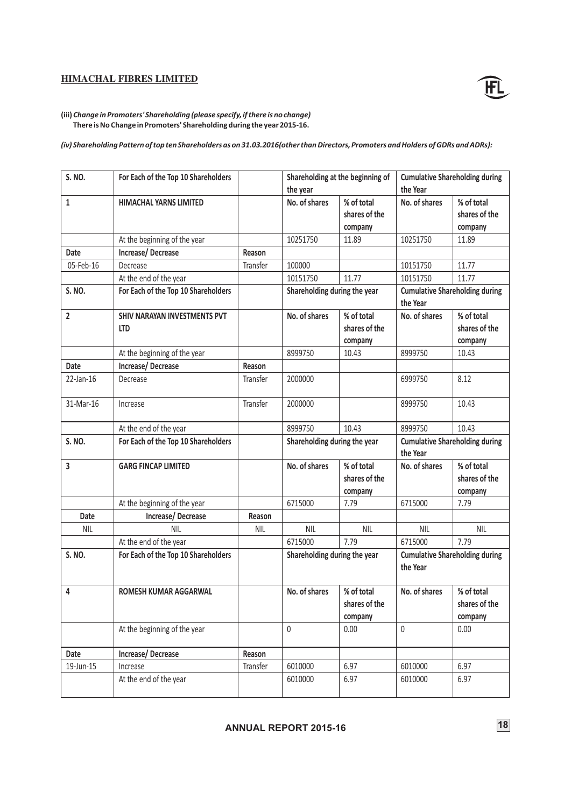![](_page_20_Picture_1.jpeg)

**(iii)** *Change in Promoters' Shareholding (please specify, if there is no change)*  **There is No Change in Promoters' Shareholding during the year 2015-16.**

*(iv) Shareholding Pattern of top ten Shareholders as on 31.03.2016(other than Directors, Promoters and Holders of GDRs and ADRs):*

| S. NO.         | For Each of the Top 10 Shareholders        |            | Shareholding at the beginning of<br>the year |                                                                                   | <b>Cumulative Shareholding during</b><br>the Year |                                        |
|----------------|--------------------------------------------|------------|----------------------------------------------|-----------------------------------------------------------------------------------|---------------------------------------------------|----------------------------------------|
| 1              | <b>HIMACHAL YARNS LIMITED</b>              |            | No. of shares                                | % of total<br>shares of the<br>company                                            | No. of shares                                     | % of total<br>shares of the<br>company |
|                | At the beginning of the year               |            | 10251750                                     | 11.89                                                                             | 10251750                                          | 11.89                                  |
| Date           | Increase/Decrease                          | Reason     |                                              |                                                                                   |                                                   |                                        |
| 05-Feb-16      | Decrease                                   | Transfer   | 100000                                       |                                                                                   | 10151750                                          | 11.77                                  |
|                | At the end of the year                     |            | 10151750                                     | 11.77                                                                             | 10151750                                          | 11.77                                  |
| S. NO.         | For Each of the Top 10 Shareholders        |            | Shareholding during the year                 |                                                                                   | the Year                                          | <b>Cumulative Shareholding during</b>  |
| $\overline{2}$ | SHIV NARAYAN INVESTMENTS PVT<br><b>LTD</b> |            | No. of shares                                | % of total<br>shares of the<br>company                                            | No. of shares                                     | % of total<br>shares of the<br>company |
|                | At the beginning of the year               |            | 8999750                                      | 10.43                                                                             | 8999750                                           | 10.43                                  |
| <b>Date</b>    | Increase/Decrease                          | Reason     |                                              |                                                                                   |                                                   |                                        |
| 22-Jan-16      | Decrease                                   | Transfer   | 2000000                                      |                                                                                   | 6999750                                           | 8.12                                   |
| 31-Mar-16      | Increase                                   | Transfer   | 2000000                                      |                                                                                   | 8999750                                           | 10.43                                  |
|                | At the end of the year                     |            | 8999750                                      | 10.43                                                                             | 8999750                                           | 10.43                                  |
| S. NO.         | For Each of the Top 10 Shareholders        |            |                                              | Shareholding during the year<br><b>Cumulative Shareholding during</b><br>the Year |                                                   |                                        |
| 3              | <b>GARG FINCAP LIMITED</b>                 |            | No. of shares                                | % of total<br>shares of the<br>company                                            | No. of shares                                     | % of total<br>shares of the<br>company |
|                | At the beginning of the year               |            | 6715000                                      | 7.79                                                                              | 6715000                                           | 7.79                                   |
| <b>Date</b>    | Increase/Decrease                          | Reason     |                                              |                                                                                   |                                                   |                                        |
| <b>NIL</b>     | <b>NIL</b>                                 | <b>NIL</b> | <b>NIL</b>                                   | <b>NIL</b>                                                                        | <b>NIL</b>                                        | <b>NIL</b>                             |
|                | At the end of the year                     |            | 6715000                                      | 7.79                                                                              | 6715000                                           | 7.79                                   |
| S. NO.         | For Each of the Top 10 Shareholders        |            | Shareholding during the year                 |                                                                                   | <b>Cumulative Shareholding during</b><br>the Year |                                        |
| 4              | <b>ROMESH KUMAR AGGARWAL</b>               |            | No. of shares                                | % of total<br>shares of the<br>company                                            | No. of shares                                     | % of total<br>shares of the<br>company |
|                | At the beginning of the year               |            | $\mathsf{0}$                                 | 0.00                                                                              | $\mathbf 0$                                       | 0.00                                   |
| Date           | Increase/Decrease                          | Reason     |                                              |                                                                                   |                                                   |                                        |
| 19-Jun-15      | Increase                                   | Transfer   | 6010000                                      | 6.97                                                                              | 6010000                                           | 6.97                                   |
|                | At the end of the year                     |            | 6010000                                      | 6.97                                                                              | 6010000                                           | 6.97                                   |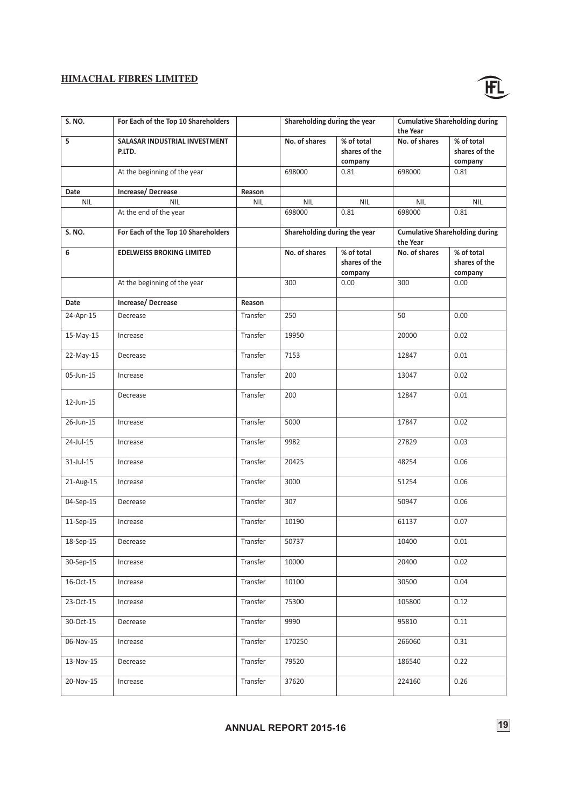![](_page_21_Picture_1.jpeg)

| <b>S. NO.</b> | For Each of the Top 10 Shareholders     |            | Shareholding during the year |                                        | <b>Cumulative Shareholding during</b><br>the Year |                                        |
|---------------|-----------------------------------------|------------|------------------------------|----------------------------------------|---------------------------------------------------|----------------------------------------|
| 5             | SALASAR INDUSTRIAL INVESTMENT<br>P.LTD. |            | No. of shares                | % of total<br>shares of the<br>company | No. of shares                                     | % of total<br>shares of the<br>company |
|               | At the beginning of the year            |            | 698000                       | 0.81                                   | 698000                                            | 0.81                                   |
| Date          | Increase/Decrease                       | Reason     |                              |                                        |                                                   |                                        |
| <b>NIL</b>    | <b>NIL</b>                              | <b>NIL</b> | <b>NIL</b>                   | <b>NIL</b>                             | <b>NIL</b>                                        | <b>NIL</b>                             |
|               | At the end of the year                  |            | 698000                       | 0.81                                   | 698000                                            | 0.81                                   |
| S. NO.        | For Each of the Top 10 Shareholders     |            | Shareholding during the year |                                        | <b>Cumulative Shareholding during</b><br>the Year |                                        |
| 6             | <b>EDELWEISS BROKING LIMITED</b>        |            | No. of shares                | % of total<br>shares of the<br>company | No. of shares                                     | % of total<br>shares of the<br>company |
|               | At the beginning of the year            |            | 300                          | 0.00                                   | 300                                               | 0.00                                   |
| Date          | Increase/Decrease                       | Reason     |                              |                                        |                                                   |                                        |
| 24-Apr-15     | Decrease                                | Transfer   | 250                          |                                        | 50                                                | 0.00                                   |
| 15-May-15     | Increase                                | Transfer   | 19950                        |                                        | 20000                                             | 0.02                                   |
| 22-May-15     | Decrease                                | Transfer   | 7153                         |                                        | 12847                                             | 0.01                                   |
| 05-Jun-15     | Increase                                | Transfer   | 200                          |                                        | 13047                                             | 0.02                                   |
| 12-Jun-15     | Decrease                                | Transfer   | 200                          |                                        | 12847                                             | 0.01                                   |
| 26-Jun-15     | Increase                                | Transfer   | 5000                         |                                        | 17847                                             | 0.02                                   |
| 24-Jul-15     | Increase                                | Transfer   | 9982                         |                                        | 27829                                             | 0.03                                   |
| 31-Jul-15     | Increase                                | Transfer   | 20425                        |                                        | 48254                                             | 0.06                                   |
| 21-Aug-15     | Increase                                | Transfer   | 3000                         |                                        | 51254                                             | 0.06                                   |
| 04-Sep-15     | Decrease                                | Transfer   | 307                          |                                        | 50947                                             | 0.06                                   |
| 11-Sep-15     | Increase                                | Transfer   | 10190                        |                                        | 61137                                             | 0.07                                   |
| 18-Sep-15     | Decrease                                | Transfer   | 50737                        |                                        | 10400                                             | 0.01                                   |
| 30-Sep-15     | Increase                                | Transfer   | 10000                        |                                        | 20400                                             | 0.02                                   |
| 16-Oct-15     | Increase                                | Transfer   | 10100                        |                                        | 30500                                             | 0.04                                   |
| 23-Oct-15     | Increase                                | Transfer   | 75300                        |                                        | 105800                                            | 0.12                                   |
| 30-Oct-15     | Decrease                                | Transfer   | 9990                         |                                        | 95810                                             | 0.11                                   |
| 06-Nov-15     | Increase                                | Transfer   | 170250                       |                                        | 266060                                            | 0.31                                   |
| 13-Nov-15     | Decrease                                | Transfer   | 79520                        |                                        | 186540                                            | 0.22                                   |
| 20-Nov-15     | Increase                                | Transfer   | 37620                        |                                        | 224160                                            | 0.26                                   |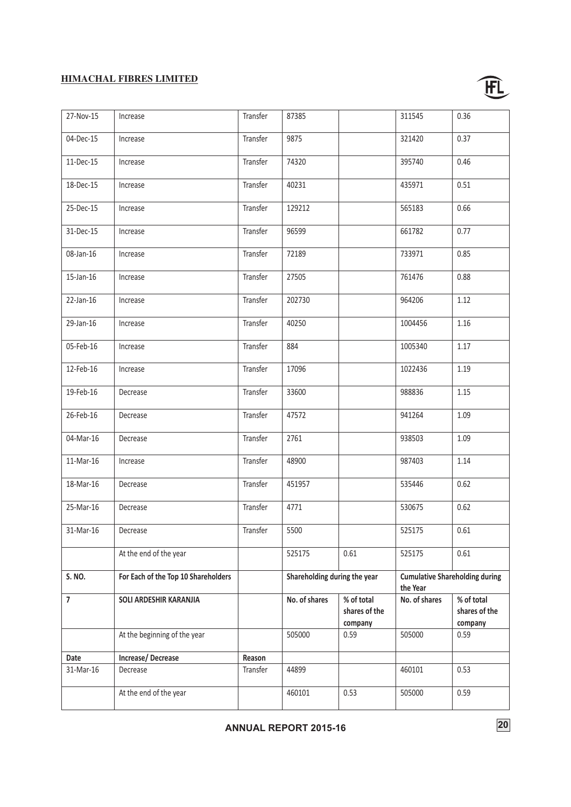![](_page_22_Picture_1.jpeg)

| 27-Nov-15      | Increase                            | Transfer | 87385                        |               | 311545        | 0.36                                  |
|----------------|-------------------------------------|----------|------------------------------|---------------|---------------|---------------------------------------|
| 04-Dec-15      | Increase                            | Transfer | 9875                         |               | 321420        | 0.37                                  |
| 11-Dec-15      | Increase                            | Transfer | 74320                        |               | 395740        | 0.46                                  |
| 18-Dec-15      | Increase                            | Transfer | 40231                        |               | 435971        | 0.51                                  |
| 25-Dec-15      | Increase                            | Transfer | 129212                       |               | 565183        | 0.66                                  |
| 31-Dec-15      | Increase                            | Transfer | 96599                        |               | 661782        | 0.77                                  |
| 08-Jan-16      | Increase                            | Transfer | 72189                        |               | 733971        | 0.85                                  |
| 15-Jan-16      | Increase                            | Transfer | 27505                        |               | 761476        | 0.88                                  |
| 22-Jan-16      | Increase                            | Transfer | 202730                       |               | 964206        | 1.12                                  |
| 29-Jan-16      | Increase                            | Transfer | 40250                        |               | 1004456       | 1.16                                  |
| 05-Feb-16      | Increase                            | Transfer | 884                          |               | 1005340       | 1.17                                  |
| 12-Feb-16      | Increase                            | Transfer | 17096                        |               | 1022436       | 1.19                                  |
| 19-Feb-16      | Decrease                            | Transfer | 33600                        |               | 988836        | 1.15                                  |
| 26-Feb-16      | Decrease                            | Transfer | 47572                        |               | 941264        | 1.09                                  |
| 04-Mar-16      | Decrease                            | Transfer | 2761                         |               | 938503        | 1.09                                  |
| 11-Mar-16      | Increase                            | Transfer | 48900                        |               | 987403        | 1.14                                  |
| 18-Mar-16      | Decrease                            | Transfer | 451957                       |               | 535446        | 0.62                                  |
| 25-Mar-16      | Decrease                            | Transfer | 4771                         |               | 530675        | 0.62                                  |
| 31-Mar-16      | Decrease                            | Transfer | 5500                         |               | 525175        | 0.61                                  |
|                | At the end of the year              |          | 525175                       | 0.61          | 525175        | 0.61                                  |
| S. NO.         | For Each of the Top 10 Shareholders |          | Shareholding during the year |               | the Year      | <b>Cumulative Shareholding during</b> |
| $\overline{7}$ | SOLI ARDESHIR KARANJIA              |          | No. of shares                | % of total    | No. of shares | % of total                            |
|                |                                     |          |                              | shares of the |               | shares of the                         |
|                |                                     |          |                              | company       |               | company                               |
|                | At the beginning of the year        |          | 505000                       | 0.59          | 505000        | 0.59                                  |
| Date           | Increase/Decrease                   | Reason   |                              |               |               |                                       |
| 31-Mar-16      | Decrease                            | Transfer | 44899                        |               | 460101        | 0.53                                  |
|                | At the end of the year              |          | 460101                       | 0.53          | 505000        | 0.59                                  |

**ANNUAL REPORT 2015-16** 20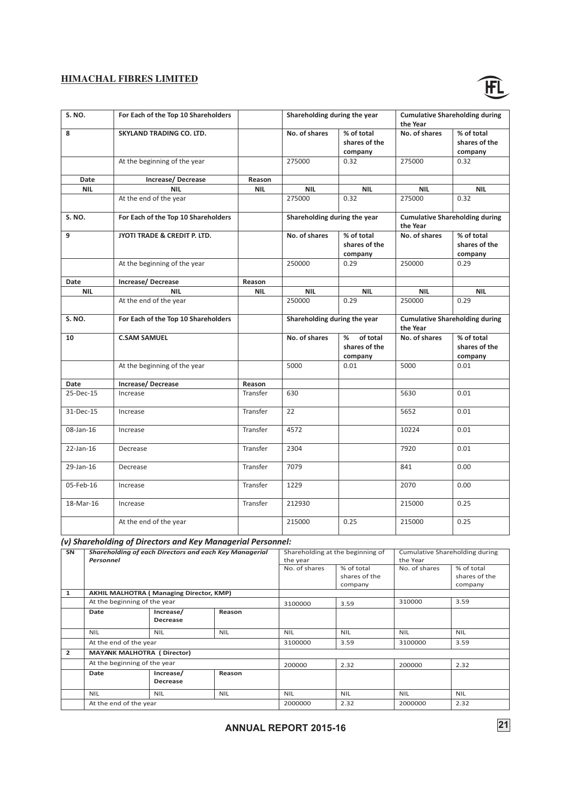![](_page_23_Picture_1.jpeg)

| <b>S. NO.</b> | For Each of the Top 10 Shareholders |            | Shareholding during the year |                                           | <b>Cumulative Shareholding during</b><br>the Year |                                        |
|---------------|-------------------------------------|------------|------------------------------|-------------------------------------------|---------------------------------------------------|----------------------------------------|
| 8             | SKYLAND TRADING CO. LTD.            |            | No. of shares                | % of total<br>shares of the<br>company    | No. of shares                                     | % of total<br>shares of the<br>company |
|               | At the beginning of the year        |            | 275000                       | 0.32                                      | 275000                                            | 0.32                                   |
| Date          | Increase/Decrease                   | Reason     |                              |                                           |                                                   |                                        |
| <b>NIL</b>    | <b>NIL</b>                          | <b>NIL</b> | <b>NIL</b>                   | <b>NIL</b>                                | <b>NIL</b>                                        | <b>NIL</b>                             |
|               | At the end of the year              |            | 275000                       | 0.32                                      | 275000                                            | 0.32                                   |
| <b>S. NO.</b> | For Each of the Top 10 Shareholders |            | Shareholding during the year |                                           | the Year                                          | <b>Cumulative Shareholding during</b>  |
| 9             | JYOTI TRADE & CREDIT P. LTD.        |            | No. of shares                | % of total<br>shares of the<br>company    | No. of shares                                     | % of total<br>shares of the<br>company |
|               | At the beginning of the year        |            | 250000                       | 0.29                                      | 250000                                            | 0.29                                   |
| Date          | Increase/Decrease                   | Reason     |                              |                                           |                                                   |                                        |
| <b>NIL</b>    | <b>NIL</b>                          | <b>NIL</b> | <b>NIL</b>                   | <b>NIL</b>                                | <b>NIL</b>                                        | <b>NIL</b>                             |
|               | At the end of the year              |            | 250000                       | 0.29                                      | 250000                                            | 0.29                                   |
| S. NO.        | For Each of the Top 10 Shareholders |            | Shareholding during the year |                                           | <b>Cumulative Shareholding during</b><br>the Year |                                        |
| 10            | <b>C.SAM SAMUEL</b>                 |            | No. of shares                | of total<br>%<br>shares of the<br>company | No. of shares                                     | % of total<br>shares of the<br>company |
|               | At the beginning of the year        |            | 5000                         | 0.01                                      | 5000                                              | 0.01                                   |
| Date          | Increase/Decrease                   | Reason     |                              |                                           |                                                   |                                        |
| 25-Dec-15     | Increase                            | Transfer   | 630                          |                                           | 5630                                              | 0.01                                   |
| 31-Dec-15     | Increase                            | Transfer   | 22                           |                                           | 5652                                              | 0.01                                   |
| 08-Jan-16     | Increase                            | Transfer   | 4572                         |                                           | 10224                                             | 0.01                                   |
| 22-Jan-16     | Decrease                            | Transfer   | 2304                         |                                           | 7920                                              | 0.01                                   |
| 29-Jan-16     | Decrease                            | Transfer   | 7079                         |                                           | 841                                               | 0.00                                   |
| 05-Feb-16     | Increase                            | Transfer   | 1229                         |                                           | 2070                                              | 0.00                                   |
| 18-Mar-16     | Increase                            | Transfer   | 212930                       |                                           | 215000                                            | 0.25                                   |
|               | At the end of the year              |            | 215000                       | 0.25                                      | 215000                                            | 0.25                                   |

*(v) Shareholding of Directors and Key Managerial Personnel:*

| SN             | <b>Shareholding of each Directors and each Key Managerial</b><br>Personnel |                                                | Shareholding at the beginning of<br>the year |               |               | Cumulative Shareholding during<br>the Year |               |
|----------------|----------------------------------------------------------------------------|------------------------------------------------|----------------------------------------------|---------------|---------------|--------------------------------------------|---------------|
|                |                                                                            |                                                |                                              | No. of shares | % of total    | No. of shares                              | % of total    |
|                |                                                                            |                                                |                                              |               | shares of the |                                            | shares of the |
|                |                                                                            |                                                |                                              |               | company       |                                            | company       |
| 1              |                                                                            | <b>AKHIL MALHOTRA (Managing Director, KMP)</b> |                                              |               |               |                                            |               |
|                | At the beginning of the year                                               |                                                |                                              | 3100000       | 3.59          | 310000                                     | 3.59          |
|                | Date                                                                       | Increase/                                      | Reason                                       |               |               |                                            |               |
|                |                                                                            | <b>Decrease</b>                                |                                              |               |               |                                            |               |
|                | <b>NIL</b>                                                                 | <b>NIL</b>                                     | <b>NIL</b>                                   | <b>NIL</b>    | <b>NIL</b>    | <b>NIL</b>                                 | <b>NIL</b>    |
|                | At the end of the year                                                     |                                                |                                              | 3100000       | 3.59          | 3100000                                    | 3.59          |
| $\overline{2}$ | <b>MAYANK MALHOTRA (Director)</b>                                          |                                                |                                              |               |               |                                            |               |
|                | At the beginning of the year                                               |                                                |                                              | 200000        | 2.32          | 200000                                     | 2.32          |
|                | Date                                                                       | Increase/                                      | Reason                                       |               |               |                                            |               |
|                |                                                                            | <b>Decrease</b>                                |                                              |               |               |                                            |               |
|                | <b>NIL</b>                                                                 | <b>NIL</b>                                     | <b>NIL</b>                                   | <b>NIL</b>    | <b>NIL</b>    | <b>NIL</b>                                 | <b>NIL</b>    |
|                | At the end of the year                                                     |                                                |                                              | 2000000       | 2.32          | 2000000                                    | 2.32          |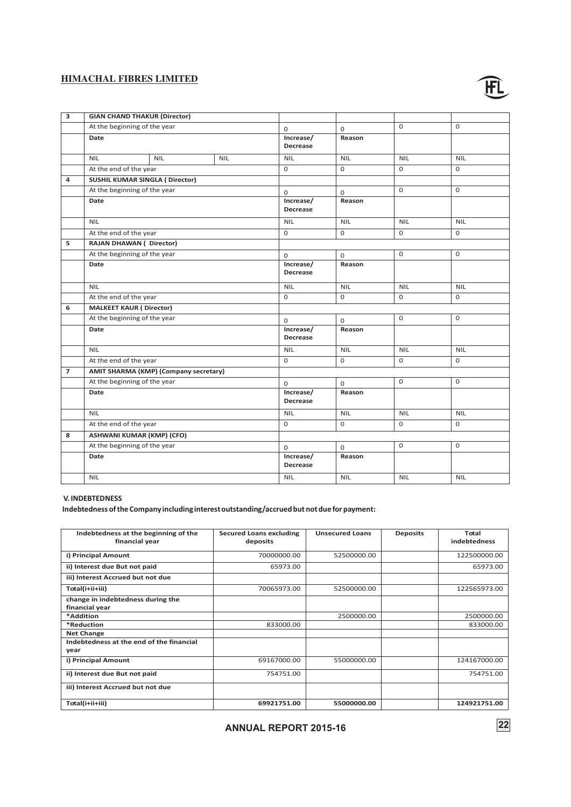![](_page_24_Picture_1.jpeg)

| 3              | <b>GIAN CHAND THAKUR (Director)</b>    |                                              |            |                              |              |            |              |
|----------------|----------------------------------------|----------------------------------------------|------------|------------------------------|--------------|------------|--------------|
|                | At the beginning of the year<br>Date   |                                              | 0          | $\mathbf 0$                  | $\Omega$     | $\Omega$   |              |
|                |                                        |                                              |            | Increase/<br>Decrease        | Reason       |            |              |
|                | <b>NIL</b>                             | <b>NIL</b>                                   | <b>NIL</b> | <b>NIL</b>                   | <b>NIL</b>   | <b>NIL</b> | <b>NIL</b>   |
|                | At the end of the year                 |                                              |            | $\mathbf 0$                  | 0            | 0          | 0            |
| 4              | <b>SUSHIL KUMAR SINGLA ( Director)</b> |                                              |            |                              |              |            |              |
|                | At the beginning of the year           |                                              |            | $\mathbf 0$                  | $\mathbf 0$  | 0          | $\Omega$     |
|                | Date                                   |                                              |            | Increase/<br><b>Decrease</b> | Reason       |            |              |
|                | <b>NIL</b>                             |                                              |            | <b>NIL</b>                   | <b>NIL</b>   | <b>NIL</b> | <b>NIL</b>   |
|                | At the end of the year                 |                                              |            | $\mathbf 0$                  | 0            | 0          | 0            |
| 5              | <b>RAJAN DHAWAN (Director)</b>         |                                              |            |                              |              |            |              |
|                | At the beginning of the year           |                                              |            | $\mathbf 0$                  | $\mathsf{O}$ | 0          | $\mathsf{O}$ |
|                | Date                                   |                                              |            | Increase/<br>Decrease        | Reason       |            |              |
|                | <b>NIL</b>                             |                                              |            | <b>NIL</b>                   | <b>NIL</b>   | <b>NIL</b> | <b>NIL</b>   |
|                | At the end of the year                 |                                              |            | $\mathbf 0$                  | 0            | 0          | 0            |
| 6              | <b>MALKEET KAUR (Director)</b>         |                                              |            |                              |              |            |              |
|                | At the beginning of the year           |                                              |            | $\Omega$                     | 0            | 0          | 0            |
|                | Date                                   |                                              |            | Increase/<br><b>Decrease</b> | Reason       |            |              |
|                | <b>NIL</b>                             |                                              |            | <b>NIL</b>                   | <b>NIL</b>   | <b>NIL</b> | <b>NIL</b>   |
|                | At the end of the year                 |                                              |            | $\Omega$                     | $\Omega$     | $\Omega$   | 0            |
| $\overline{7}$ |                                        | <b>AMIT SHARMA (KMP) (Company secretary)</b> |            |                              |              |            |              |
|                | At the beginning of the year           |                                              |            | $\Omega$                     | $\mathsf{O}$ | 0          | $\mathbf 0$  |
|                | Date                                   |                                              |            | Increase/<br>Decrease        | Reason       |            |              |
|                | <b>NIL</b>                             |                                              |            | <b>NIL</b>                   | <b>NIL</b>   | <b>NIL</b> | <b>NIL</b>   |
|                | At the end of the year                 |                                              |            | $\Omega$                     | $\Omega$     | $\Omega$   | 0            |
| 8              | <b>ASHWANI KUMAR (KMP) (CFO)</b>       |                                              |            |                              |              |            |              |
|                | At the beginning of the year           |                                              |            | $\mathbf 0$                  | 0            | 0          | 0            |
|                | Date                                   |                                              |            | Increase/<br><b>Decrease</b> | Reason       |            |              |
|                | <b>NIL</b>                             |                                              |            | <b>NIL</b>                   | <b>NIL</b>   | <b>NIL</b> | <b>NIL</b>   |
|                |                                        |                                              |            |                              |              |            |              |

# **V. INDEBTEDNESS**

**Indebtedness of the Company including interestoutstanding/accrued but not due for payment:**

| Indebtedness at the beginning of the<br>financial year | <b>Secured Loans excluding</b><br>deposits | <b>Unsecured Loans</b> | <b>Deposits</b> | Total<br><b>indebtedness</b> |
|--------------------------------------------------------|--------------------------------------------|------------------------|-----------------|------------------------------|
| i) Principal Amount                                    | 70000000.00                                | 52500000.00            |                 | 122500000.00                 |
| ii) Interest due But not paid                          | 65973.00                                   |                        |                 | 65973.00                     |
| iii) Interest Accrued but not due                      |                                            |                        |                 |                              |
| Total(i+ii+iii)                                        | 70065973.00                                | 52500000.00            |                 | 122565973.00                 |
| change in indebtedness during the<br>financial year    |                                            |                        |                 |                              |
| *Addition                                              |                                            | 2500000.00             |                 | 2500000.00                   |
| *Reduction                                             | 833000.00                                  |                        |                 | 833000.00                    |
| <b>Net Change</b>                                      |                                            |                        |                 |                              |
| Indebtedness at the end of the financial<br>year       |                                            |                        |                 |                              |
| i) Principal Amount                                    | 69167000.00                                | 55000000.00            |                 | 124167000.00                 |
| ii) Interest due But not paid                          | 754751.00                                  |                        |                 | 754751.00                    |
| iii) Interest Accrued but not due                      |                                            |                        |                 |                              |
| Total(i+ii+iii)                                        | 69921751.00                                | 55000000.00            |                 | 124921751.00                 |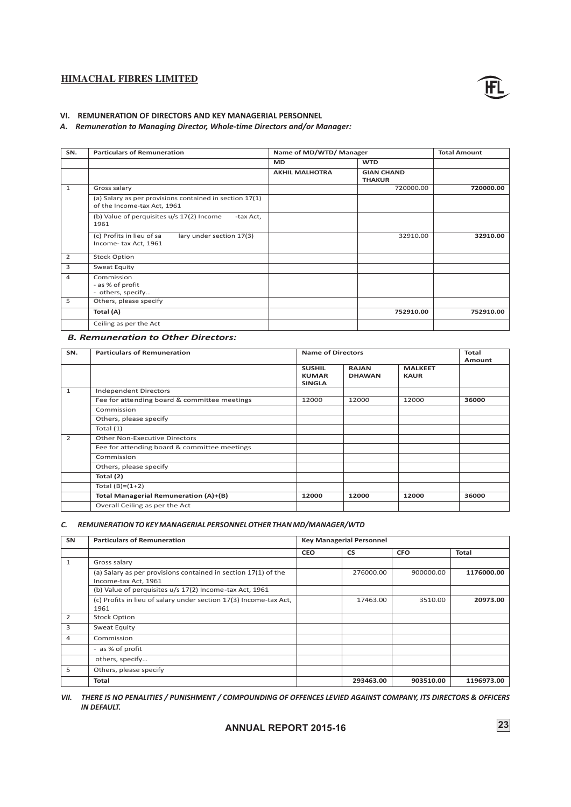![](_page_25_Picture_1.jpeg)

### **VI. REMUNERATION OF DIRECTORS AND KEY MANAGERIAL PERSONNEL**

#### *A. Remuneration to Managing Director, Whole-time Directors and/or Manager:*

| SN.            | <b>Particulars of Remuneration</b>                                                     | Name of MD/WTD/ Manager |                                    |           |
|----------------|----------------------------------------------------------------------------------------|-------------------------|------------------------------------|-----------|
|                |                                                                                        | <b>MD</b>               | <b>WTD</b>                         |           |
|                |                                                                                        | <b>AKHIL MALHOTRA</b>   | <b>GIAN CHAND</b><br><b>THAKUR</b> |           |
| $\mathbf{1}$   | Gross salary                                                                           |                         | 720000.00                          | 720000.00 |
|                | (a) Salary as per provisions contained in section 17(1)<br>of the Income-tax Act, 1961 |                         |                                    |           |
|                | (b) Value of perquisites u/s 17(2) Income<br>-tax Act,<br>1961                         |                         |                                    |           |
|                | (c) Profits in lieu of sa<br>lary under section 17(3)<br>Income-tax Act, 1961          |                         | 32910.00                           | 32910.00  |
| $\overline{2}$ | <b>Stock Option</b>                                                                    |                         |                                    |           |
| 3              | Sweat Equity                                                                           |                         |                                    |           |
| 4              | Commission<br>- as % of profit<br>- others, specify                                    |                         |                                    |           |
| 5              | Others, please specify                                                                 |                         |                                    |           |
|                | Total (A)                                                                              |                         | 752910.00                          | 752910.00 |
|                | Ceiling as per the Act                                                                 |                         |                                    |           |

# *B. Remuneration to Other Directors:*

| SN.            | <b>Particulars of Remuneration</b>           | <b>Name of Directors</b>                       | <b>Total</b><br>Amount        |                               |       |
|----------------|----------------------------------------------|------------------------------------------------|-------------------------------|-------------------------------|-------|
|                |                                              | <b>SUSHIL</b><br><b>KUMAR</b><br><b>SINGLA</b> | <b>RAJAN</b><br><b>DHAWAN</b> | <b>MALKEET</b><br><b>KAUR</b> |       |
| $\mathbf{1}$   | <b>Independent Directors</b>                 |                                                |                               |                               |       |
|                | Fee for attending board & committee meetings | 12000                                          | 12000                         | 12000                         | 36000 |
|                | Commission                                   |                                                |                               |                               |       |
|                | Others, please specify                       |                                                |                               |                               |       |
|                | Total $(1)$                                  |                                                |                               |                               |       |
| $\overline{2}$ | <b>Other Non-Executive Directors</b>         |                                                |                               |                               |       |
|                | Fee for attending board & committee meetings |                                                |                               |                               |       |
|                | Commission                                   |                                                |                               |                               |       |
|                | Others, please specify                       |                                                |                               |                               |       |
|                | Total (2)                                    |                                                |                               |                               |       |
|                | Total $(B)=(1+2)$                            |                                                |                               |                               |       |
|                | Total Managerial Remuneration (A)+(B)        | 12000                                          | 12000                         | 12000                         | 36000 |
|                | Overall Ceiling as per the Act               |                                                |                               |                               |       |

#### *C. REMUNERATION TO KEY MANAGERIAL PERSONNEL OTHER THAN MD/MANAGER/WTD*

| <b>SN</b>      | <b>Particulars of Remuneration</b><br><b>Key Managerial Personnel</b>                  |            |           |            |              |
|----------------|----------------------------------------------------------------------------------------|------------|-----------|------------|--------------|
|                |                                                                                        | <b>CEO</b> | <b>CS</b> | <b>CFO</b> | <b>Total</b> |
| $\mathbf{1}$   | Gross salary                                                                           |            |           |            |              |
|                | (a) Salary as per provisions contained in section 17(1) of the<br>Income-tax Act, 1961 |            | 276000.00 | 900000.00  | 1176000.00   |
|                | (b) Value of perquisites u/s 17(2) Income-tax Act, 1961                                |            |           |            |              |
|                | (c) Profits in lieu of salary under section 17(3) Income-tax Act,<br>1961              |            | 17463.00  | 3510.00    | 20973.00     |
| 2              | <b>Stock Option</b>                                                                    |            |           |            |              |
| 3              | Sweat Equity                                                                           |            |           |            |              |
| $\overline{4}$ | Commission                                                                             |            |           |            |              |
|                | - as % of profit                                                                       |            |           |            |              |
|                | others, specify                                                                        |            |           |            |              |
| 5              | Others, please specify                                                                 |            |           |            |              |
|                | <b>Total</b>                                                                           |            | 293463.00 | 903510.00  | 1196973.00   |

*VII. THERE IS NO PENALITIES / PUNISHMENT / COMPOUNDING OF OFFENCES LEVIED AGAINST COMPANY, ITS DIRECTORS & OFFICERS IN DEFAULT.*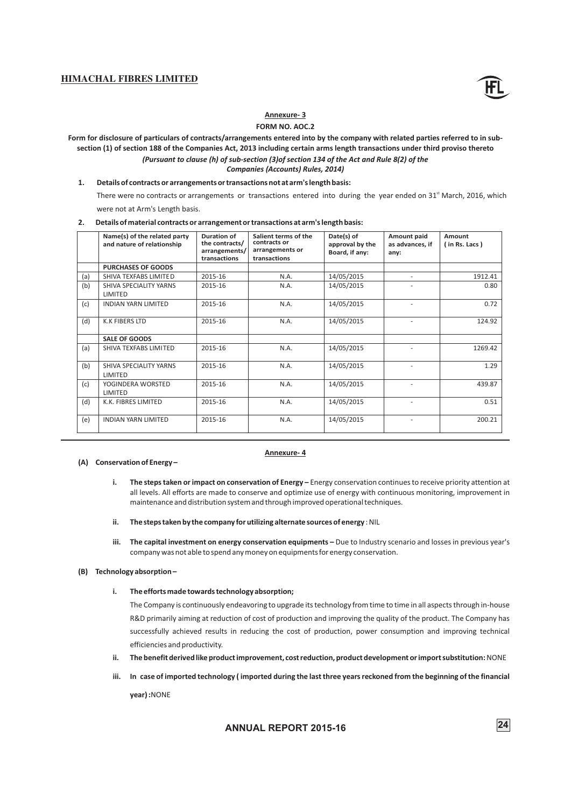![](_page_26_Picture_1.jpeg)

# **Annexure- 3**

### **FORM NO. AOC.2**

**Form for disclosure of particulars of contracts/arrangements entered into by the company with related parties referred to in subsection (1) of section 188 of the Companies Act, 2013 including certain arms length transactions under third proviso thereto**

*(Pursuant to clause (h) of sub-section (3)of section 134 of the Act and Rule 8(2) of the Companies (Accounts) Rules, 2014)*

**1. Details of contracts or arrangements or transactions not at arm's length basis:**

There were no contracts or arrangements or transactions entered into during the year ended on 31<sup>st</sup> March, 2016, which were not at Arm's Length basis.

|  | Details of material contracts or arrangement or transactions at arm's length basis: |  |
|--|-------------------------------------------------------------------------------------|--|
|--|-------------------------------------------------------------------------------------|--|

|     | Name(s) of the related party<br>and nature of relationship | Duration of<br>the contracts/<br>arrangements/<br>transactions | Salient terms of the<br>contracts or<br>arrangements or<br>transactions | Date(s) of<br>approval by the<br>Board, if any: | <b>Amount paid</b><br>as advances, if<br>anv: | Amount<br>(in Rs. Lacs) |
|-----|------------------------------------------------------------|----------------------------------------------------------------|-------------------------------------------------------------------------|-------------------------------------------------|-----------------------------------------------|-------------------------|
|     | <b>PURCHASES OF GOODS</b>                                  |                                                                |                                                                         |                                                 |                                               |                         |
| (a) | SHIVA TEXFABS LIMITED                                      | 2015-16                                                        | N.A.                                                                    | 14/05/2015                                      | $\overline{\phantom{a}}$                      | 1912.41                 |
| (b) | SHIVA SPECIALITY YARNS<br>LIMITED                          | 2015-16                                                        | N.A.                                                                    | 14/05/2015                                      |                                               | 0.80                    |
| (c) | <b>INDIAN YARN LIMITED</b>                                 | 2015-16                                                        | N.A.                                                                    | 14/05/2015                                      | ٠                                             | 0.72                    |
| (d) | <b>K.K FIBERS LTD</b>                                      | 2015-16                                                        | N.A.                                                                    | 14/05/2015                                      |                                               | 124.92                  |
|     | <b>SALE OF GOODS</b>                                       |                                                                |                                                                         |                                                 |                                               |                         |
| (a) | SHIVA TEXFABS LIMITED                                      | 2015-16                                                        | N.A.                                                                    | 14/05/2015                                      |                                               | 1269.42                 |
| (b) | SHIVA SPECIALITY YARNS<br>LIMITED                          | 2015-16                                                        | N.A.                                                                    | 14/05/2015                                      |                                               | 1.29                    |
| (c) | YOGINDERA WORSTED<br>LIMITED                               | 2015-16                                                        | N.A.                                                                    | 14/05/2015                                      |                                               | 439.87                  |
| (d) | K.K. FIBRES LIMITED                                        | 2015-16                                                        | N.A.                                                                    | 14/05/2015                                      | ٠                                             | 0.51                    |
| (e) | <b>INDIAN YARN LIMITED</b>                                 | 2015-16                                                        | N.A.                                                                    | 14/05/2015                                      |                                               | 200.21                  |

#### **(A) Conservation of Energy –**

#### **Annexure- 4**

- **i.** The steps taken or impact on conservation of Energy Energy conservation continues to receive priority attention at all levels. All efforts are made to conserve and optimize use of energy with continuous monitoring, improvement in maintenance and distribution system and through improved operational techniques.
- **ii. The steps taken by the company for utilizing alternate sources of energy** : NIL
- **iii. The capital investment on energy conservation equipments –** Due to Industry scenario and losses in previous year's company was not able to spend any money on equipments for energy conservation.

#### **(B) Technology absorption–**

**i. The efforts made towards technology absorption;**

The Company is continuously endeavoring to upgrade its technology from time to time in all aspects through in-house R&D primarily aiming at reduction of cost of production and improving the quality of the product. The Company has successfully achieved results in reducing the cost of production, power consumption and improving technical efficiencies and productivity.

- **ii. The benefit derived like product improvement, cost reduction, product development or import substitution:** NONE
- **iii. In case of imported technology ( imported during the last three years reckoned from the beginning of the financial**

**year) :**NONE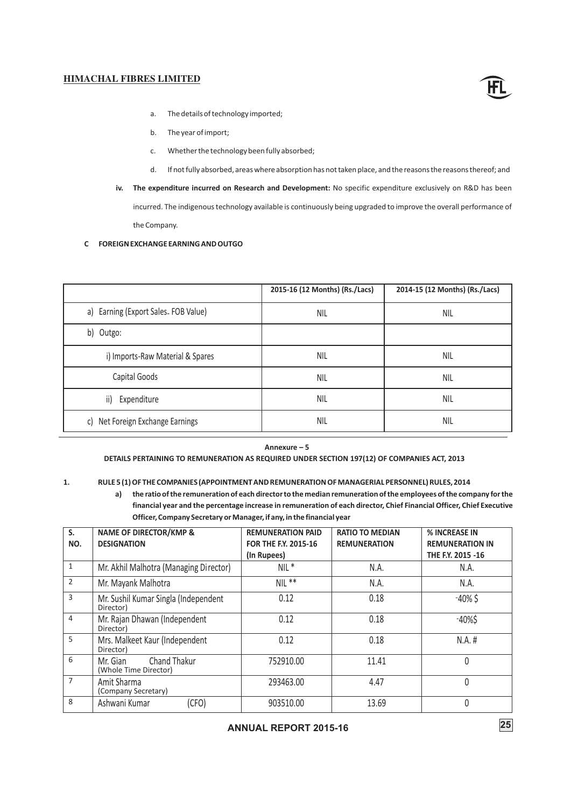![](_page_27_Picture_1.jpeg)

- a. The details of technology imported;
- b. The year of import;
- c. Whether the technology been fully absorbed;
- d. If not fully absorbed, areas where absorption has not taken place, and the reasons the reasons thereof; and
- **iv. The expenditure incurred on Research and Development:** No specific expenditure exclusively on R&D has been incurred. The indigenous technology available is continuously being upgraded to improve the overall performance of the Company.

#### **C FOREIGN EXCHANGE EARNING AND OUTGO**

|                                     | 2015-16 (12 Months) (Rs./Lacs) | 2014-15 (12 Months) (Rs./Lacs) |
|-------------------------------------|--------------------------------|--------------------------------|
| a) Earning (Export Sales FOB Value) | <b>NIL</b>                     | <b>NIL</b>                     |
| b) Outgo:                           |                                |                                |
| i) Imports-Raw Material & Spares    | <b>NIL</b>                     | <b>NIL</b>                     |
| Capital Goods                       | <b>NIL</b>                     | <b>NIL</b>                     |
| ii)<br>Expenditure                  | <b>NIL</b>                     | <b>NIL</b>                     |
| c) Net Foreign Exchange Earnings    | <b>NIL</b>                     | <b>NIL</b>                     |

**Annexure – 5**

### **DETAILS PERTAINING TO REMUNERATION AS REQUIRED UNDER SECTION 197(12) OF COMPANIES ACT, 2013**

### **1. RULE 5 (1) OF THE COMPANIES (APPOINTMENT AND REMUNERATION OF MANAGERIAL PERSONNEL) RULES, 2014**

**a) the ratio of the remuneration of each directorto the median remuneration of the employees of the company for the financial year and the percentage increase in remuneration of each director, Chief Financial Officer, Chief Executive Officer, Company Secretary or Manager, if any, in the financial year**

| S.             | <b>NAME OF DIRECTOR/KMP &amp;</b>                        | <b>REMUNERATION PAID</b> | <b>RATIO TO MEDIAN</b> | % INCREASE IN          |
|----------------|----------------------------------------------------------|--------------------------|------------------------|------------------------|
| NO.            | <b>DESIGNATION</b>                                       | FOR THE F.Y. 2015-16     | <b>REMUNERATION</b>    | <b>REMUNERATION IN</b> |
|                |                                                          | (In Rupees)              |                        | THE F.Y. 2015 -16      |
| $\mathbf{1}$   | Mr. Akhil Malhotra (Managing Director)                   | $NIL *$                  | N.A.                   | N.A.                   |
| $\overline{2}$ | Mr. Mayank Malhotra                                      | $NIL**$                  | N.A.                   | N.A.                   |
| 3              | Mr. Sushil Kumar Singla (Independent<br>Director)        | 0.12                     | 0.18                   | $-40\%$ \$             |
| $\overline{4}$ | Mr. Rajan Dhawan (Independent<br>Director)               | 0.12                     | 0.18                   | $-40%$ \$              |
| 5              | Mrs. Malkeet Kaur (Independent<br>Director)              | 0.12                     | 0.18                   | $N.A.$ #               |
| 6              | <b>Chand Thakur</b><br>Mr. Gian<br>(Whole Time Director) | 752910.00                | 11.41                  | 0                      |
| $\overline{7}$ | Amit Sharma<br>(Company Secretary)                       | 293463.00                | 4.47                   | 0                      |
| 8              | Ashwani Kumar<br>(CFO)                                   | 903510.00                | 13.69                  |                        |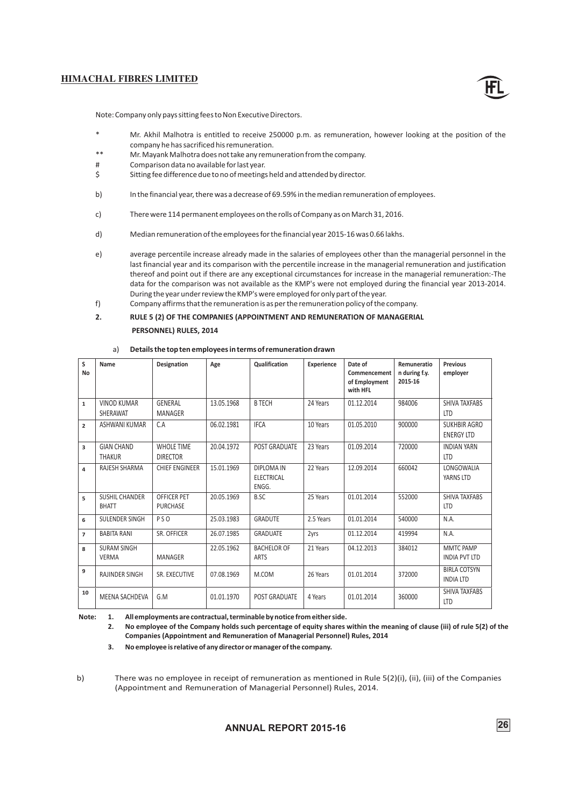![](_page_28_Picture_1.jpeg)

Note:Company only pays sitting fees to Non Executive Directors.

- Mr. Akhil Malhotra is entitled to receive 250000 p.m. as remuneration, however looking at the position of the company he has sacrificed his remuneration.
- \*\* Mr. Mayank Malhotra does not take any remuneration from the company.
- # Comparison data no available for last year.
- \$ Sitting fee difference due to no of meetings held and attended by director.
- b) In the financial year, there was a decrease of 69.59% in the median remuneration of employees.
- c) There were 114 permanent employees on the rolls of Company as on March 31, 2016.
- d) Median remuneration of the employees for the financial year 2015-16 was 0.66 lakhs.
- e) average percentile increase already made in the salaries of employees other than the managerial personnel in the last financial year and its comparison with the percentile increase in the managerial remuneration and justification thereof and point out if there are any exceptional circumstances for increase in the managerial remuneration:-The data for the comparison was not available as the KMP's were not employed during the financial year 2013-2014. During the year under review the KMP's were employed for only part of the year.

f) Company affirms that the remuneration is as per the remuneration policy of the company.

#### **2. RULE 5 (2) OF THE COMPANIES (APPOINTMENT AND REMUNERATION OF MANAGERIAL**

#### **PERSONNEL) RULES, 2014**

| S<br>No        | Name                                  | <b>Designation</b>                    | Age        | <b>Qualification</b>                            | <b>Experience</b> | Date of<br>Commencement<br>of Employment<br>with HFL | Remuneratio<br>n during f.y.<br>2015-16 | <b>Previous</b><br>employer              |
|----------------|---------------------------------------|---------------------------------------|------------|-------------------------------------------------|-------------------|------------------------------------------------------|-----------------------------------------|------------------------------------------|
| $\mathbf{1}$   | <b>VINOD KUMAR</b><br>SHERAWAT        | GENERAL<br>MANAGER                    | 13.05.1968 | <b>B TECH</b>                                   | 24 Years          | 01.12.2014                                           | 984006                                  | SHIVA TAXFABS<br><b>LTD</b>              |
| $\overline{2}$ | ASHWANI KUMAR                         | C.A                                   | 06.02.1981 | <b>IFCA</b>                                     | 10 Years          | 01.05.2010                                           | 900000                                  | <b>SUKHBIR AGRO</b><br><b>ENERGY LTD</b> |
| 3              | <b>GIAN CHAND</b><br><b>THAKUR</b>    | <b>WHOLE TIME</b><br><b>DIRECTOR</b>  | 20.04.1972 | <b>POST GRADUATE</b>                            | 23 Years          | 01.09.2014                                           | 720000                                  | <b>INDIAN YARN</b><br><b>LTD</b>         |
| 4              | RAJESH SHARMA                         | <b>CHIEF ENGINEER</b>                 | 15.01.1969 | <b>DIPLOMA IN</b><br><b>ELECTRICAL</b><br>ENGG. | 22 Years          | 12.09.2014                                           | 660042                                  | LONGOWALIA<br>YARNS LTD                  |
| 5              | <b>SUSHIL CHANDER</b><br><b>BHATT</b> | <b>OFFICER PET</b><br><b>PURCHASE</b> | 20.05.1969 | B.SC                                            | 25 Years          | 01.01.2014                                           | 552000                                  | SHIVA TAXFABS<br><b>LTD</b>              |
| 6              | SULENDER SINGH                        | <b>PSO</b>                            | 25.03.1983 | <b>GRADUTE</b>                                  | 2.5 Years         | 01.01.2014                                           | 540000                                  | N.A.                                     |
| $\overline{7}$ | <b>BABITA RANI</b>                    | SR. OFFICER                           | 26.07.1985 | <b>GRADUATE</b>                                 | 2yrs              | 01.12.2014                                           | 419994                                  | N.A.                                     |
| 8              | <b>SURAM SINGH</b><br><b>VERMA</b>    | <b>MANAGER</b>                        | 22.05.1962 | <b>BACHELOR OF</b><br><b>ARTS</b>               | 21 Years          | 04.12.2013                                           | 384012                                  | MMTC PAMP<br><b>INDIA PVT LTD</b>        |
| 9              | <b>RAJINDER SINGH</b>                 | SR. EXECUTIVE                         | 07.08.1969 | M.COM                                           | 26 Years          | 01.01.2014                                           | 372000                                  | <b>BIRLA COTSYN</b><br><b>INDIA LTD</b>  |
| 10             | <b>MEENA SACHDEVA</b>                 | G.M                                   | 01.01.1970 | <b>POST GRADUATE</b>                            | 4 Years           | 01.01.2014                                           | 360000                                  | <b>SHIVA TAXFABS</b><br><b>LTD</b>       |

#### a) **Details the top ten employees in terms of remuneration drawn**

**Note: 1. All employments are contractual, terminable by notice from either side.**

**2. No employee of the Company holds such percentage of equity shares within the meaning of clause (iii) of rule 5(2) of the Companies (Appointment and Remuneration of Managerial Personnel) Rules, 2014**

**3. No employee is relative of any director or manager of the company.**

b) There was no employee in receipt of remuneration as mentioned in Rule 5(2)(i), (ii), (iii) of the Companies (Appointment and Remuneration of Managerial Personnel) Rules, 2014.

![](_page_28_Figure_21.jpeg)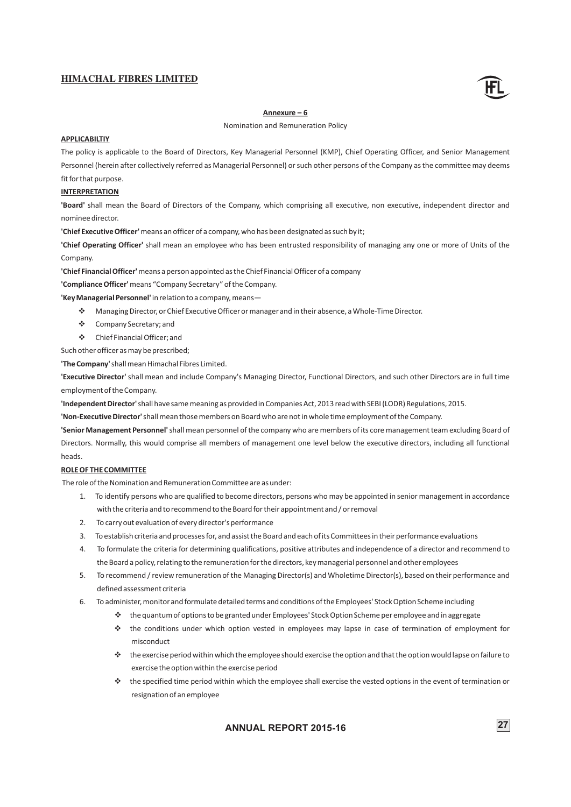![](_page_29_Picture_1.jpeg)

#### **Annexure – 6**

Nomination and Remuneration Policy

### **APPLICABILTIY**

The policy is applicable to the Board of Directors, Key Managerial Personnel (KMP), Chief Operating Officer, and Senior Management Personnel (herein after collectively referred as Managerial Personnel) or such other persons of the Company as the committee may deems fit for that purpose.

#### **INTERPRETATION**

**'Board'** shall mean the Board of Directors of the Company, which comprising all executive, non executive, independent director and nominee director.

**'Chief Executive Officer'**means an officer of a company, who has been designated as such by it;

**'Chief Operating Officer'** shall mean an employee who has been entrusted responsibility of managing any one or more of Units of the Company.

**'Chief Financial Officer'**means a person appointed as the Chief Financial Officer of a company

**'Compliance Officer'**means "Company Secretary" of the Company.

**'Key Manage rial Personnel'** in relation to a company, means—

- v Managing Director, or Chief Executive Officer or manager and in their absence, a Whole-Time Director.
- v Company Secretary; and
- v Chief Financial Officer; and

Such other officer as may be prescribed;

**'The Company'**shall mean Himachal Fibres Limited.

**'Executive Director'** shall mean and include Company's Managing Director, Functional Directors, and such other Directors are in full time employment of the Company.

**'Independent Director'**shall have same meaning as provided in Companies Act, 2013 read with SEBI (LODR) Regulations, 2015.

**'Non-Executive Director'**shall mean those members on Board who are not in whole time employment of the Company.

**'Senior Management Personnel'**shall mean personnel of the company who are members of its core management team excluding Board of Directors. Normally, this would comprise all members of management one level below the executive directors, including all functional heads.

#### **ROLE OF THE COMMITTEE**

The role of the Nomination and Remuneration Committee are as under:

- 1. To identify persons who are qualified to become directors, persons who may be appointed in senior management in accordance with the criteria and to recommend to the Board for their appointment and / or removal
- 2. To carry out evaluation of every director's performance
- 3. To establish criteria and processes for, and assist the Board and each of its Committees in their performance evaluations
- 4. To formulate the criteria for determining qualifications, positive attributes and independence of a director and recommend to the Board a policy, relating to the remuneration for the directors, key managerial personnel and other employees
- 5. To recommend / review remuneration of the Managing Director(s) and Wholetime Director(s), based on their performance and defined assessment criteria
- 6. To administer, monitor and formulate detailed terms and conditions of the Employees' Stock Option Scheme including
	- minister, monitor and formulate detailed terms and conditions of the Employees' Stock Option Scheme including<br>❖ the quantum of options to be granted under Employees' Stock Option Scheme per employee and in aggregate
	- v the conditions under which option vested in employees may lapse in case of termination of employment for misconduct
	- v the exercise period within which the employee should exercise the option and that the option would lapse on failure to
	- exercise the option within the exercise period<br>↓ the specified time period within which the employee shall exercise the vested options in the event of termination or resignation of an employee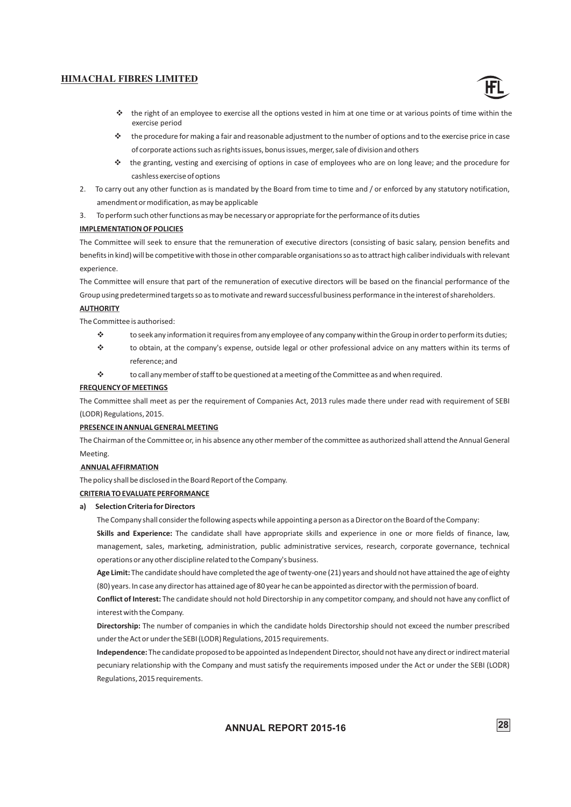![](_page_30_Picture_1.jpeg)

- $\cdot \cdot$  the right of an employee to exercise all the options vested in him at one time or at various points of time within the
- vexercise period the procedure for making a fair and reasonable adjustment to the number of options and to the exercise price in case of corporate actions such as rights issues, bonus issues, merger, sale of division and others
- v the granting, vesting and exercising of options in case of employees who are on long leave; and the procedure for cashless exercise of options
- 2. To carry out any other function as is mandated by the Board from time to time and / or enforced by any statutory notification, amendment or modification, as may be applicable

3. To perform such other functions as may be necessary or appropriate for the performance of its duties

#### **IMPLEMENTATION OF POLICIES**

The Committee will seek to ensure that the remuneration of executive directors (consisting of basic salary, pension benefits and benefits in kind) will be competitive with those in other comparable organisations so as to attract high caliber individuals with relevant experience.

The Committee will ensure that part of the remuneration of executive directors will be based on the financial performance of the Group using predetermined targets so as to motivate and reward successful business performance in the interest of shareholders.

#### **AUTHORITY**

The Commit tee is authorised:

- v to seek any information it requires from any employee of any company within the Group in order to perform its duties;
- v to obtain, at the company's expense, outside legal or other professional advice on any matters within its terms of
- reference; and<br>↓ to call any member of staff to be questioned at a meeting of the Committee as and when required.

#### **FREQUENCY OF MEETINGS**

The Committee shall meet as per the requirement of Companies Act, 2013 rules made there under read with requirement of SEBI (LODR) Regulations, 2015.

#### **PRESENCE IN ANNUAL GENERAL MEETING**

The Chairman of the Committee or, in his absence any other member of the committee as authorized shall attend the Annual General Meeting.

#### **ANNUAL AFFIRMATION**

The policy shall be disclosed in the Board Report of the Company.

#### **CRITERIA TO EVALUATE PERFORMANCE**

#### **a) Selection Criteria for Directors**

The Company shall consider the following aspects while appointing a person as a Director on the Board of the Company:

**Skills and Experience:** The candidate shall have appropriate skills and experience in one or more fields of finance, law, management, sales, marketing, administration, public administrative services, research, corporate governance, technical operations or any other discipline related to the Company's business.

**Age Limit:** The candidate should have completed the age of twenty-one (21) years and should not have attained the age of eighty (80) years. In case any director has attained age of 80 year he can be appointed as director with the permission of board.

**Conflict of Interest:** The candidate should not hold Directorship in any competitor company, and should not have any conflict of interest with the Company.

**Directorship:** The number of companies in which the candidate holds Directorship should not exceed the number prescribed under the Act or under the SEBI (LODR) Regulations, 2015 requirements.

**Independence:** The candidate proposed to be appointed as Independent Director, should not have any direct or indirect material pecuniary relationship with the Company and must satisfy the requirements imposed under the Act or under the SEBI (LODR) Regulations, 2015 requirements.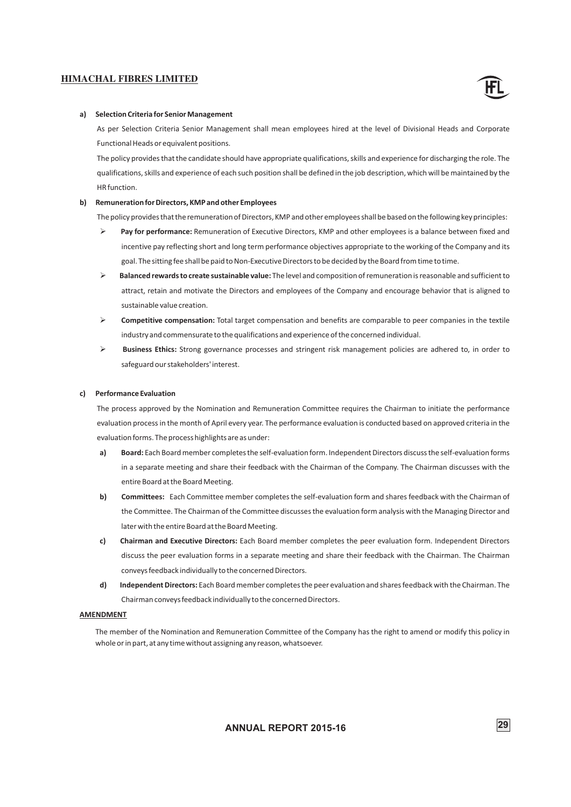![](_page_31_Picture_1.jpeg)

#### **a) Selection Criteria for Senior Management**

As per Selection Criteria Senior Management shall mean employees hired at the level of Divisional Heads and Corporate Functional Heads or equivalent positions.

The policy provides that the candidate should have appropriate qualifications, skills and experience for discharging the role. The qualifications, skills and experience of each such position shall be defined in the job description, which will be maintained by the HR function.

#### **b) Remuneration for Directors, KMP and other Employees**

The policy provides that the remuneration of Directors, KMP and other employees shall be based on the following key principles:

- Ø **Pay for performance:** Remuneration of Executive Directors, KMP and other employees is a balance between fixed and incentive pay reflecting short and long term performance objectives appropriate to the working of the Company and its goal. The sitting fee shall be paid to Non-Executive Directors to be decided by the Board from time to time.
- Ø **Balanced rewards to create sustainable value:** The level and composition of remuneration is reasonable and sufficient to attract, retain and motivate the Directors and employees of the Company and encourage behavior that is aligned to sustainable value creation.
- Ø **Competitive compensation:** Total target compensation and benefits are comparable to peer companies in the textile industry and commensurate to the qualifications and experience of the concerned individual.
- Ø **Business Ethics:** Strong governance processes and stringent risk management policies are adhered to, in order to safeguard our stakeholders' interest.

#### **c) Performance Evaluation**

The process approved by the Nomination and Remuneration Committee requires the Chairman to initiate the performance evaluation process in the month of April every year. The performance evaluation is conducted based on approved criteria in the evaluation forms. The process highlights are as under:

- **a) Board:** Each Board member completes the self-evaluation form. Independent Directors discuss the self-evaluation forms in a separate meeting and share their feedback with the Chairman of the Company. The Chairman discusses with the entire Board at the Board Meeting.
- **b)** Committees: Each Committee member completes the self-evaluation form and shares feedback with the Chairman of the Committee. The Chairman of the Committee discusses the evaluation form analysis with the Managing Director and later with the entire Board at the Board Meeting.
- **c) Chairman and Executive Directors:** Each Board member completes the peer evaluation form. Independent Directors discuss the peer evaluation forms in a separate meeting and share their feedback with the Chairman. The Chairman conveys feedback individually to the concerned Directors.
- **d) Independent Directors:** Each Board member completes the peer evaluation and shares feedback with the Chairman. The Chairman conveys feedback individually to the concerned Directors.

#### **AMENDMENT**

The member of the Nomination and Remuneration Committee of the Company has the right to amend or modify this policy in whole or in part, at any time without assigning any reason, whatsoever.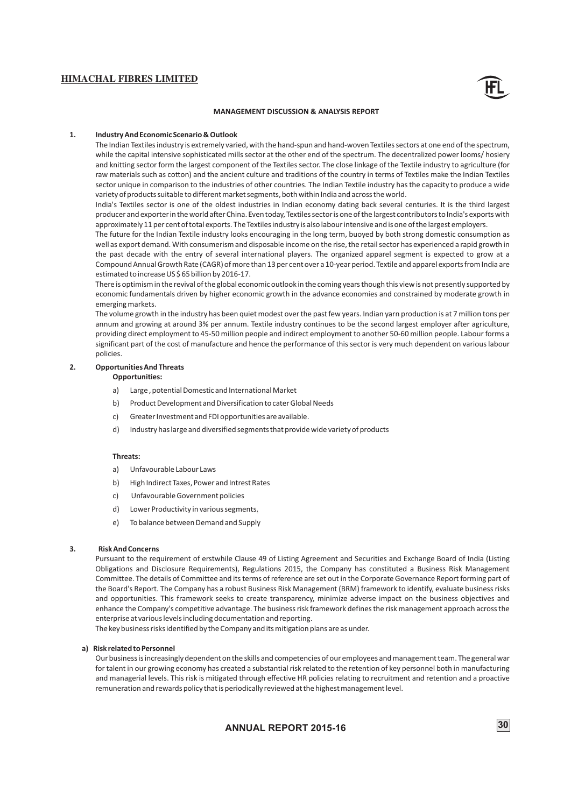![](_page_32_Picture_1.jpeg)

#### **MANAGEMENT DISCUSSION & ANALYSIS REPORT**

#### **1. Industry And Economic Scenario & Outlook**

The Indian Textiles industry is extremely varied, with the hand-spun and hand-woven Textiles sectors at one end of the spectrum, while the capital intensive sophisticated mills sector at the other end of the spectrum. The decentralized power looms/ hosiery and knitting sector form the largest component of the Textiles sector. The close linkage of the Textile industry to agriculture (for raw materials such as cotton) and the ancient culture and traditions of the country in terms of Textiles make the Indian Textiles sector unique in comparison to the industries of other countries. The Indian Textile industry has the capacity to produce a wide variety of products suitable to different market segments, both within India and across the world.

India's Textiles sector is one of the oldest industries in Indian economy dating back several centuries. It is the third largest producer and exporter in the world after China. Even today, Textiles sector is one of the largest contributors to India's exports with approximately 11 per cent of total exports. The Textiles industry is also labour intensive and is one of the largest employers.

The future for the Indian Textile industry looks encouraging in the long term, buoyed by both strong domestic consumption as well as export demand. With consumerism and disposable income on the rise, the retail sector has experienced a rapid growth in the past decade with the entry of several international players. The organized apparel segment is expected to grow at a Compound Annual Growth Rate (CAGR) of more than 13 per cent over a 10-year period. Textile and apparel exports from India are estimated to increase US \$ 65 billion by 2016-17.

There is optimism in the revival of the global economic outlook in the coming years though this view is not presently supported by economic fundamentals driven by higher economic growth in the advance economies and constrained by moderate growth in emerging markets.

The volume growth in the industry has been quiet modest over the past few years. Indian yarn production is at 7 million tons per annum and growing at around 3% per annum. Textile industry continues to be the second largest employer after agriculture, providing direct employment to 45-50 million people and indirect employment to another 50-60 million people. Labour forms a significant part of the cost of manufacture and hence the performance of this sector is very much dependent on various labour policies.

#### **2. Opportunities And Threats**

#### **Opportunities:**

- a) Large , potential Domestic and International Market
- b) Product Development and Diversification to cater Global Needs
- c) Greater Investment and FDI opportunities are available.
- d) Industry has large and diversified segments that provide wide variety of products

#### **Threats:**

- a) Unfavourable Labour Laws
- b) High Indirect Taxes, Power and Intrest Rates
- c) Unfavourable Government policies
- d) Lower Productivity in various segments.
- e) To balance between Demand and Supply

#### **3. Risk And Concerns**

Pursuant to the requirement of erstwhile Clause 49 of Listing Agreement and Securities and Exchange Board of India (Listing Obligations and Disclosure Requirements), Regulations 2015, the Company has constituted a Business Risk Management Committee. The details of Committee and its terms of reference are set out in the Corporate Governance Report forming part of the Board's Report. The Company has a robust Business Risk Management (BRM) framework to identify, evaluate business risks and opportunities. This framework seeks to create transparency, minimize adverse impact on the business objectives and enhance the Company's competitive advantage. The business risk framework defines the risk management approach across the enterprise at various levels including documentation and reporting.

The key business risks identified by the Company and its mitigation plans are as under.

#### **a) Risk related to Personnel**

Our business is increasingly dependent on the skills and competencies of our employees and management team. The general war for talent in our growing economy has created a substantial risk related to the retention of key personnel both in manufacturing and managerial levels. This risk is mitigated through effective HR policies relating to recruitment and retention and a proactive remuneration and rewards policy that is periodically reviewed at the highest management level.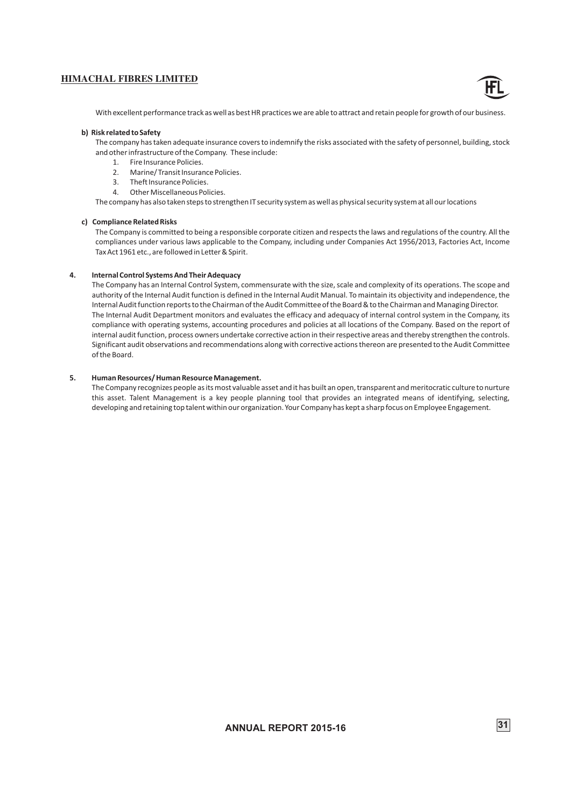![](_page_33_Picture_1.jpeg)

With excellent performance track as well as best HR practices we are able to attract and retain people for growth of our business.

#### **b) Risk related to Safety**

The company has taken adequate insurance covers to indemnify the risks associated with the safety of personnel, building, stock and other infrastructure of the Company. These include:

- 1. Fire Insurance Policies.
- 2. Marine/ Transit Insurance Policies.
- 3. Theft Insurance Policies.
- 4. Other Miscellaneous Policies.

The company has also taken steps to strengthen IT security system as well as physical security system at all our locations

#### **c) Compliance Related Risks**

The Company is committed to being a responsible corporate citizen and respects the laws and regulations of the country. All the compliances under various laws applicable to the Company, including under Companies Act 1956/2013, Factories Act, Income Tax Act 1961 etc., are followed in Letter & Spirit.

#### **4. Internal Control Systems And Their Adequacy**

The Company has an Internal Control System, commensurate with the size, scale and complexity of its operations. The scope and authority of the Internal Audit function is defined in the Internal Audit Manual. To maintain its objectivity and independence, the Internal Audit function reports to the Chairman of the Audit Committee of the Board & to the Chairman and Managing Director. The Internal Audit Department monitors and evaluates the efficacy and adequacy of internal control system in the Company, its compliance with operating systems, accounting procedures and policies at all locations of the Company. Based on the report of internal audit function, process owners undertake corrective action in their respective areas and thereby strengthen the controls. Significant audit observations and recommendations along with corrective actions thereon are presented to the Audit Committee of the Board.

#### **5. Human Resources/ Human Resource Management.**

The Company recognizes people as its most valuable asset and it has built an open, transparent and meritocratic culture to nurture this asset. Talent Management is a key people planning tool that provides an integrated means of identifying, selecting, developing and retaining top talent within our organization. Your Company has kept a sharp focus on Employee Engagement.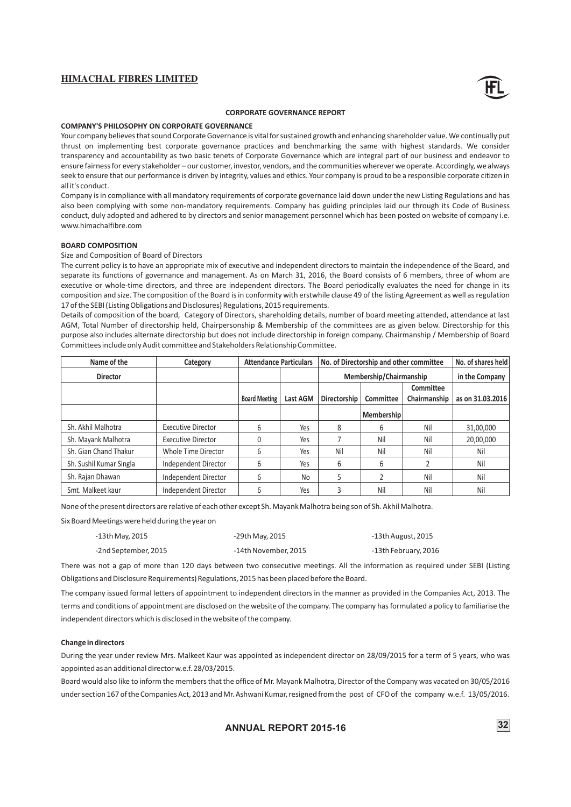![](_page_34_Picture_1.jpeg)

#### **CORPORATE GOVERNANCE REPORT**

#### **COMPANY'S PHILOSOPHY ON CORPORATE GOVERNANCE**

Your company believes that sound Corporate Governance is vital for sustained growth and enhancing shareholder value. We continually put thrust on implementing best corporate governance practices and benchmarking the same with highest standards. We consider transparency and accountability as two basic tenets of Corporate Governance which are integral part of our business and endeavor to ensure fairness for every stakeholder – our customer, investor, vendors, and the communities wherever we operate. Accordingly, we always seek to ensure that our performance is driven by integrity, values and ethics. Your company is proud to be a responsible corporate citizen in all it's conduct.

Company is in compliance with all mandatory requirements of corporate governance laid down under the new Listing Regulations and has also been complying with some non-mandatory requirements. Company has guiding principles laid our through its Code of Business conduct, duly adopted and adhered to by directors and senior management personnel which has been posted on website of company i.e. www.himachalfibre.com

#### **BOARD COMPOSITION**

#### Size and Composition of Board of Directors

The current policy is to have an appropriate mix of executive and independent directors to maintain the independence of the Board, and separate its functions of governance and management. As on March 31, 2016, the Board consists of 6 members, three of whom are executive or whole-time directors, and three are independent directors. The Board periodically evaluates the need for change in its composition and size. The composition of the Board is in conformity with erstwhile clause 49 of the listing Agreement as well as regulation 17 of the SEBI (Listing Obligations and Disclosures) Regulations, 2015 requirements.

Details of composition of the board, Category of Directors, shareholding details, number of board meeting attended, attendance at last AGM, Total Number of directorship held, Chairpersonship & Membership of the committees are as given below. Directorship for this purpose also includes alternate directorship but does not include directorship in foreign company. Chairmanship / Membership of Board Committees include only Audit committee and Stakeholders Relationship Committee.

| Name of the             | Category                  | No. of Directorship and other committee<br><b>Attendance Particulars</b> |                 |                     | No. of shares held      |              |                  |
|-------------------------|---------------------------|--------------------------------------------------------------------------|-----------------|---------------------|-------------------------|--------------|------------------|
| <b>Director</b>         |                           |                                                                          |                 |                     | Membership/Chairmanship |              |                  |
|                         |                           |                                                                          |                 |                     |                         | Committee    |                  |
|                         |                           | <b>Board Meeting</b>                                                     | <b>Last AGM</b> | <b>Directorship</b> | <b>Committee</b>        | Chairmanship | as on 31.03.2016 |
|                         |                           |                                                                          |                 |                     | <b>Membership</b>       |              |                  |
| Sh. Akhil Malhotra      | <b>Executive Director</b> | 6                                                                        | Yes             | 8                   | 6                       | Nil          | 31,00,000        |
| Sh. Mayank Malhotra     | <b>Executive Director</b> |                                                                          | Yes             |                     | Nil                     | Nil          | 20,00,000        |
| Sh. Gian Chand Thakur   | Whole Time Director       | 6                                                                        | Yes             | Nil                 | Nil                     | Nil          | Nil              |
| Sh. Sushil Kumar Singla | Independent Director      | 6                                                                        | Yes             | 6                   | 6                       |              | Nil              |
| Sh. Rajan Dhawan        | Independent Director      | 6                                                                        | <b>No</b>       |                     |                         | Nil          | Nil              |
| Smt. Malkeet kaur       | Independent Director      | 6                                                                        | Yes             |                     | Nil                     | Nil          | Nil              |

None of the present directors are relative of each other except Sh. Mayank Malhotra being son of Sh. Akhil Malhotra.

Six Board Meetings were held during the year on

| -13th May, 2015      | -29th May, 2015      | -13th August, 2015   |
|----------------------|----------------------|----------------------|
| -2nd September, 2015 | -14th November, 2015 | -13th February, 2016 |

There was not a gap of more than 120 days between two consecutive meetings. All the information as required under SEBI (Listing Obligations and Disclosure Requirements) Regulations, 2015 has been placed before the Board.

The company issued formal letters of appointment to independent directors in the manner as provided in the Companies Act, 2013. The terms and conditions of appointment are disclosed on the website of the company. The company has formulated a policy to familiarise the independent directors which is disclosed in the website of the company.

#### **Change in directors**

During the year under review Mrs. Malkeet Kaur was appointed as independent director on 28/09/2015 for a term of 5 years, who was appointed as an additional director w.e.f. 28/03/2015.

Board would also like to inform the members that the office of Mr. Mayank Malhotra, Director of the Company was vacated on 30/05/2016 under section 167 of the Companies Act, 2013 and Mr. Ashwani Kumar, resigned from the post of CFO of the company w.e.f. 13/05/2016.

**ANNUAL REPORT 2015-16** 32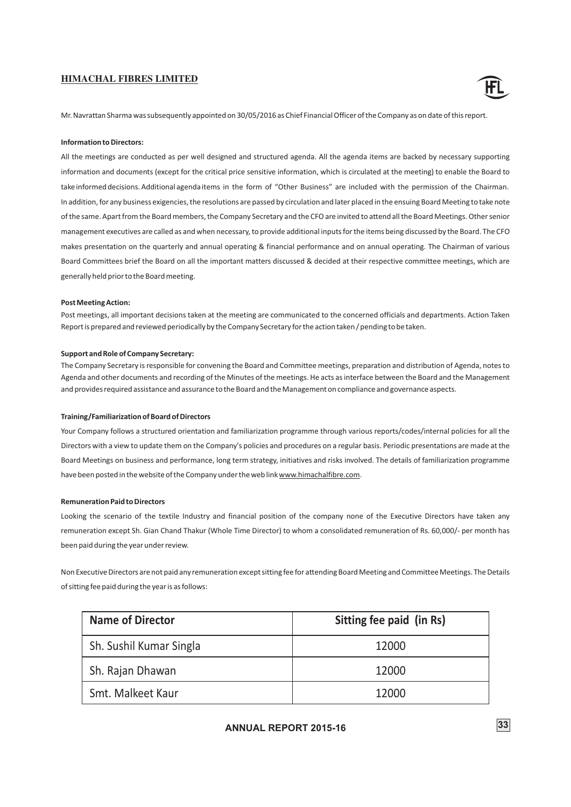![](_page_35_Picture_1.jpeg)

Mr. Navrattan Sharma was subsequently appointed on 30/05/2016 as Chief Financial Officer of the Company as on date of this report.

#### **Information to Directors:**

All the meetings are conducted as per well designed and structured agenda. All the agenda items are backed by necessary supporting information and documents (except for the critical price sensitive information, which is circulated at the meeting) to enable the Board to take informed decisions. Additional agenda items in the form of "Other Business" are included with the permission of the Chairman. In addition, for any business exigencies, the resolutions are passed by circulation and later placed in the ensuing Board Meeting to take note of the same. Apart from the Board members, the Company Secretary and the CFO are invited to attend all the Board Meetings. Other senior management executives are called as and when necessary, to provide additional inputs for the items being discussed by the Board. The CFO makes presentation on the quarterly and annual operating & financial performance and on annual operating. The Chairman of various Board Committees brief the Board on all the important matters discussed & decided at their respective committee meetings, which are generally held prior to the Board meeting.

#### **PostMeeting Action:**

Post meetings, all important decisions taken at the meeting are communicated to the concerned officials and departments. Action Taken Report is prepared and reviewed periodically by the Company Secretary for the action taken / pending to be taken.

#### **Support and Role of Company Secretary:**

The Company Secretary is responsible for convening the Board and Committee meetings, preparation and distribution of Agenda, notes to Agenda and other documents and recording of the Minutes of the meetings. He acts as interface between the Board and the Management and provides required assistance and assurance to the Board and the Management on compliance and governance aspects.

#### **Training/Familiarization of Board of Directors**

Your Company follows a structured orientation and familiarization programme through various reports/codes/internal policies for all the Directors with a view to update them on the Company's policies and procedures on a regular basis. Periodic presentations are made at the Board Meetings on business and performance, long term strategy, initiatives and risks involved. The details of familiarization programme have been posted in the website of the Company under the web link www.himachalfibre.com.

#### **Remuneration Paid to Directors**

Looking the scenario of the textile Industry and financial position of the company none of the Executive Directors have taken any remuneration except Sh. Gian Chand Thakur (Whole Time Director) to whom a consolidated remuneration of Rs. 60,000/- per month has been paid during the year under review.

Non Executive Directors are not paid any remuneration except sitting fee for attending Board Meeting and Committee Meetings. The Details of sitting fee paid during the year is as follows:

| <b>Name of Director</b> | Sitting fee paid (in Rs) |
|-------------------------|--------------------------|
| Sh. Sushil Kumar Singla | 12000                    |
| Sh. Rajan Dhawan        | 12000                    |
| Smt. Malkeet Kaur       | 12000                    |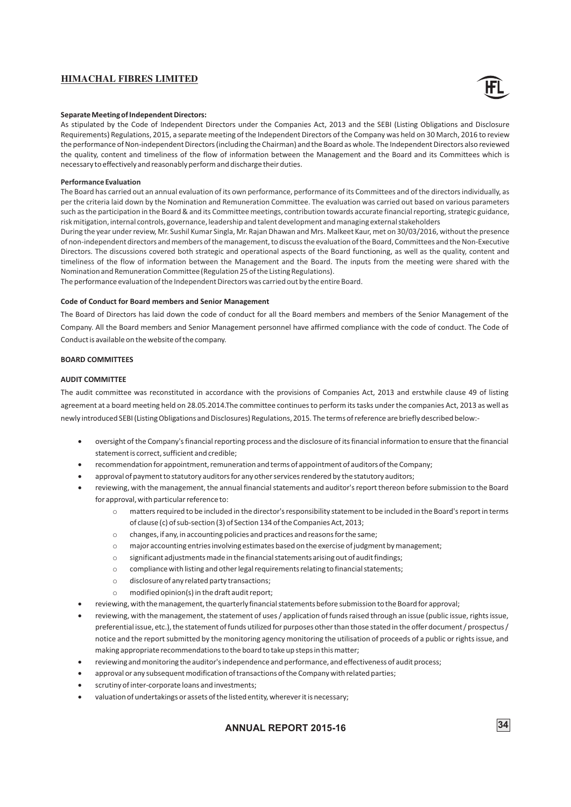![](_page_36_Picture_1.jpeg)

#### **Separate Meeting of Independent Directors:**

As stipulated by the Code of Independent Directors under the Companies Act, 2013 and the SEBI (Listing Obligations and Disclosure Requirements) Regulations, 2015, a separate meeting of the Independent Directors of the Company was held on 30 March, 2016 to review the performance of Non-independent Directors (including the Chairman) and the Board as whole. The Independent Directors also reviewed the quality, content and timeliness of the flow of information between the Management and the Board and its Committees which is necessary to effectively and reasonably perform and discharge their duties.

#### **Performance Evaluation**

The Board has carried out an annual evaluation of its own performance, performance of its Committees and of the directors individually, as per the criteria laid down by the Nomination and Remuneration Committee. The evaluation was carried out based on various parameters such as the participation in the Board & and its Committee meetings, contribution towards accurate financial reporting, strategic guidance, risk mitigation, internal controls, governance, leadership and talent development and managing external stakeholders

Directors. The discussions covered both strategic and operational aspects of the Board functioning, as well as the quality, content and During the year under review, Mr. Sushil Kumar Singla, Mr. Rajan Dhawan and Mrs. Malkeet Kaur, met on 30/03/2016, without the presence of non-independent directors and members of the management, to discuss the evaluation of the Board, Committees and the Non-Executive timeliness of the flow of information between the Management and the Board. The inputs from the meeting were shared with the Nomination and Remuneration Committee (Regulation 25 of the Listing Regulations).

The performance evaluation of the Independent Directors was carried out by the entire Board.

#### **Code of Conduct for Board members and Senior Management**

The Board of Directors has laid down the code of conduct for all the Board members and members of the Senior Management of the Company. All the Board members and Senior Management personnel have affirmed compliance with the code of conduct. The Code of Conduct is available on the website of the company.

#### **BOARD COMMITTEES**

#### **AUDIT COMMITTEE**

The audit committee was reconstituted in accordance with the provisions of Companies Act, 2013 and erstwhile clause 49 of listing agreement at a board meeting held on 28.05.2014.The committee continues to perform its tasks under the companies Act, 2013 as well as newly introduced SEBI (Listing Obligations and Disclosures) Regulations, 2015. The terms of reference are briefly described below:-

- ·oversight of the Company's financial reporting process and the disclosure of its financial information to ensure that the financial statement is correct, sufficient and credible;
- recommendation for appointment, remuneration and terms of appointment of auditors of the Company;
- approval of payment to statutory auditors for any other services rendered by the statutory auditors;
- reviewing, with the management, the annual financial statements and auditor's report thereon before submission to the Board for approval, with particular reference to:
	- o matters required to be included in the director's responsibility statement to be included in the Board's report in terms of clause (c) of sub-section (3) of Section 134 of the Companies Act, 2013;
	- o changes, if any, in accounting policies and practices and reasons for the same;
	- o major accounting entries involving estimates based on the exercise of judgment by management;
	- o significant adjustments made in the financial statements arising out of audit findings;
	- o compliance with listing and other legal requirements relating to financial statements;
	- o disclosure of any related party transactions;
	- o modified opinion(s) in the draft audit report;
- ·reviewing, with the management, the quarterly financial statements before submission to the Board for approval;
- reviewing, with the management, the statement of uses / application of funds raised through an issue (public issue, rights issue, preferential issue, etc.), the statement of funds utilized for purposes other than those stated in the offer document / prospectus / notice and the report submitted by the monitoring agency monitoring the utilisation of proceeds of a public or rights issue, and making appropriate recommendations to the board to take up steps in this matter;
- reviewing and monitoring the auditor's independence and performance, and effectiveness of audit process;
- approval or any subsequent modification of transactions of the Company with related parties;
- scrutiny of inter-corporate loans and investments;
- ·valuation of undertakings or assets of the listed entity, wherever it is necessary;

# **ANNUAL REPORT 2015-16** 34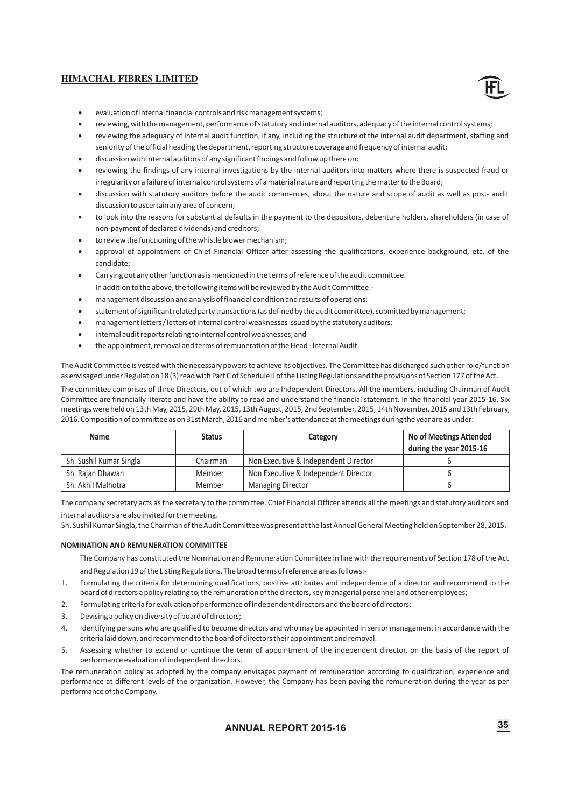![](_page_37_Picture_1.jpeg)

- ·evaluation of internal financial controls and risk management systems;
- reviewing, with the management, performance of statutory and internal auditors, adequacy of the internal control systems;
- reviewing the adequacy of internal audit function, if any, including the structure of the internal audit department, staffing and seniority of the official heading the department, reporting structure coverage and frequency of internal audit;
- ·discussion with internal auditors of any significant findings and follow up there on;
- reviewing the findings of any internal investigations by the internal auditors into matters where there is suspected fraud or irregularity or a failure of internal control systems of a material nature and reporting the matter to the Board;
- ·discussion with statutory auditors before the audit commences, about the nature and scope of audit as well as post- audit discussion to ascertain any area of concern;
- to look into the reasons for substantial defaults in the payment to the depositors, debenture holders, shareholders (in case of non-payment of declared dividends) and creditors;
- to review the functioning of the whistle blower mechanism;
- approval of appointment of Chief Financial Officer after assessing the qualifications, experience background, etc. of the candidate;
- ·Carrying out any other function as is mentioned in the terms of reference of the audit committee.
- In addition to the above, the following items will be reviewed by the Audit Committee:-
- ·management discussion and analysis of financial condition and results of operations;
- statement of significant related party transactions (as defined by the audit committee), submitted by management;
- management letters / letters of internal control weaknesses issued by the statutory auditors;
- internal audit reports relating to internal control weaknesses; and
- ·the appointment, removal and terms of remuneration of the Head Internal Audit

The Audit Committee is vested with the necessary powers to achieve its objectives. The Committee has discharged such other role/function as envisaged under Regulation 18 (3) read with Part C of Schedule II of the Listing Regulations and the provisions of Section 177 of the Act.

The committee comprises of three Directors, out of which two are Independent Directors. All the members, including Chairman of Audit Committee are financially literate and have the ability to read and understand the financial statement. In the financial year 2015-16, Six meetings were held on 13th May, 2015, 29th May, 2015, 13th August, 2015, 2nd September, 2015, 14th November, 2015 and 13th February, 2016. Composition of committee as on 31st March, 2016 and member's attendance at the meetings during the year are as under:

| <b>Name</b>             | <b>Status</b> | Category                             | <b>No of Meetings Attended</b><br>during the year 2015-16 |
|-------------------------|---------------|--------------------------------------|-----------------------------------------------------------|
| Sh. Sushil Kumar Singla | Chairman      | Non Executive & Independent Director |                                                           |
| Sh. Raian Dhawan        | Member        | Non Executive & Independent Director |                                                           |
| Sh. Akhil Malhotra      | Member        | <b>Managing Director</b>             |                                                           |

The company secretary acts as the secretary to the committee. Chief Financial Officer attends all the meetings and statutory auditors and internal auditors are also invited for the meeting.

Sh. Sushil Kumar Singla, the Chairman of the Audit Committee was present at the last Annual General Meeting held on September 28, 2015.

### **NOMINATION AND REMUNERATION COMMITTEE**

The Company has constituted the Nomination and Remuneration Committee in line with the requirements of Section 178 of the Act and Regulation 19 of the Listing Regulations. The broad terms of reference are as follows:-

- 1. Formulating the criteria for determining qualifications, positive attributes and independence of a director and recommend to the board of directors a policy relating to, the remuneration of the directors, key managerial personnel and other employees;
- 2. Formulating criteria for evaluation of performance of independent directors and the board of directors;
- 3. Devising a policy on diversity of board of directors;
- 4. Identifying persons who are qualified to become directors and who may be appointed in senior management in accordance with the criteria laid down, and recommend to the board of directors their appointment and removal.
- 5. Assessing whether to extend or continue the term of appointment of the independent director, on the basis of the report of performance evaluation of independent directors.

The remuneration policy as adopted by the company envisages payment of remuneration according to qualification, experience and performance at different levels of the organization. However, the Company has been paying the remuneration during the year as per performance of the Company.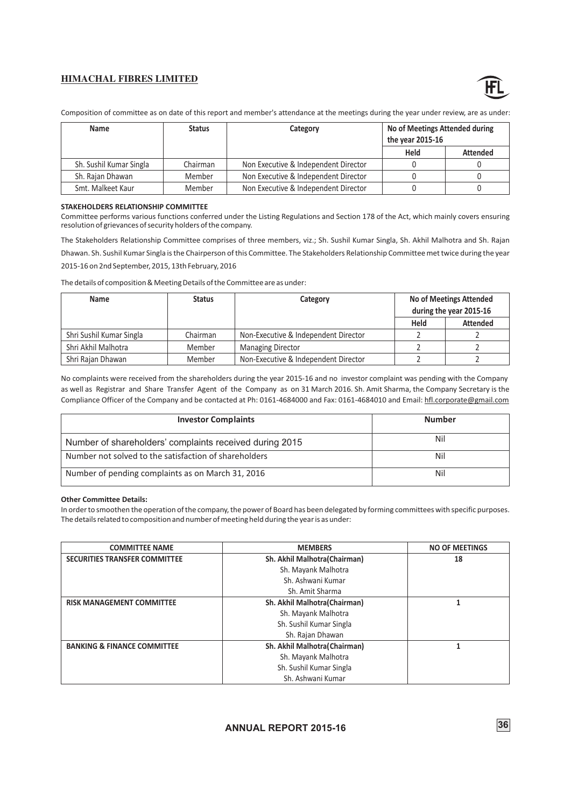![](_page_38_Picture_1.jpeg)

Composition of committee as on date of this report and member's attendance at the meetings during the year under review, are as under:

| Name                    | <b>Status</b> | Category                             | No of Meetings Attended during<br>the year 2015-16 |                 |
|-------------------------|---------------|--------------------------------------|----------------------------------------------------|-----------------|
|                         |               |                                      | Held                                               | <b>Attended</b> |
| Sh. Sushil Kumar Singla | Chairman      | Non Executive & Independent Director |                                                    |                 |
| Sh. Rajan Dhawan        | Member        | Non Executive & Independent Director |                                                    |                 |
| Smt. Malkeet Kaur       | Member        | Non Executive & Independent Director |                                                    |                 |

#### **STAKEHOLDERS RELATIONSHIP COMMITTEE**

Committee performs various functions conferred under the Listing Regulations and Section 178 of the Act, which mainly covers ensuring resolution of grievances of security holders of the company.

The Stakeholders Relationship Committee comprises of three members, viz.; Sh. Sushil Kumar Singla, Sh. Akhil Malhotra and Sh. Rajan

Dhawan. Sh. Sushil Kumar Singla is the Chairperson of this Committee. The Stakeholders Relationship Committee met twice during the year 2015-16 on 2nd September, 2015, 13th February, 2016

The details of composition & Meeting Details of the Committee are as under:

| <b>Name</b>              | <b>Status</b> | Category                             | <b>No of Meetings Attended</b> |                 |
|--------------------------|---------------|--------------------------------------|--------------------------------|-----------------|
|                          |               |                                      | during the year 2015-16        |                 |
|                          |               |                                      | Held                           | <b>Attended</b> |
| Shri Sushil Kumar Singla | Chairman      | Non-Executive & Independent Director |                                |                 |
| Shri Akhil Malhotra      | Member        | <b>Managing Director</b>             |                                |                 |
| Shri Rajan Dhawan        | Member        | Non-Executive & Independent Director |                                |                 |

No complaints were received from the shareholders during the year 2015-16 and no investor complaint was pending with the Company as well as Registrar and Share Transfer Agent of the Company as on 31 March 2016. Sh. Amit Sharma, the Company Secretary is the Compliance Officer of the Company and be contacted at Ph: 0161-4684000 and Fax: 0161-4684010 and Email: hfl.corporate@gmail.com

| <b>Investor Complaints</b>                              | <b>Number</b> |
|---------------------------------------------------------|---------------|
| Number of shareholders' complaints received during 2015 | Nil           |
| Number not solved to the satisfaction of shareholders   | Nil           |
| Number of pending complaints as on March 31, 2016       | Nil           |

#### **Other Committee Details:**

In order to smoothen the operation of the company, the power of Board has been delegated by forming committees with specific purposes. The details related to composition and number of meeting held during the year is as under:

| <b>COMMITTEE NAME</b>                  | <b>MEMBERS</b>                | <b>NO OF MEETINGS</b> |
|----------------------------------------|-------------------------------|-----------------------|
| <b>SECURITIES TRANSFER COMMITTEE</b>   | Sh. Akhil Malhotra (Chairman) | 18                    |
|                                        | Sh. Mayank Malhotra           |                       |
|                                        | Sh. Ashwani Kumar             |                       |
|                                        | Sh. Amit Sharma               |                       |
| <b>RISK MANAGEMENT COMMITTEE</b>       | Sh. Akhil Malhotra (Chairman) |                       |
|                                        | Sh. Mayank Malhotra           |                       |
|                                        | Sh. Sushil Kumar Singla       |                       |
|                                        | Sh. Rajan Dhawan              |                       |
| <b>BANKING &amp; FINANCE COMMITTEE</b> | Sh. Akhil Malhotra(Chairman)  |                       |
|                                        | Sh. Mayank Malhotra           |                       |
|                                        | Sh. Sushil Kumar Singla       |                       |
|                                        | Sh. Ashwani Kumar             |                       |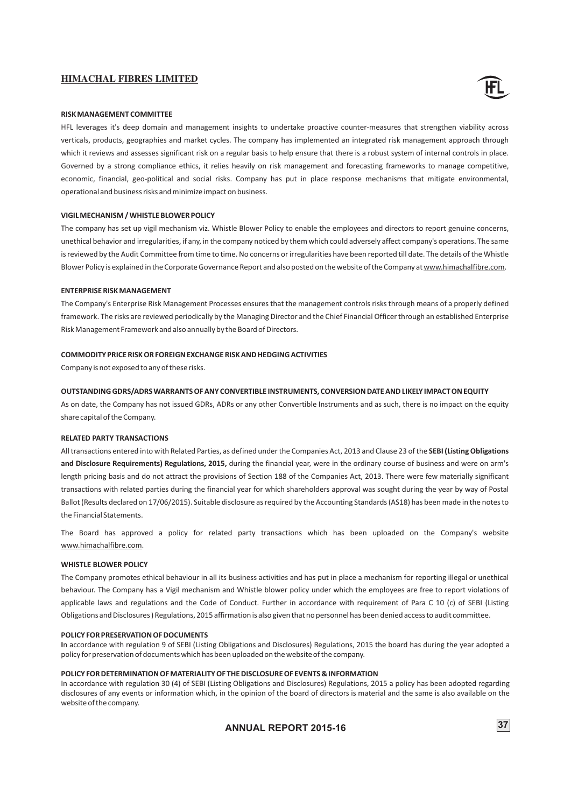![](_page_39_Picture_1.jpeg)

#### **RISK MANAGEMENT COMMITTEE**

HFL leverages it's deep domain and management insights to undertake proactive counter-measures that strengthen viability across verticals, products, geographies and market cycles. The company has implemented an integrated risk management approach through which it reviews and assesses significant risk on a regular basis to help ensure that there is a robust system of internal controls in place. Governed by a strong compliance ethics, it relies heavily on risk management and forecasting frameworks to manage competitive, economic, financial, geo-political and social risks. Company has put in place response mechanisms that mitigate environmental, operational and business risks and minimize impact on business.

#### **VIGIL MECHANISM / WHISTLE BLOWER POLICY**

The company has set up vigil mechanism viz. Whistle Blower Policy to enable the employees and directors to report genuine concerns, unethical behavior and irregularities, if any, in the company noticed by them which could adversely affect company's operations. The same is reviewed by the Audit Committee from time to time. No concerns or irregularities have been reported till date. The details of the Whistle Blower Policy is explained in the Corporate Governance Report and also posted on the website of the Company at www.himachalfibre.com.

#### **ENTERPRISE RISK MANAGEMENT**

The Company's Enterprise Risk Management Processes ensures that the management controls risks through means of a properly defined framework. The risks are reviewed periodically by the Managing Director and the Chief Financial Officer through an established Enterprise Risk Management Framework and also annually by the Board of Directors.

#### **COMMODITY PRICE RISK OR FOREIGN EXCHANGE RISK AND HEDGING ACTIVITIES**

Company is not exposed to any of these risks.

#### **OUTSTANDING GDRS/ADRS WARRANTS OF ANY CONVERTIBLE INSTRUMENTS, CONVERSION DATE AND LIKELY IMPACT ON EQUITY**

As on date, the Company has not issued GDRs, ADRs or any other Convertible Instruments and as such, there is no impact on the equity share capital of the Company.

#### **RELATED PARTY TRANSACTIONS**

All transactions entered into with Related Parties, as defined under the Companies Act, 2013 and Clause 23 of the **SEBI (Listing Obligations and Disclosure Requirements) Regulations, 2015,** during the financial year, were in the ordinary course of business and were on arm's length pricing basis and do not attract the provisions of Section 188 of the Companies Act, 2013. There were few materially significant transactions with related parties during the financial year for which shareholders approval was sought during the year by way of Postal Ballot (Results declared on 17/06/2015). Suitable disclosure as required by the Accounting Standards (AS18) has been made in the notes to the Financial Statements.

The Board has approved a policy for related party transactions which has been uploaded on the Company's website www.himachalfibre.com.

#### **WHISTLE BLOWER POLICY**

The Company promotes ethical behaviour in all its business activities and has put in place a mechanism for reporting illegal or unethical behaviour. The Company has a Vigil mechanism and Whistle blower policy under which the employees are free to report violations of applicable laws and regulations and the Code of Conduct. Further in accordance with requirement of Para C 10 (c) of SEBI (Listing Obligations and Disclosures ) Regulations, 2015 affirmation is also given that no personnel has been denied access to audit committee.

#### **POLICY FOR PRESERVATION OF DOCUMENTS**

**I**n accordance with regulation 9 of SEBI (Listing Obligations and Disclosures) Regulations, 2015 the board has during the year adopted a policy for preservation of documents which has been uploaded on the website of the company.

#### **POLICY FOR DETERMINATION OF MATERIALITY OF THE DISCLOSURE OF EVENTS & INFORMATION**

In accordance with regulation 30 (4) of SEBI (Listing Obligations and Disclosures) Regulations, 2015 a policy has been adopted regarding disclosures of any events or information which, in the opinion of the board of directors is material and the same is also available on the website of the company.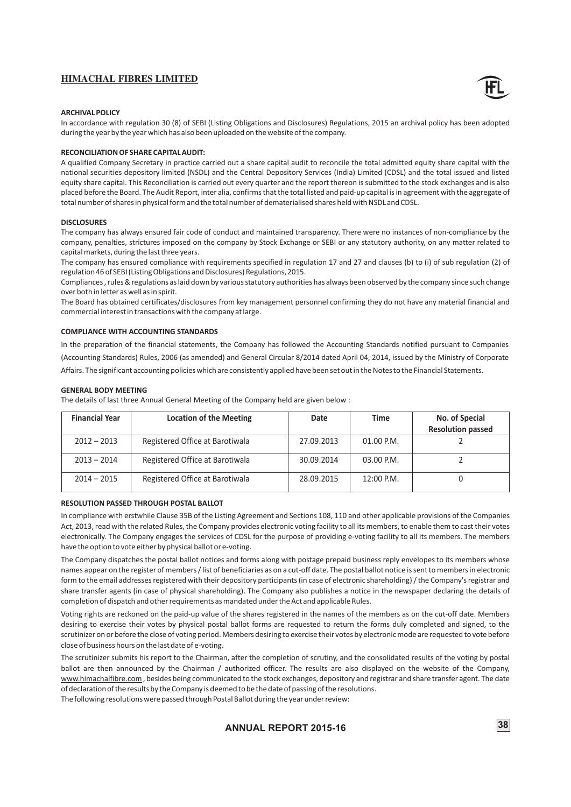![](_page_40_Picture_1.jpeg)

#### **ARCHIVAL POLICY**

In accordance with regulation 30 (8) of SEBI (Listing Obligations and Disclosures) Regulations, 2015 an archival policy has been adopted during the year by the year which has also been uploaded on the website of the company.

#### **RECONCILIATION OF SHARE CAPITAL AUDIT:**

A qualified Company Secretary in practice carried out a share capital audit to reconcile the total admitted equity share capital with the national securities depository limited (NSDL) and the Central Depository Services (India) Limited (CDSL) and the total issued and listed equity share capital. This Reconciliation is carried out every quarter and the report thereon is submitted to the stock exchanges and is also placed before the Board. The Audit Report, inter alia, confirms that the total listed and paid-up capital is in agreement with the aggregate of total number of shares in physical form and the total number of dematerialised shares held with NSDL and CDSL.

#### **DISCLOSURES**

The company has always ensured fair code of conduct and maintained transparency. There were no instances of non-compliance by the company, penalties, strictures imposed on the company by Stock Exchange or SEBI or any statutory authority, on any matter related to capital markets, during the last three years.

The company has ensured compliance with requirements specified in regulation 17 and 27 and clauses (b) to (i) of sub regulation (2) of regulation 46 of SEBI (Listing Obligations and Disclosures) Regulations, 2015.

Compliances , rules & regulations as laid down by various statutory authorities has always been observed by the company since such change over both in letter as well as in spirit.

The Board has obtained certificates/disclosures from key management personnel confirming they do not have any material financial and commercial interest in transactions with the company at large.

#### **COMPLIANCE WITH ACCOUNTING STANDARDS**

In the preparation of the financial statements, the Company has followed the Accounting Standards notified pursuant to Companies (Accounting Standards) Rules, 2006 (as amended) and General Circular 8/2014 dated April 04, 2014, issued by the Ministry of Corporate Affairs. The significant accounting policies which are consistently applied have been set out in the Notes to the Financial Statements.

#### **GENERAL BODY MEETING**

The details of last three Annual General Meeting of the Company held are given below :

| <b>Financial Year</b> | <b>Location of the Meeting</b>  | Date       | Time         | No. of Special           |
|-----------------------|---------------------------------|------------|--------------|--------------------------|
|                       |                                 |            |              | <b>Resolution passed</b> |
| $2012 - 2013$         | Registered Office at Barotiwala | 27.09.2013 | 01.00 P.M.   |                          |
| $2013 - 2014$         | Registered Office at Barotiwala | 30.09.2014 | 03.00 P.M.   |                          |
| $2014 - 2015$         | Registered Office at Barotiwala | 28.09.2015 | $12:00$ P.M. |                          |

#### **RESOLUTION PASSED THROUGH POSTAL BALLOT**

In compliance with erstwhile Clause 35B of the Listing Agreement and Sections 108, 110 and other applicable provisions of the Companies Act, 2013, read with the related Rules, the Company provides electronic voting facility to all its members, to enable them to cast their votes electronically. The Company engages the services of CDSL for the purpose of providing e-voting facility to all its members. The members have the option to vote either by physical ballot or e-voting.

The Company dispatches the postal ballot notices and forms along with postage prepaid business reply envelopes to its members whose names appear on the register of members / list of beneficiaries as on a cut-off date. The postal ballot notice is sent to members in electronic form to the email addresses registered with their depository participants (in case of electronic shareholding) / the Company's registrar and share transfer agents (in case of physical shareholding). The Company also publishes a notice in the newspaper declaring the details of completion of dispatch and other requirements as mandated under the Act and applicable Rules.

Voting rights are reckoned on the paid-up value of the shares registered in the names of the members as on the cut-off date. Members desiring to exercise their votes by physical postal ballot forms are requested to return the forms duly completed and signed, to the scrutinizer on or before the close of voting period. Members desiring to exercise their votes by electronic mode are requested to vote before close of business hours on the last date of e-voting.

The scrutinizer submits his report to the Chairman, after the completion of scrutiny, and the consolidated results of the voting by postal ballot are then announced by the Chairman / authorized officer. The results are also displayed on the website of the Company, www.himachalfibre.com , besides being communicated to the stock exchanges, depository and registrar and share transfer agent. The date of declaration of the results by the Company is deemed to be the date of passing of the resolutions.

The following resolutions were passed through Postal Ballot during the year under review: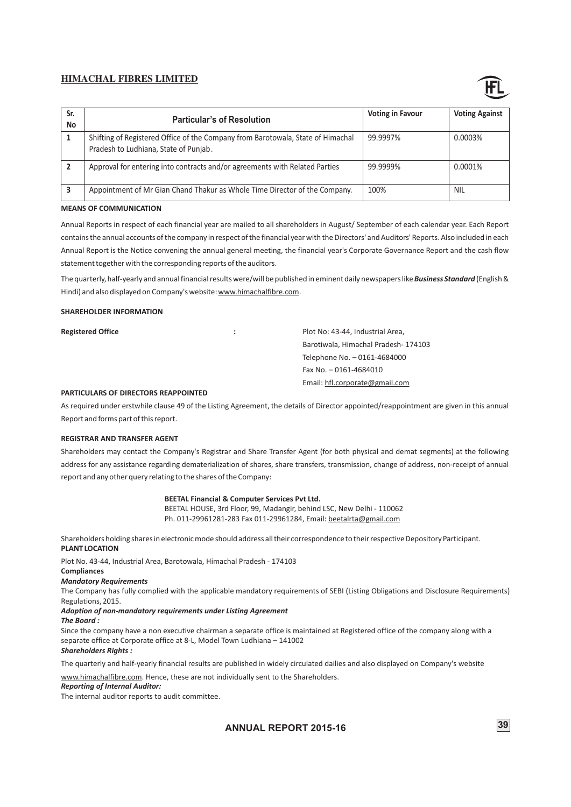![](_page_41_Picture_1.jpeg)

| Sr.<br>No | <b>Particular's of Resolution</b>                                                                                        | <b>Voting in Favour</b> | <b>Voting Against</b> |
|-----------|--------------------------------------------------------------------------------------------------------------------------|-------------------------|-----------------------|
|           | Shifting of Registered Office of the Company from Barotowala, State of Himachal<br>Pradesh to Ludhiana, State of Punjab. | 99.9997%                | 0.0003%               |
|           | Approval for entering into contracts and/or agreements with Related Parties                                              | 99.9999%                | 0.0001%               |
|           | Appointment of Mr Gian Chand Thakur as Whole Time Director of the Company.                                               | 100%                    | NIL                   |

#### **MEANS OF COMMUNICATION**

Annual Reports in respect of each financial year are mailed to all shareholders in August/ September of each calendar year. Each Report contains the annual accounts of the company in respect of the financial year with the Directors' and Auditors' Reports. Also included in each Annual Report is the Notice convening the annual general meeting, the financial year's Corporate Governance Report and the cash flow statement together with the corresponding reports of the auditors.

The quarterly, half-yearly and annual financial results were/will be published in eminent daily newspapers like *Business Standard* (English & Hindi) and also displayed on Company's website: www.himachalfibre.com.

#### **SHAREHOLDER INFORMATION**

**Registered Office :** Plot No: 43-44, Industrial Area, Barotiwala, Himachal Pradesh- 174103 Telephone No. – 0161-4684000 Fax No. – 0161-4684010 Email: hfl.corporate@gmail.com

#### **PARTICULARS OF DIRECTORS REAPPOINTED**

As required under erstwhile clause 49 of the Listing Agreement, the details of Director appointed/reappointment are given in this annual Report and forms part of this report.

#### **REGISTRAR AND TRANSFER AGENT**

Shareholders may contact the Company's Registrar and Share Transfer Agent (for both physical and demat segments) at the following address for any assistance regarding dematerialization of shares, share transfers, transmission, change of address, non-receipt of annual report and any other query relating to the shares of the Company:

#### **BEETAL Financial & Computer Services Pvt Ltd.**

BEETAL HOUSE, 3rd Floor, 99, Madangir, behind LSC, New Delhi - 110062 Ph. 011-29961281-283 Fax 011-29961284, Email: beetalrta@gmail.com

Shareholders holding shares in electronic mode should address all their correspondence to their respective Depository Participant.

# **PLANT LOCATION**

Plot No. 43-44, Industrial Area, Barotowala, Himachal Pradesh - 174103

#### **Compliances**

#### *Mandatory Requirements*

The Company has fully complied with the applicable mandatory requirements of SEBI (Listing Obligations and Disclosure Requirements) Regulations, 2015.

# *Adoption of non-mandatory requirements under Listing Agreement*

#### *The Board :*

Since the company have a non executive chairman a separate office is maintained at Registered office of the company along with a separate office at Corporate office at 8-L, Model Town Ludhiana – 141002

#### *Shareholders Rights :*

The quarterly and half-yearly financial results are published in widely circulated dailies and also displayed on Company's website

www.himachalfibre.com. Hence, these are not individually sent to the Shareholders.

#### *Reporting of Internal Auditor:*

The internal auditor reports to audit committee.

**ANNUAL REPORT 2015-16** 39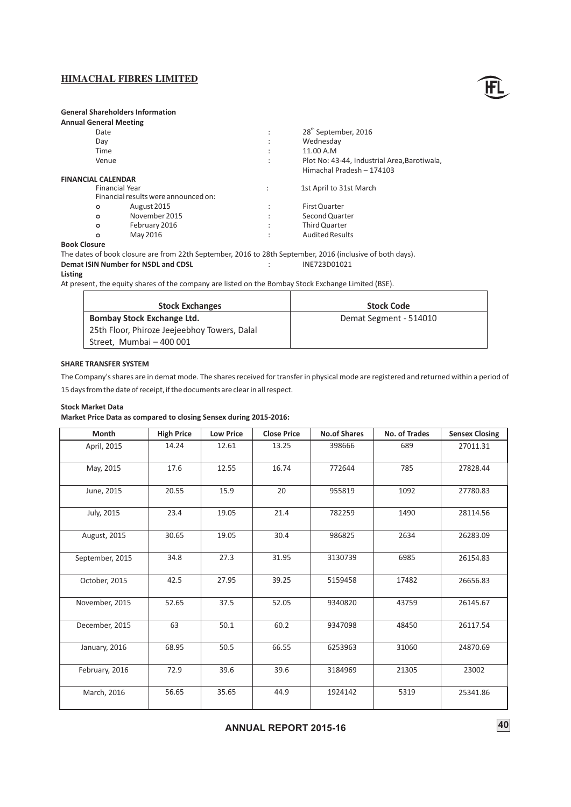![](_page_42_Picture_1.jpeg)

# **General Shareholders Information**

# **Annual General Meeting**

|                     | Date                      |                                      | ٠<br>$\cdot$              | 28 <sup>th</sup> September, 2016             |
|---------------------|---------------------------|--------------------------------------|---------------------------|----------------------------------------------|
|                     | Day                       |                                      | ٠<br>$\cdot$              | Wednesday                                    |
|                     | Time                      |                                      | ٠<br>$\ddot{\phantom{0}}$ | 11.00 A.M                                    |
|                     | Venue                     |                                      | ٠<br>$\cdot$              | Plot No: 43-44, Industrial Area, Barotiwala, |
|                     |                           |                                      |                           | Himachal Pradesh - 174103                    |
|                     | <b>FINANCIAL CALENDAR</b> |                                      |                           |                                              |
|                     | Financial Year            |                                      |                           | 1st April to 31st March                      |
|                     |                           | Financial results were announced on: |                           |                                              |
|                     | $\circ$                   | August 2015                          | ٠<br>$\overline{a}$       | First Quarter                                |
|                     | $\circ$                   | November 2015                        | ٠<br>$\overline{a}$       | Second Quarter                               |
|                     | $\circ$                   | February 2016                        | ٠<br>$\cdot$              | Third Quarter                                |
|                     | $\circ$                   | May 2016                             | ٠                         | <b>Audited Results</b>                       |
| <b>Dool</b> Closure |                           |                                      |                           |                                              |

#### **Book Closure**

The dates of book closure are from 22th September, 2016 to 28th September, 2016 (inclusive of both days).<br>
Demat ISIN Number for NSDL and CDSL (inclusive of both days). **Demat ISIN Number for NSDL and CDSL intervalse in the SND** 

#### **Listing**

At present, the equity shares of the company are listed on the Bombay Stock Exchange Limited (BSE).

| <b>Stock Exchanges</b>                       | <b>Stock Code</b>      |
|----------------------------------------------|------------------------|
| Bombay Stock Exchange Ltd.                   | Demat Segment - 514010 |
| 25th Floor, Phiroze Jeejeebhoy Towers, Dalal |                        |
| Street, Mumbai - 400 001                     |                        |

### **SHARE TRANSFER SYSTEM**

The Company's shares are in demat mode. The shares received for transfer in physical mode are registered and returned within a period of

15 days from the date of receipt, if the documents are clear in all respect.

### **Stock Market Data**

**Market Price Data as compared to closing Sensex during 2015-2016:**

| Month           | <b>High Price</b> | <b>Low Price</b> | <b>Close Price</b> | <b>No.of Shares</b> | No. of Trades | <b>Sensex Closing</b> |
|-----------------|-------------------|------------------|--------------------|---------------------|---------------|-----------------------|
| April, 2015     | 14.24             | 12.61            | 13.25              | 398666              | 689           | 27011.31              |
| May, 2015       | 17.6              | 12.55            | 16.74              | 772644              | 785           | 27828.44              |
| June, 2015      | 20.55             | 15.9             | 20                 | 955819              | 1092          | 27780.83              |
| July, 2015      | 23.4              | 19.05            | 21.4               | 782259              | 1490          | 28114.56              |
| August, 2015    | 30.65             | 19.05            | 30.4               | 986825              | 2634          | 26283.09              |
| September, 2015 | 34.8              | 27.3             | 31.95              | 3130739             | 6985          | 26154.83              |
| October, 2015   | 42.5              | 27.95            | 39.25              | 5159458             | 17482         | 26656.83              |
| November, 2015  | 52.65             | 37.5             | 52.05              | 9340820             | 43759         | 26145.67              |
| December, 2015  | 63                | 50.1             | 60.2               | 9347098             | 48450         | 26117.54              |
| January, 2016   | 68.95             | 50.5             | 66.55              | 6253963             | 31060         | 24870.69              |
| February, 2016  | 72.9              | 39.6             | 39.6               | 3184969             | 21305         | 23002                 |
| March, 2016     | 56.65             | 35.65            | 44.9               | 1924142             | 5319          | 25341.86              |

**ANNUAL 40 REPORT 2015-16**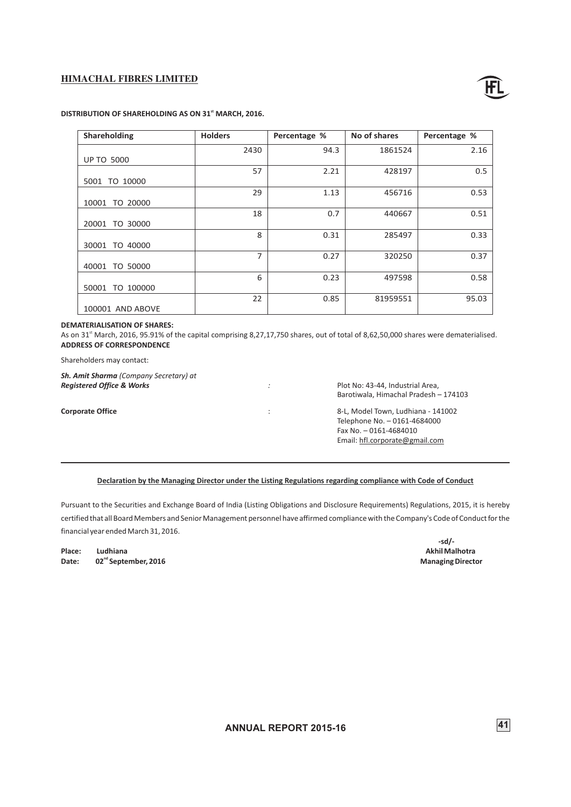![](_page_43_Picture_1.jpeg)

| Shareholding       | <b>Holders</b> | Percentage % | No of shares | Percentage % |
|--------------------|----------------|--------------|--------------|--------------|
|                    | 2430           | 94.3         | 1861524      | 2.16         |
| <b>UP TO 5000</b>  |                |              |              |              |
|                    | 57             | 2.21         | 428197       | 0.5          |
| 5001 TO 10000      |                |              |              |              |
|                    | 29             | 1.13         | 456716       | 0.53         |
| TO 20000<br>10001  |                |              |              |              |
|                    | 18             | 0.7          | 440667       | 0.51         |
| TO 30000<br>20001  |                |              |              |              |
|                    | 8              | 0.31         | 285497       | 0.33         |
| TO 40000<br>30001  |                |              |              |              |
|                    | 7              | 0.27         | 320250       | 0.37         |
| TO 50000<br>40001  |                |              |              |              |
|                    | 6              | 0.23         | 497598       | 0.58         |
| TO 100000<br>50001 |                |              |              |              |
|                    | 22             | 0.85         | 81959551     | 95.03        |
| 100001 AND ABOVE   |                |              |              |              |

## **DISTRIBUTION OF SHAREHOLDING AS ON 31<sup>st</sup> MARCH, 2016.**

#### **DEMATERIALISATION OF SHARES:**

As on 31<sup>st</sup> March, 2016, 95.91% of the capital comprising 8,27,17,750 shares, out of total of 8,62,50,000 shares were dematerialised. **ADDRESS OF CORRESPONDENCE**

Shareholders may contact:

*Sh. Amit Sharma (Company Secretary) at*

*Registered Office & Works :* Plot No: 43-44, Industrial Area, Barotiwala, Himachal Pradesh – 174103

**Corporate Office** : 8-L, Model Town, Ludhiana - 141002 Telephone No. – 0161-4684000 Fax No. – 0161-4684010 Email: hfl.corporate@gmail.com

#### **Declaration by the Managing Director under the Listing Regulations regarding compliance with Code of Conduct**

Pursuant to the Securities and Exchange Board of India (Listing Obligations and Disclosure Requirements) Regulations, 2015, it is hereby certified that all Board Members and Senior Management personnel have affirmed compliance with the Company's Code of Conduct for the financial year ended March 31, 2016.

**Place: Ludhiana Akhil Malhotra ndate: 02<sup>nd</sup> September, 2016 CONSISTED ASSAULT ASSAULT AT A REPORT OF A REPORT OF A REPORT OF A REPORT OF A REPORT OF A REPORT OF A REPORT OF A REPORT OF A REPORT OF A REPORT OF A REPORT OF A REPORT OF A REPORT OF A** 

**-sd/-**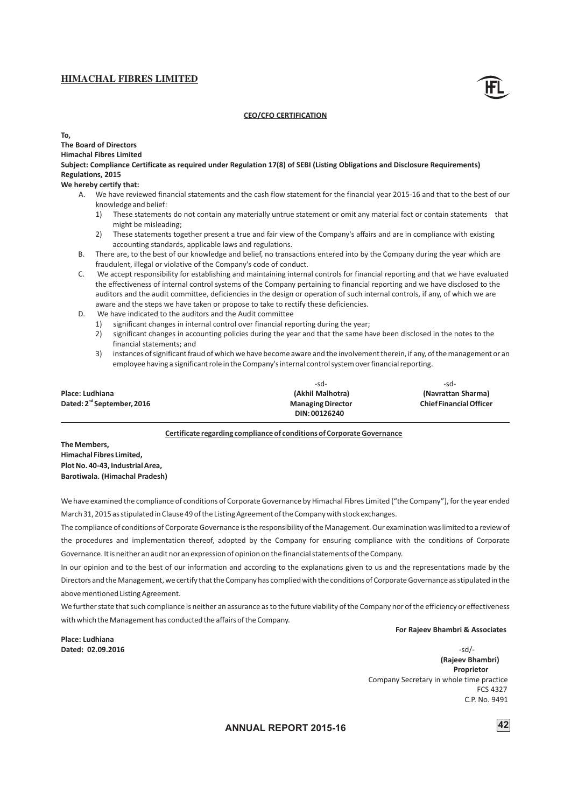![](_page_44_Picture_1.jpeg)

#### **CEO/CFO CERTIFICATION**

**To,**

**The Board of Directors Himachal Fibres Limited**

**Subject: Compliance Certificate as required under Regulation 17(8) of SEBI (Listing Obligations and Disclosure Requirements) Regulations, 2015**

**We hereby certify that:**

- A. We have reviewed financial statements and the cash flow statement for the financial year 2015-16 and that to the best of our knowledge and belief:
	- 1) These statements do not contain any materially untrue statement or omit any material fact or contain statements that might be misleading;
	- 2) These statements together present a true and fair view of the Company's affairs and are in compliance with existing accounting standards, applicable laws and regulations.
- B. There are, to the best of our knowledge and belief, no transactions entered into by the Company during the year which are fraudulent, illegal or violative of the Company's code of conduct.
- C. We accept responsibility for establishing and maintaining internal controls for financial reporting and that we have evaluated the effectiveness of internal control systems of the Company pertaining to financial reporting and we have disclosed to the auditors and the audit committee, deficiencies in the design or operation of such internal controls, if any, of which we are aware and the steps we have taken or propose to take to rectify these deficiencies.
- D. We have indicated to the auditors and the Audit committee
	- 1) significant changes in internal control over financial reporting during the year;
	- 2) significant changes in accounting policies during the year and that the same have been disclosed in the notes to the financial statements; and
	- 3) instances of significant fraud of which we have become aware and the involvement therein, if any, of the management or an employee having a significant role in the Company's internal control system over financial reporting.

|                                        | -sd-                     | -sd-                           |
|----------------------------------------|--------------------------|--------------------------------|
| Place: Ludhiana                        | (Akhil Malhotra)         | (Navrattan Sharma)             |
| Dated: 2 <sup>nd</sup> September, 2016 | <b>Managing Director</b> | <b>Chief Financial Officer</b> |
|                                        | DIN: 00126240            |                                |

#### **Certificate regarding compliance of conditions of Corporate Governance**

**The Members, Himachal Fibres Limited, Plot No. 40-43, Industrial Area, Barotiwala. (Himachal Pradesh)**

We have examined the compliance of conditions of Corporate Governance by Himachal Fibres Limited ("the Company"), for the year ended March 31, 2015 as stipulated in Clause 49 of the Listing Agreement of the Company with stock exchanges.

The compliance of conditions of Corporate Governance is the responsibility of the Management. Our examination was limited to a review of the procedures and implementation thereof, adopted by the Company for ensuring compliance with the conditions of Corporate Governance. It is neither an audit nor an expression of opinion on the financial statements of the Company.

In our opinion and to the best of our information and according to the explanations given to us and the representations made by the Directors and the Management, we certify that the Company has complied with the conditions of Corporate Governance as stipulated in the above mentioned Listing Agreement.

We further state that such compliance is neither an assurance as to the future viability of the Company nor of the efficiency or effectiveness with which the Management has conducted the affairs of the Company.

 **For Rajeev Bhambri & Associates**

**Place: Ludhiana Dated: 02.09.2016**

 -sd/- **(Rajeev Bhambri) Proprietor** Company Secretary in whole time practice FCS 4327 C.P. No. 9491

**ANNUAL 42 REPORT 2015-16**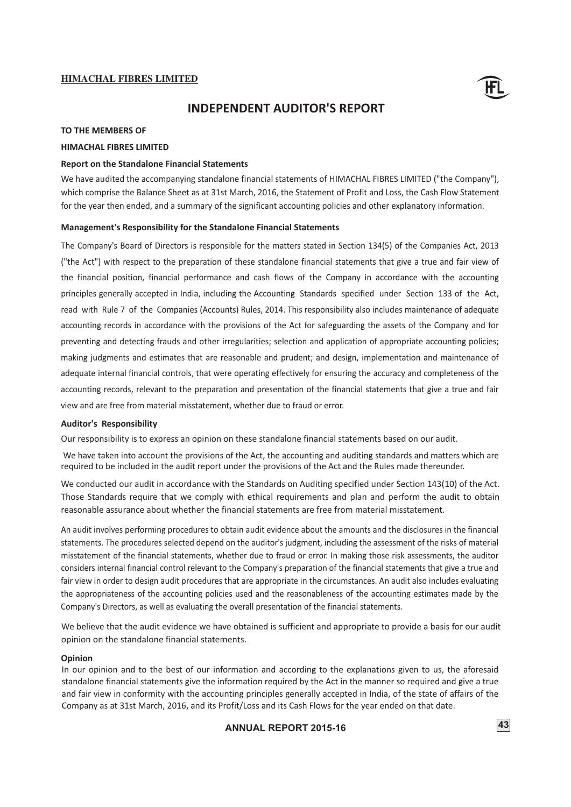![](_page_45_Picture_1.jpeg)

# **INDEPENDENT AUDITOR'S REPORT**

#### **TO THE MEMBERS OF**

#### **HIMACHAL FIBRES LIMITED**

#### **Report on the Standalone Financial Statements**

We have audited the accompanying standalone financial statements of HIMACHAL FIBRES LIMITED ("the Company"), which comprise the Balance Sheet as at 31st March, 2016, the Statement of Profit and Loss, the Cash Flow Statement for the year then ended, and a summary of the significant accounting policies and other explanatory information.

#### **Management's Responsibility for the Standalone Financial Statements**

The Company's Board of Directors is responsible for the matters stated in Section 134(5) of the Companies Act, 2013 ("the Act") with respect to the preparation of these standalone financial statements that give a true and fair view of the financial position, financial performance and cash flows of the Company in accordance with the accounting principles generally accepted in India, including the Accounting Standards specified under Section 133 of the Act, read with Rule 7 of the Companies (Accounts) Rules, 2014. This responsibility also includes maintenance of adequate accounting records in accordance with the provisions of the Act for safeguarding the assets of the Company and for preventing and detecting frauds and other irregularities; selection and application of appropriate accounting policies; making judgments and estimates that are reasonable and prudent; and design, implementation and maintenance of adequate internal financial controls, that were operating effectively for ensuring the accuracy and completeness of the accounting records, relevant to the preparation and presentation of the financial statements that give a true and fair view and are free from material misstatement, whether due to fraud or error.

#### **Auditor's Responsibility**

Our responsibility is to express an opinion on these standalone financial statements based on our audit.

 We have taken into account the provisions of the Act, the accounting and auditing standards and matters which are required to be included in the audit report under the provisions of the Act and the Rules made thereunder.

We conducted our audit in accordance with the Standards on Auditing specified under Section 143(10) of the Act. Those Standards require that we comply with ethical requirements and plan and perform the audit to obtain reasonable assurance about whether the financial statements are free from material misstatement.

An audit involves performing procedures to obtain audit evidence about the amounts and the disclosures in the financial statements. The procedures selected depend on the auditor's judgment, including the assessment of the risks of material misstatement of the financial statements, whether due to fraud or error. In making those risk assessments, the auditor considers internal financial control relevant to the Company's preparation of the financial statements that give a true and fair view in order to design audit procedures that are appropriate in the circumstances. An audit also includes evaluating the appropriateness of the accounting policies used and the reasonableness of the accounting estimates made by the Company's Directors, as well as evaluating the overall presentation of the financial statements.

We believe that the audit evidence we have obtained is sufficient and appropriate to provide a basis for our audit opinion on the standalone financial statements.

#### **Opinion**

In our opinion and to the best of our information and according to the explanations given to us, the aforesaid standalone financial statements give the information required by the Act in the manner so required and give a true and fair view in conformity with the accounting principles generally accepted in India, of the state of affairs of the Company as at 31st March, 2016, and its Profit/Loss and its Cash Flows for the year ended on that date.

# **ANNUAL REPORT 2015-16** 43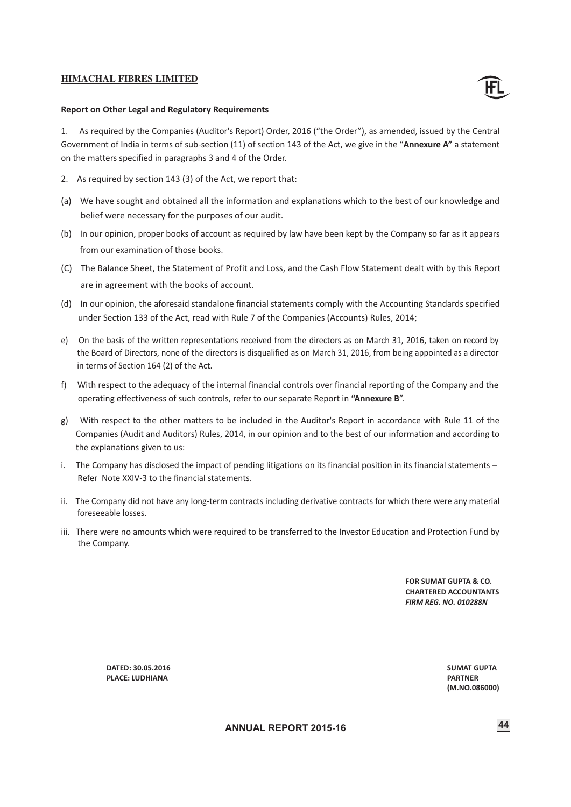![](_page_46_Picture_1.jpeg)

#### **Report on Other Legal and Regulatory Requirements**

1. As required by the Companies (Auditor's Report) Order, 2016 ("the Order"), as amended, issued by the Central Government of India in terms of sub-section (11) of section 143 of the Act, we give in the "**Annexure A"** a statement on the matters specified in paragraphs 3 and 4 of the Order.

- 2. As required by section 143 (3) of the Act, we report that:
- (a) We have sought and obtained all the information and explanations which to the best of our knowledge and belief were necessary for the purposes of our audit.
- (b) In our opinion, proper books of account as required by law have been kept by the Company so far as it appears from our examination of those books.
- (C) The Balance Sheet, the Statement of Profit and Loss, and the Cash Flow Statement dealt with by this Report are in agreement with the books of account.
- (d) In our opinion, the aforesaid standalone financial statements comply with the Accounting Standards specified under Section 133 of the Act, read with Rule 7 of the Companies (Accounts) Rules, 2014;
- e) On the basis of the written representations received from the directors as on March 31, 2016, taken on record by the Board of Directors, none of the directors is disqualified as on March 31, 2016, from being appointed as a director in terms of Section 164 (2) of the Act.
- f) With respect to the adequacy of the internal financial controls over financial reporting of the Company and the operating effectiveness of such controls, refer to our separate Report in **"Annexure B**".
- g) With respect to the other matters to be included in the Auditor's Report in accordance with Rule 11 of the Companies (Audit and Auditors) Rules, 2014, in our opinion and to the best of our information and according to the explanations given to us:
- i. The Company has disclosed the impact of pending litigations on its financial position in its financial statements Refer Note XXIV-3 to the financial statements.
- ii. The Company did not have any long-term contracts including derivative contracts for which there were any material foreseeable losses.
- iii. There were no amounts which were required to be transferred to the Investor Education and Protection Fund by the Company.

**FOR SUMAT GUPTA & CO. CHARTERED ACCOUNTANTS** *FIRM REG. NO. 010288N*

**DATED: 30.05.2016 PLACE: LUDHIANA** 

**SUMAT GUPTA PARTNER (M.NO.086000)**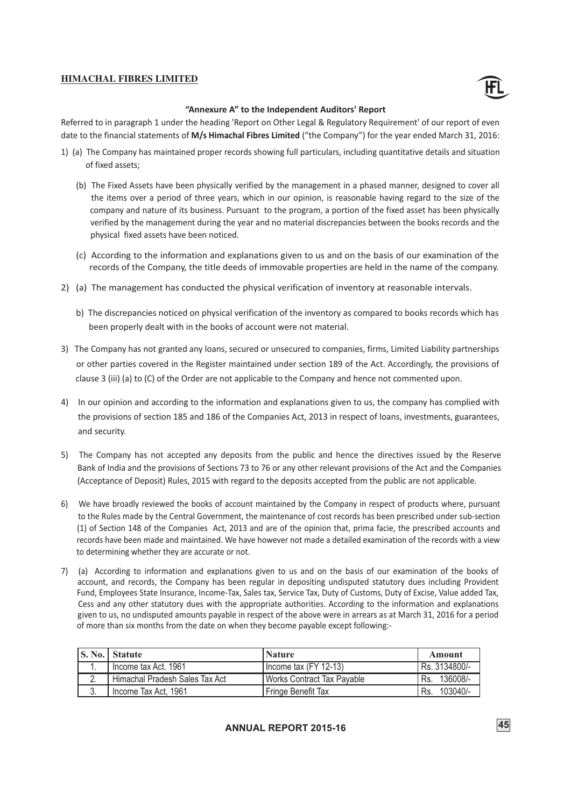![](_page_47_Picture_1.jpeg)

#### **"Annexure A" to the Independent Auditors' Report**

Referred to in paragraph 1 under the heading 'Report on Other Legal & Regulatory Requirement' of our report of even date to the financial statements of **M/s Himachal Fibres Limited** ("the Company") for the year ended March 31, 2016:

- 1) (a) The Company has maintained proper records showing full particulars, including quantitative details and situation of fixed assets;
	- (b) The Fixed Assets have been physically verified by the management in a phased manner, designed to cover all the items over a period of three years, which in our opinion, is reasonable having regard to the size of the company and nature of its business. Pursuant to the program, a portion of the fixed asset has been physically verified by the management during the year and no material discrepancies between the books records and the physical fixed assets have been noticed.
	- (c) According to the information and explanations given to us and on the basis of our examination of the records of the Company, the title deeds of immovable properties are held in the name of the company.
- 2) (a) The management has conducted the physical verification of inventory at reasonable intervals.
	- b) The discrepancies noticed on physical verification of the inventory as compared to books records which has been properly dealt with in the books of account were not material.
- 3) The Company has not granted any loans, secured or unsecured to companies, firms, Limited Liability partnerships or other parties covered in the Register maintained under section 189 of the Act. Accordingly, the provisions of clause 3 (iii) (a) to (C) of the Order are not applicable to the Company and hence not commented upon.
- 4) In our opinion and according to the information and explanations given to us, the company has complied with the provisions of section 185 and 186 of the Companies Act, 2013 in respect of loans, investments, guarantees, and security.
- 5) The Company has not accepted any deposits from the public and hence the directives issued by the Reserve Bank of India and the provisions of Sections 73 to 76 or any other relevant provisions of the Act and the Companies (Acceptance of Deposit) Rules, 2015 with regard to the deposits accepted from the public are not applicable.
- 6) We have broadly reviewed the books of account maintained by the Company in respect of products where, pursuant to the Rules made by the Central Government, the maintenance of cost records has been prescribed under sub-section (1) of Section 148 of the Companies Act, 2013 and are of the opinion that, prima facie, the prescribed accounts and records have been made and maintained. We have however not made a detailed examination of the records with a view to determining whether they are accurate or not.
- 7) (a) According to information and explanations given to us and on the basis of our examination of the books of account, and records, the Company has been regular in depositing undisputed statutory dues including Provident Fund, Employees State Insurance, Income-Tax, Sales tax, Service Tax, Duty of Customs, Duty of Excise, Value added Tax, Cess and any other statutory dues with the appropriate authorities. According to the information and explanations given to us, no undisputed amounts payable in respect of the above were in arrears as at March 31, 2016 for a period of more than six months from the date on when they become payable except following:-

|    | S. No. Statute                 | <b>Nature</b>                | Amount          |
|----|--------------------------------|------------------------------|-----------------|
|    | Income tax Act. 1961           | I Income tax (FY 12-13)      | Rs. 3134800/-   |
|    | Himachal Pradesh Sales Tax Act | l Works Contract Tax Pavable | Rs. 136008/-    |
| 3. | 'Income Tax Act, 1961          | Fringe Benefit Tax           | 103040/-<br>Rs. |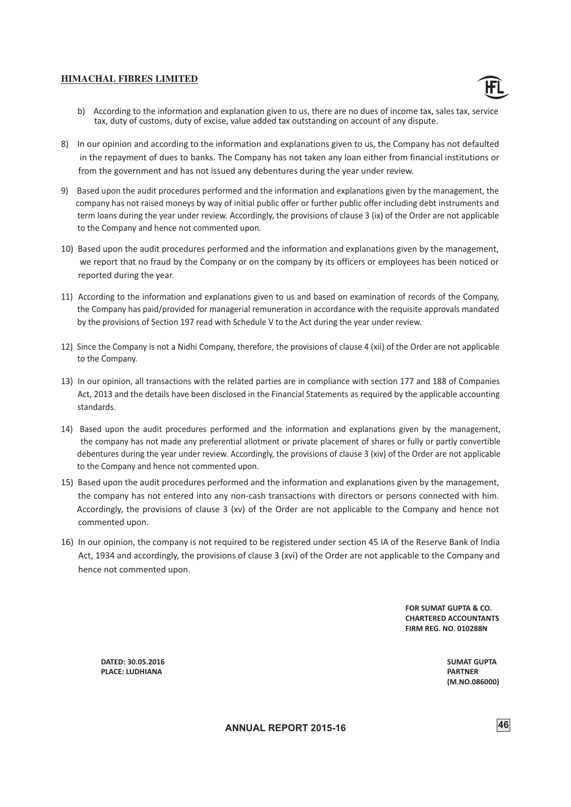![](_page_48_Picture_1.jpeg)

- b) According to the information and explanation given to us, there are no dues of income tax, sales tax, service tax, duty of customs, duty of excise, value added tax outstanding on account of any dispute.
- 8) In our opinion and according to the information and explanations given to us, the Company has not defaulted in the repayment of dues to banks. The Company has not taken any loan either from financial institutions or from the government and has not issued any debentures during the year under review.
- 9) Based upon the audit procedures performed and the information and explanations given by the management, the company has not raised moneys by way of initial public offer or further public offer including debt instruments and term loans during the year under review. Accordingly, the provisions of clause 3 (ix) of the Order are not applicable to the Company and hence not commented upon.
- 10) Based upon the audit procedures performed and the information and explanations given by the management, we report that no fraud by the Company or on the company by its officers or employees has been noticed or reported during the year.
- 11) According to the information and explanations given to us and based on examination of records of the Company, the Company has paid/provided for managerial remuneration in accordance with the requisite approvals mandated by the provisions of Section 197 read with Schedule V to the Act during the year under review.
- 12) Since the Company is not a Nidhi Company, therefore, the provisions of clause 4 (xii) of the Order are not applicable to the Company.
- 13) In our opinion, all transactions with the related parties are in compliance with section 177 and 188 of Companies Act, 2013 and the details have been disclosed in the Financial Statements as required by the applicable accounting standards.
- 14) Based upon the audit procedures performed and the information and explanations given by the management, the company has not made any preferential allotment or private placement of shares or fully or partly convertible debentures during the year under review. Accordingly, the provisions of clause 3 (xiv) of the Order are not applicable to the Company and hence not commented upon.
- 15) Based upon the audit procedures performed and the information and explanations given by the management, the company has not entered into any non-cash transactions with directors or persons connected with him. Accordingly, the provisions of clause 3 (xv) of the Order are not applicable to the Company and hence not commented upon.
- 16) In our opinion, the company is not required to be registered under section 45 IA of the Reserve Bank of India Act, 1934 and accordingly, the provisions of clause 3 (xvi) of the Order are not applicable to the Company and hence not commented upon.

**FOR SUMAT GUPTA & CO. CHARTERED ACCOUNTANTS FIRM REG. NO. 010288N**

 **DATED: 30.05.2016 PLACE: LUDHIANA** 

**SUMAT GUPTA PARTNER (M.NO.086000)**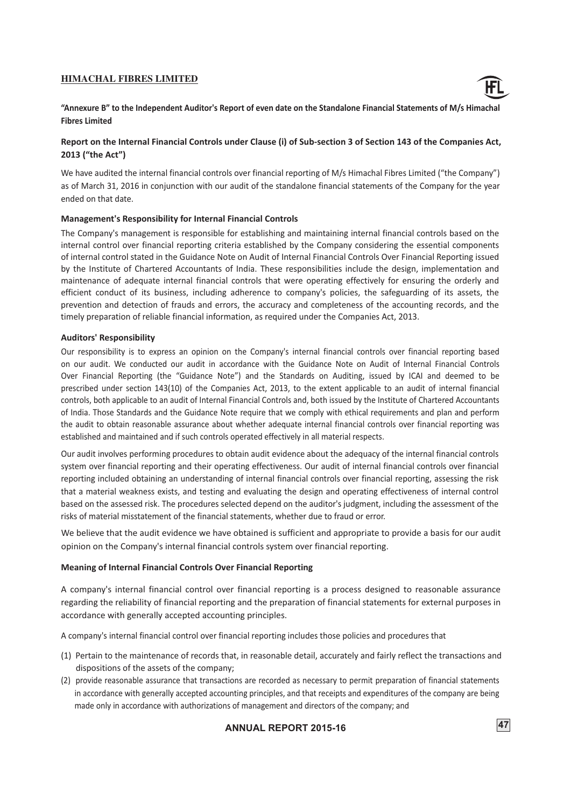![](_page_49_Picture_1.jpeg)

"Annexure B" to the Independent Auditor's Report of even date on the Standalone Financial Statements of M/s Himachal **Fibres Limited**

# **Report on the Internal Financial Controls under Clause (i) of Sub-section 3 of Section 143 of the Companies Act, 2013 ("the Act")**

We have audited the internal financial controls over financial reporting of M/s Himachal Fibres Limited ("the Company") as of March 31, 2016 in conjunction with our audit of the standalone financial statements of the Company for the year ended on that date.

### **Management's Responsibility for Internal Financial Controls**

The Company's management is responsible for establishing and maintaining internal financial controls based on the internal control over financial reporting criteria established by the Company considering the essential components of internal control stated in the Guidance Note on Audit of Internal Financial Controls Over Financial Reporting issued by the Institute of Chartered Accountants of India. These responsibilities include the design, implementation and maintenance of adequate internal financial controls that were operating effectively for ensuring the orderly and efficient conduct of its business, including adherence to company's policies, the safeguarding of its assets, the prevention and detection of frauds and errors, the accuracy and completeness of the accounting records, and the timely preparation of reliable financial information, as required under the Companies Act, 2013.

### **Auditors' Responsibility**

Our responsibility is to express an opinion on the Company's internal financial controls over financial reporting based on our audit. We conducted our audit in accordance with the Guidance Note on Audit of Internal Financial Controls Over Financial Reporting (the "Guidance Note") and the Standards on Auditing, issued by ICAI and deemed to be prescribed under section 143(10) of the Companies Act, 2013, to the extent applicable to an audit of internal financial controls, both applicable to an audit of Internal Financial Controls and, both issued by the Institute of Chartered Accountants of India. Those Standards and the Guidance Note require that we comply with ethical requirements and plan and perform the audit to obtain reasonable assurance about whether adequate internal financial controls over financial reporting was established and maintained and if such controls operated effectively in all material respects.

Our audit involves performing procedures to obtain audit evidence about the adequacy of the internal financial controls system over financial reporting and their operating effectiveness. Our audit of internal financial controls over financial reporting included obtaining an understanding of internal financial controls over financial reporting, assessing the risk that a material weakness exists, and testing and evaluating the design and operating effectiveness of internal control based on the assessed risk. The procedures selected depend on the auditor's judgment, including the assessment of the risks of material misstatement of the financial statements, whether due to fraud or error.

We believe that the audit evidence we have obtained is sufficient and appropriate to provide a basis for our audit opinion on the Company's internal financial controls system over financial reporting.

# **Meaning of Internal Financial Controls Over Financial Reporting**

A company's internal financial control over financial reporting is a process designed to reasonable assurance regarding the reliability of financial reporting and the preparation of financial statements for external purposes in accordance with generally accepted accounting principles.

A company's internal financial control over financial reporting includes those policies and procedures that

- (1) Pertain to the maintenance of records that, in reasonable detail, accurately and fairly reflect the transactions and dispositions of the assets of the company;
- (2) provide reasonable assurance that transactions are recorded as necessary to permit preparation of financial statements in accordance with generally accepted accounting principles, and that receipts and expenditures of the company are being made only in accordance with authorizations of management and directors of the company; and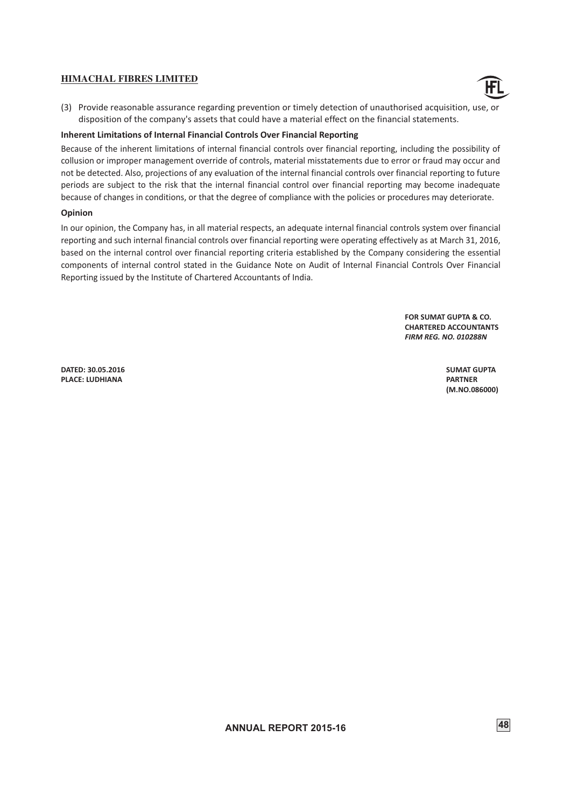![](_page_50_Picture_1.jpeg)

(3) Provide reasonable assurance regarding prevention or timely detection of unauthorised acquisition, use, or disposition of the company's assets that could have a material effect on the financial statements.

### **Inherent Limitations of Internal Financial Controls Over Financial Reporting**

Because of the inherent limitations of internal financial controls over financial reporting, including the possibility of collusion or improper management override of controls, material misstatements due to error or fraud may occur and not be detected. Also, projections of any evaluation of the internal financial controls over financial reporting to future periods are subject to the risk that the internal financial control over financial reporting may become inadequate because of changes in conditions, or that the degree of compliance with the policies or procedures may deteriorate.

### **Opinion**

In our opinion, the Company has, in all material respects, an adequate internal financial controls system over financial reporting and such internal financial controls over financial reporting were operating effectively as at March 31, 2016, based on the internal control over financial reporting criteria established by the Company considering the essential components of internal control stated in the Guidance Note on Audit of Internal Financial Controls Over Financial Reporting issued by the Institute of Chartered Accountants of India.

> **FOR SUMAT GUPTA & CO. CHARTERED ACCOUNTANTS** *FIRM REG. NO. 010288N*

 **DATED: 30.05.2016 PLACE: LUDHIANA**

**SUMAT GUPTA PARTNER (M.NO.086000)**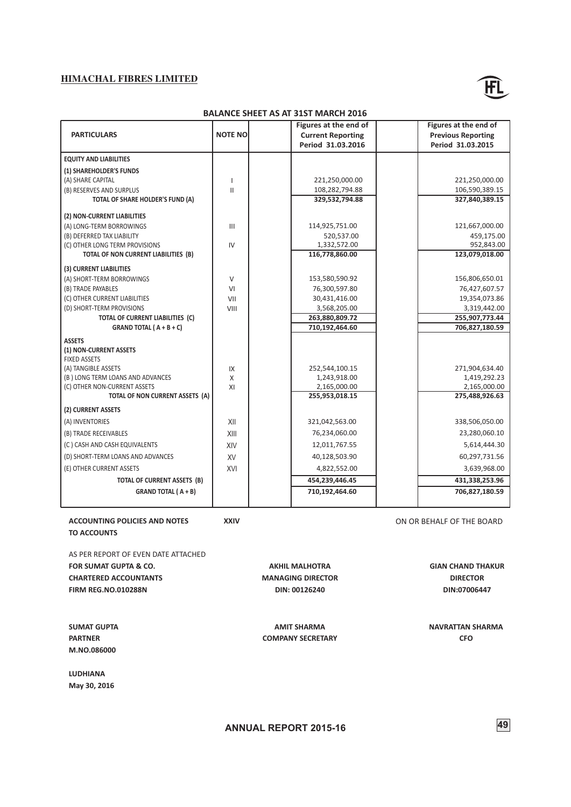![](_page_51_Picture_1.jpeg)

#### **BALANCE SHEET AS AT 31ST MARCH 2016**

| <b>PARTICULARS</b>                                      | <b>NOTE NO</b> | Figures at the end of<br><b>Current Reporting</b><br>Period 31.03.2016 | Figures at the end of<br><b>Previous Reporting</b><br>Period 31.03.2015 |
|---------------------------------------------------------|----------------|------------------------------------------------------------------------|-------------------------------------------------------------------------|
| <b>EQUITY AND LIABILITIES</b>                           |                |                                                                        |                                                                         |
| (1) SHAREHOLDER'S FUNDS                                 |                |                                                                        |                                                                         |
| (A) SHARE CAPITAL                                       | 1              | 221,250,000.00                                                         | 221,250,000.00                                                          |
| (B) RESERVES AND SURPLUS                                | $\mathbf{II}$  | 108,282,794.88                                                         | 106,590,389.15                                                          |
| TOTAL OF SHARE HOLDER'S FUND (A)                        |                | 329,532,794.88                                                         | 327,840,389.15                                                          |
| (2) NON-CURRENT LIABILITIES                             |                |                                                                        |                                                                         |
| (A) LONG-TERM BORROWINGS                                | $\mathbf{III}$ | 114,925,751.00                                                         | 121,667,000.00                                                          |
| (B) DEFERRED TAX LIABILITY                              |                | 520,537.00                                                             | 459,175.00                                                              |
| (C) OTHER LONG TERM PROVISIONS                          | IV             | 1,332,572.00                                                           | 952,843.00                                                              |
| TOTAL OF NON CURRENT LIABILITIES (B)                    |                | 116,778,860.00                                                         | 123,079,018.00                                                          |
| (3) CURRENT LIABILITIES                                 |                |                                                                        |                                                                         |
| (A) SHORT-TERM BORROWINGS                               | V              | 153,580,590.92                                                         | 156,806,650.01                                                          |
| (B) TRADE PAYABLES                                      | VI             | 76,300,597.80                                                          | 76,427,607.57                                                           |
| (C) OTHER CURRENT LIABILITIES                           | VII            | 30,431,416.00                                                          | 19,354,073.86                                                           |
| (D) SHORT-TERM PROVISIONS                               | VIII           | 3,568,205.00                                                           | 3,319,442.00                                                            |
| TOTAL OF CURRENT LIABILITIES (C)                        |                | 263,880,809.72                                                         | 255,907,773.44                                                          |
| GRAND TOTAL ( $A + B + C$ )                             |                | 710,192,464.60                                                         | 706,827,180.59                                                          |
| <b>ASSETS</b>                                           |                |                                                                        |                                                                         |
| (1) NON-CURRENT ASSETS                                  |                |                                                                        |                                                                         |
| <b>FIXED ASSETS</b>                                     |                |                                                                        |                                                                         |
| (A) TANGIBLE ASSETS<br>(B) LONG TERM LOANS AND ADVANCES | IX<br>X        | 252,544,100.15                                                         | 271,904,634.40                                                          |
| (C) OTHER NON-CURRENT ASSETS                            | XI             | 1,243,918.00<br>2,165,000.00                                           | 1,419,292.23<br>2,165,000.00                                            |
| TOTAL OF NON CURRENT ASSETS (A)                         |                | 255,953,018.15                                                         | 275,488,926.63                                                          |
| (2) CURRENT ASSETS                                      |                |                                                                        |                                                                         |
| (A) INVENTORIES                                         | XII            | 321,042,563.00                                                         | 338,506,050.00                                                          |
| (B) TRADE RECEIVABLES                                   | XIII           | 76,234,060.00                                                          | 23,280,060.10                                                           |
| (C) CASH AND CASH EQUIVALENTS                           | XIV            | 12,011,767.55                                                          | 5,614,444.30                                                            |
| (D) SHORT-TERM LOANS AND ADVANCES                       | <b>XV</b>      | 40,128,503.90                                                          | 60,297,731.56                                                           |
| (E) OTHER CURRENT ASSETS                                | XVI            | 4,822,552.00                                                           | 3,639,968.00                                                            |
| TOTAL OF CURRENT ASSETS (B)                             |                | 454,239,446.45                                                         | 431,338,253.96                                                          |
| <b>GRAND TOTAL (A+B)</b>                                |                | 710,192,464.60                                                         | 706,827,180.59                                                          |
|                                                         |                |                                                                        |                                                                         |

**ACCOUNTING POLICIES AND NOTES** XXIV XXIV **XXIV** ON OR BEHALF OF THE BOARD **TO ACCOUNTS**

AS PER REPORT OF EVEN DATE ATTACHED **FOR SUMAT GUPTA & CO. CHARTERED ACCOUNTANTS FIRM REG.NO.010288N**

**SUMAT GUPTA PARTNER M.NO.086000**

**LUDHIANA May 30, 2016**

**DIN: 00126240 AKHIL MALHOTRA MANAGING DIRECTOR**

**AMIT SHARMA COMPANY SECRETARY** **DIN:07006447**

**GIAN CHAND THAKUR DIRECTOR**

**NAVRATTAN SHARMA CFO**

**ANNUAL REPORT 2015-16 49**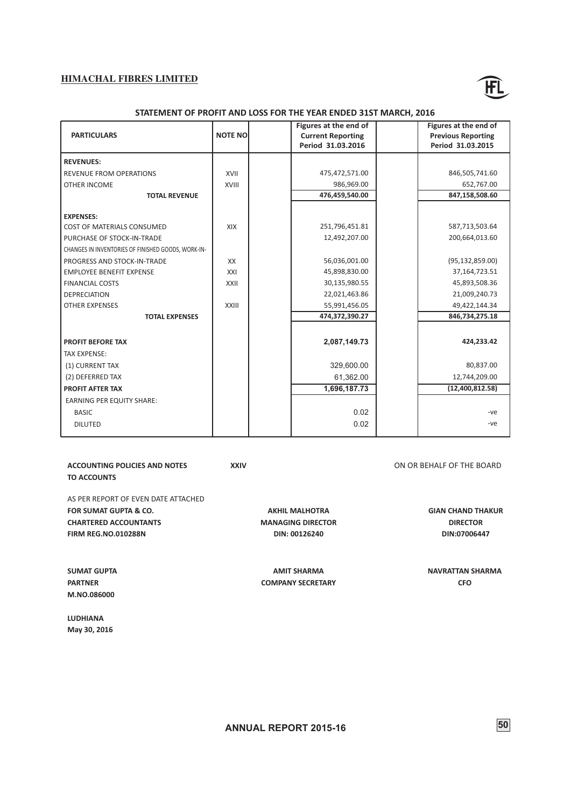![](_page_52_Picture_1.jpeg)

#### **STATEMENT OF PROFIT AND LOSS FOR THE YEAR ENDED 31ST MARCH, 2016**

|                                                    |                | Figures at the end of    | Figures at the end of     |
|----------------------------------------------------|----------------|--------------------------|---------------------------|
| <b>PARTICULARS</b>                                 | <b>NOTE NO</b> | <b>Current Reporting</b> | <b>Previous Reporting</b> |
|                                                    |                | Period 31.03.2016        | Period 31.03.2015         |
| <b>REVENUES:</b>                                   |                |                          |                           |
| REVENUE FROM OPERATIONS                            | XVII           | 475,472,571.00           | 846,505,741.60            |
| <b>OTHER INCOME</b>                                | XVIII          | 986,969.00               | 652,767.00                |
| <b>TOTAL REVENUE</b>                               |                | 476,459,540.00           | 847,158,508.60            |
|                                                    |                |                          |                           |
| <b>EXPENSES:</b>                                   |                |                          |                           |
| <b>COST OF MATERIALS CONSUMED</b>                  | XIX            | 251,796,451.81           | 587,713,503.64            |
| PURCHASE OF STOCK-IN-TRADE                         |                | 12,492,207.00            | 200,664,013.60            |
| CHANGES IN INVENTORIES OF FINISHED GOODS, WORK-IN- |                |                          |                           |
| PROGRESS AND STOCK-IN-TRADE                        | XX             | 56,036,001.00            | (95, 132, 859.00)         |
| <b>EMPLOYEE BENEFIT EXPENSE</b>                    | XXI            | 45,898,830.00            | 37,164,723.51             |
| <b>FINANCIAL COSTS</b>                             | XXII           | 30,135,980.55            | 45,893,508.36             |
| <b>DEPRECIATION</b>                                |                | 22,021,463.86            | 21,009,240.73             |
| <b>OTHER EXPENSES</b>                              | XXIII          | 55,991,456.05            | 49,422,144.34             |
| <b>TOTAL EXPENSES</b>                              |                | 474,372,390.27           | 846,734,275.18            |
|                                                    |                |                          |                           |
| <b>PROFIT BEFORE TAX</b>                           |                | 2,087,149.73             | 424,233.42                |
| <b>TAX EXPENSE:</b>                                |                |                          |                           |
| (1) CURRENT TAX                                    |                | 329.600.00               | 80,837.00                 |
| (2) DEFERRED TAX                                   |                | 61,362.00                | 12,744,209.00             |
| <b>PROFIT AFTER TAX</b>                            |                | 1,696,187.73             | (12,400,812.58)           |
| <b>EARNING PER EQUITY SHARE:</b>                   |                |                          |                           |
| <b>BASIC</b>                                       |                | 0.02                     | -ve                       |
| <b>DILUTED</b>                                     |                | 0.02                     | -ve                       |
|                                                    |                |                          |                           |

**ACCOUNTING POLICIES AND NOTES** XXIV XXIV **XXIV** ON OR BEHALF OF THE BOARD **TO ACCOUNTS**

AS PER REPORT OF EVEN DATE ATTACHED **FOR SUMAT GUPTA & CO. CHARTERED ACCOUNTANTS FIRM REG.NO.010288N**

**DIN: 00126240 AKHIL MALHOTRA MANAGING DIRECTOR**

**AMIT SHARMA COMPANY SECRETARY**

**GIAN CHAND THAKUR DIRECTOR DIN:07006447**

**NAVRATTAN SHARMA CFO**

**M.NO.086000 LUDHIANA**

**SUMAT GUPTA PARTNER**

**May 30, 2016**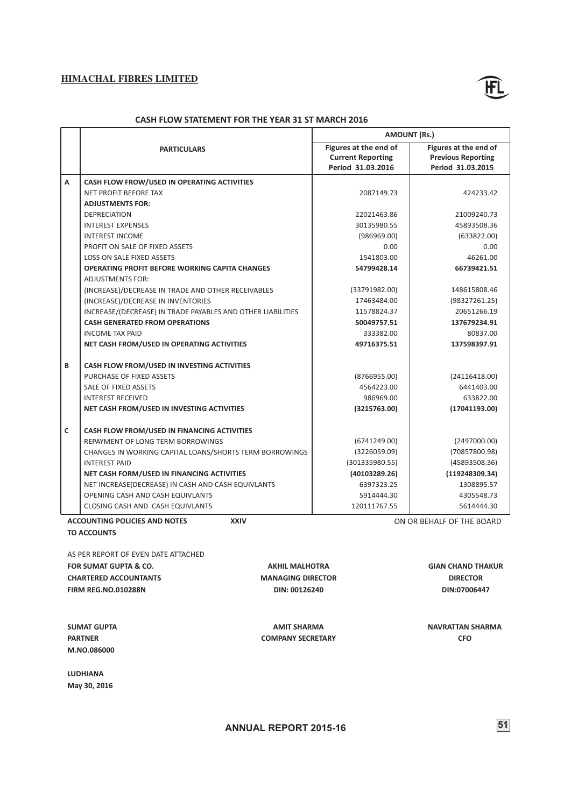![](_page_53_Picture_1.jpeg)

### **CASH FLOW STATEMENT FOR THE YEAR 31 ST MARCH 2016**

|   |                                                             | <b>AMOUNT (Rs.)</b>      |                           |  |
|---|-------------------------------------------------------------|--------------------------|---------------------------|--|
|   | <b>PARTICULARS</b>                                          | Figures at the end of    | Figures at the end of     |  |
|   |                                                             | <b>Current Reporting</b> | <b>Previous Reporting</b> |  |
|   |                                                             | Period 31.03.2016        | Period 31.03.2015         |  |
| A | CASH FLOW FROW/USED IN OPERATING ACTIVITIES                 |                          |                           |  |
|   | <b>NET PROFIT BEFORE TAX</b>                                | 2087149.73               | 424233.42                 |  |
|   | <b>ADJUSTMENTS FOR:</b>                                     |                          |                           |  |
|   | <b>DEPRECIATION</b>                                         | 22021463.86              | 21009240.73               |  |
|   | <b>INTEREST EXPENSES</b>                                    | 30135980.55              | 45893508.36               |  |
|   | <b>INTEREST INCOME</b>                                      | (986969.00)              | (633822.00)               |  |
|   | PROFIT ON SALE OF FIXED ASSETS                              | 0.00                     | 0.00                      |  |
|   | <b>LOSS ON SALE FIXED ASSETS</b>                            | 1541803.00               | 46261.00                  |  |
|   | <b>OPERATING PROFIT BEFORE WORKING CAPITA CHANGES</b>       | 54799428.14              | 66739421.51               |  |
|   | <b>ADJUSTMENTS FOR:</b>                                     |                          |                           |  |
|   | (INCREASE)/DECREASE IN TRADE AND OTHER RECEIVABLES          | (33791982.00)            | 148615808.46              |  |
|   | (INCREASE)/DECREASE IN INVENTORIES                          | 17463484.00              | (98327261.25)             |  |
|   | INCREASE/(DECREASE) IN TRADE PAYABLES AND OTHER LIABILITIES | 11578824.37              | 20651266.19               |  |
|   | <b>CASH GENERATED FROM OPERATIONS</b>                       | 50049757.51              | 137679234.91              |  |
|   | <b>INCOME TAX PAID</b>                                      | 333382.00                | 80837.00                  |  |
|   | NET CASH FROM/USED IN OPERATING ACTIVITIES                  | 49716375.51              | 137598397.91              |  |
|   |                                                             |                          |                           |  |
| B | CASH FLOW FROM/USED IN INVESTING ACTIVITIES                 |                          |                           |  |
|   | PURCHASE OF FIXED ASSETS                                    | (8766955.00)             | (24116418.00)             |  |
|   | <b>SALE OF FIXED ASSETS</b>                                 | 4564223.00               | 6441403.00                |  |
|   | <b>INTEREST RECEIVED</b>                                    | 986969.00                | 633822.00                 |  |
|   | NET CASH FROM/USED IN INVESTING ACTIVITIES                  | (3215763.00)             | (17041193.00)             |  |
|   |                                                             |                          |                           |  |
| C | CASH FLOW FROM/USED IN FINANCING ACTIVITIES                 |                          |                           |  |
|   | REPAYMENT OF LONG TERM BORROWINGS                           | (6741249.00)             | (2497000.00)              |  |
|   | CHANGES IN WORKING CAPITAL LOANS/SHORTS TERM BORROWINGS     | (3226059.09)             | (70857800.98)             |  |
|   | <b>INTEREST PAID</b>                                        | (301335980.55)           | (45893508.36)             |  |
|   | NET CASH FORM/USED IN FINANCING ACTIVITIES                  | (40103289.26)            | (119248309.34)            |  |
|   | NET INCREASE(DECREASE) IN CASH AND CASH EQUIVLANTS          | 6397323.25               | 1308895.57                |  |
|   | OPENING CASH AND CASH EQUIVLANTS                            | 5914444.30               | 4305548.73                |  |
|   | <b>CLOSING CASH AND CASH EQUIVLANTS</b>                     | 120111767.55             | 5614444.30                |  |
|   | <b>XXIV</b><br><b>ACCOUNTING POLICIES AND NOTES</b>         |                          | ON OR BEHALF OF THE BOARD |  |
|   | <b>TO ACCOUNTS</b>                                          |                          |                           |  |
|   |                                                             |                          |                           |  |
|   | AS PER REPORT OF EVEN DATE ATTACHED                         |                          |                           |  |
|   | <b>FOR SUMAT GUPTA &amp; CO.</b><br><b>AKHIL MALHOTRA</b>   |                          | <b>GIAN CHAND THAKUR</b>  |  |
|   | <b>CHARTERED ACCOUNTANTS</b><br><b>MANAGING DIRECTOR</b>    |                          | <b>DIRECTOR</b>           |  |

**DIRECTOR DIN:07006447**

**NAVRATTAN SHARMA CFO**

**SUMAT GUPTA PARTNER M.NO.086000**

**FIRM REG.NO.010288N**

**LUDHIANA May 30, 2016**

**DIN: 00126240**

**AMIT SHARMA COMPANY SECRETARY**

**ANNUAL 51 REPORT 2015-16**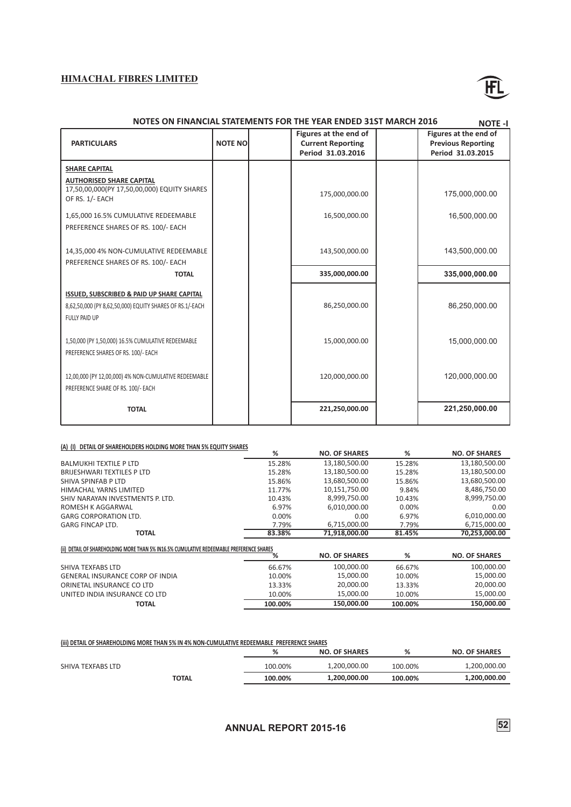![](_page_54_Picture_1.jpeg)

|                                                                                                                         |                | NOTES ON FINANCIAL STATEMENTS FOR THE YEAR ENDED 31ST MARCH 2016       | <b>NOTE-I</b>                                                           |
|-------------------------------------------------------------------------------------------------------------------------|----------------|------------------------------------------------------------------------|-------------------------------------------------------------------------|
| <b>PARTICULARS</b>                                                                                                      | <b>NOTE NO</b> | Figures at the end of<br><b>Current Reporting</b><br>Period 31.03.2016 | Figures at the end of<br><b>Previous Reporting</b><br>Period 31.03.2015 |
| <b>SHARE CAPITAL</b>                                                                                                    |                |                                                                        |                                                                         |
| <b>AUTHORISED SHARE CAPITAL</b><br>17,50,00,000(PY 17,50,00,000) EQUITY SHARES<br>OF RS. 1/- EACH                       |                | 175,000,000.00                                                         | 175,000,000.00                                                          |
| 1,65,000 16.5% CUMULATIVE REDEEMABLE<br>PREFERENCE SHARES OF RS. 100/- EACH                                             |                | 16,500,000.00                                                          | 16,500,000.00                                                           |
| 14,35,000 4% NON-CUMULATIVE REDEEMABLE<br>PREFERENCE SHARES OF RS. 100/- EACH                                           |                | 143,500,000.00                                                         | 143,500,000.00                                                          |
| <b>TOTAL</b>                                                                                                            |                | 335,000,000.00                                                         | 335,000,000.00                                                          |
| ISSUED, SUBSCRIBED & PAID UP SHARE CAPITAL<br>8,62,50,000 (PY 8,62,50,000) EQUITY SHARES OF RS.1/-EACH<br>FULLY PAID UP |                | 86,250,000.00                                                          | 86,250,000.00                                                           |
| 1,50,000 (PY 1,50,000) 16.5% CUMULATIVE REDEEMABLE<br>PREFERENCE SHARES OF RS. 100/- EACH                               |                | 15,000,000.00                                                          | 15,000,000.00                                                           |
| 12,00,000 (PY 12,00,000) 4% NON-CUMULATIVE REDEEMABLE<br>PREFERENCE SHARE OF RS. 100/- EACH                             |                | 120,000,000.00                                                         | 120.000.000.00                                                          |
| <b>TOTAL</b>                                                                                                            |                | 221,250,000.00                                                         | 221,250,000.00                                                          |

#### **(A) (I) DETAIL OF SHAREHOLDERS HOLDING MORE THAN 5% EQUITY SHARES**

|                                                                                          | %       | <b>NO. OF SHARES</b> | %        | <b>NO. OF SHARES</b> |
|------------------------------------------------------------------------------------------|---------|----------------------|----------|----------------------|
| <b>BALMUKHI TEXTILE P LTD</b>                                                            | 15.28%  | 13,180,500.00        | 15.28%   | 13,180,500.00        |
| BRIJESHWARI TEXTILES P LTD                                                               | 15.28%  | 13,180,500.00        | 15.28%   | 13,180,500.00        |
| SHIVA SPINFAB P LTD                                                                      | 15.86%  | 13,680,500.00        | 15.86%   | 13,680,500.00        |
| HIMACHAL YARNS LIMITED                                                                   | 11.77%  | 10,151,750.00        | 9.84%    | 8,486,750.00         |
| SHIV NARAYAN INVESTMENTS P. LTD.                                                         | 10.43%  | 8,999,750.00         | 10.43%   | 8,999,750.00         |
| ROMESH K AGGARWAL                                                                        | 6.97%   | 6,010,000.00         | $0.00\%$ | 0.00                 |
| <b>GARG CORPORATION LTD.</b>                                                             | 0.00%   | 0.00                 | 6.97%    | 6,010,000.00         |
| <b>GARG FINCAP LTD.</b>                                                                  | 7.79%   | 6,715,000.00         | 7.79%    | 6,715,000.00         |
| <b>TOTAL</b>                                                                             | 83.38%  | 71,918,000.00        | 81.45%   | 70,253,000.00        |
| (ii) DETAIL OF SHAREHOLDING MORE THAN 5% IN16.5% CUMULATIVE REDEEMABLE PREFERENCE SHARES |         |                      |          |                      |
|                                                                                          | %       | <b>NO. OF SHARES</b> | %        | <b>NO. OF SHARES</b> |
| SHIVA TEXFABS LTD                                                                        | 66.67%  | 100,000.00           | 66.67%   | 100,000.00           |
| <b>GENERAL INSURANCE CORP OF INDIA</b>                                                   | 10.00%  | 15,000.00            | 10.00%   | 15,000.00            |
| ORINETAL INSURANCE CO LTD                                                                | 13.33%  | 20,000.00            | 13.33%   | 20,000.00            |
| UNITED INDIA INSURANCE CO LTD                                                            | 10.00%  | 15,000.00            | 10.00%   | 15,000.00            |
| <b>TOTAL</b>                                                                             | 100.00% | 150,000.00           | 100.00%  | 150,000,00           |

#### **(iii) DETAIL OF SHAREHOLDING MORE THAN 5% IN 4% NON-CUMULATIVE REDEEMABLE PREFERENCE SHARES**

|                   | %       | <b>NO. OF SHARES</b> | %       | <b>NO. OF SHARES</b> |
|-------------------|---------|----------------------|---------|----------------------|
| SHIVA TEXFABS LTD | 100.00% | 1.200.000.00         | 100.00% | 1,200,000.00         |
| <b>TOTAL</b>      | 100.00% | 1.200.000.00         | 100.00% | 1,200,000.00         |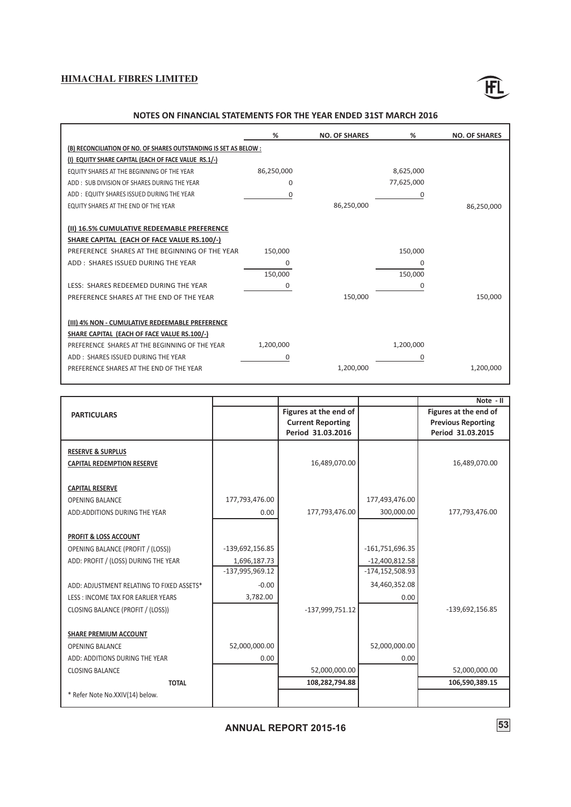![](_page_55_Picture_1.jpeg)

### **NOTES ON FINANCIAL STATEMENTS FOR THE YEAR ENDED 31ST MARCH 2016**

|                                                                   | %          | <b>NO. OF SHARES</b> | %          | <b>NO. OF SHARES</b> |
|-------------------------------------------------------------------|------------|----------------------|------------|----------------------|
| (B) RECONCILIATION OF NO. OF SHARES OUTSTANDING IS SET AS BELOW : |            |                      |            |                      |
| (I) EQUITY SHARE CAPITAL (EACH OF FACE VALUE RS.1/-)              |            |                      |            |                      |
| EQUITY SHARES AT THE BEGINNING OF THE YEAR                        | 86,250,000 |                      | 8,625,000  |                      |
| ADD: SUB DIVISION OF SHARES DURING THE YEAR                       | $\Omega$   |                      | 77,625,000 |                      |
| ADD: EQUITY SHARES ISSUED DURING THE YEAR                         | $\Omega$   |                      | 0          |                      |
| EQUITY SHARES AT THE END OF THE YEAR                              |            | 86,250,000           |            | 86,250,000           |
|                                                                   |            |                      |            |                      |
| (II) 16.5% CUMULATIVE REDEEMABLE PREFERENCE                       |            |                      |            |                      |
| SHARE CAPITAL (EACH OF FACE VALUE RS.100/-)                       |            |                      |            |                      |
| PREFERENCE SHARES AT THE BEGINNING OF THE YEAR                    | 150,000    |                      | 150,000    |                      |
| ADD: SHARES ISSUED DURING THE YEAR                                | $\Omega$   |                      | 0          |                      |
|                                                                   | 150,000    |                      | 150,000    |                      |
| LESS: SHARES REDEEMED DURING THE YEAR                             | 0          |                      | 0          |                      |
| PREFERENCE SHARES AT THE END OF THE YEAR                          |            | 150,000              |            | 150,000              |
|                                                                   |            |                      |            |                      |
| (III) 4% NON - CUMULATIVE REDEEMABLE PREFERENCE                   |            |                      |            |                      |
| SHARE CAPITAL (EACH OF FACE VALUE RS.100/-)                       |            |                      |            |                      |
| PREFERENCE SHARES AT THE BEGINNING OF THE YEAR                    | 1,200,000  |                      | 1,200,000  |                      |
| ADD: SHARES ISSUED DURING THE YEAR                                | 0          |                      | 0          |                      |
| PREFERENCE SHARES AT THE END OF THE YEAR                          |            | 1,200,000            |            | 1,200,000            |

|                                           |                 |                          |                     | Note - II                 |
|-------------------------------------------|-----------------|--------------------------|---------------------|---------------------------|
| <b>PARTICULARS</b>                        |                 | Figures at the end of    |                     | Figures at the end of     |
|                                           |                 | <b>Current Reporting</b> |                     | <b>Previous Reporting</b> |
|                                           |                 | Period 31.03.2016        |                     | Period 31.03.2015         |
| <b>RESERVE &amp; SURPLUS</b>              |                 |                          |                     |                           |
| <b>CAPITAL REDEMPTION RESERVE</b>         |                 | 16,489,070.00            |                     | 16,489,070.00             |
|                                           |                 |                          |                     |                           |
| <b>CAPITAL RESERVE</b>                    |                 |                          |                     |                           |
| <b>OPENING BALANCE</b>                    | 177,793,476.00  |                          | 177,493,476.00      |                           |
| ADD: ADDITIONS DURING THE YEAR            | 0.00            | 177,793,476.00           | 300,000.00          | 177,793,476.00            |
|                                           |                 |                          |                     |                           |
| PROFIT & LOSS ACCOUNT                     |                 |                          |                     |                           |
| <b>OPENING BALANCE (PROFIT / (LOSS))</b>  | -139,692,156.85 |                          | $-161,751,696.35$   |                           |
| ADD: PROFIT / (LOSS) DURING THE YEAR      | 1,696,187.73    |                          | $-12,400,812.58$    |                           |
|                                           | -137,995,969.12 |                          | $-174, 152, 508.93$ |                           |
| ADD: ADJUSTMENT RELATING TO FIXED ASSETS* | $-0.00$         |                          | 34,460,352.08       |                           |
| LESS: INCOME TAX FOR EARLIER YEARS        | 3,782.00        |                          | 0.00                |                           |
| CLOSING BALANCE (PROFIT / (LOSS))         |                 | -137,999,751.12          |                     | -139,692,156.85           |
|                                           |                 |                          |                     |                           |
| <b>SHARE PREMIUM ACCOUNT</b>              |                 |                          |                     |                           |
| <b>OPENING BALANCE</b>                    | 52,000,000.00   |                          | 52,000,000.00       |                           |
| ADD: ADDITIONS DURING THE YEAR            | 0.00            |                          | 0.00                |                           |
| <b>CLOSING BALANCE</b>                    |                 | 52,000,000.00            |                     | 52,000,000.00             |
| <b>TOTAL</b>                              |                 | 108,282,794.88           |                     | 106,590,389.15            |
| * Refer Note No.XXIV(14) below.           |                 |                          |                     |                           |
|                                           |                 |                          |                     |                           |

# **ANNUAL REPORT 2015-16 53**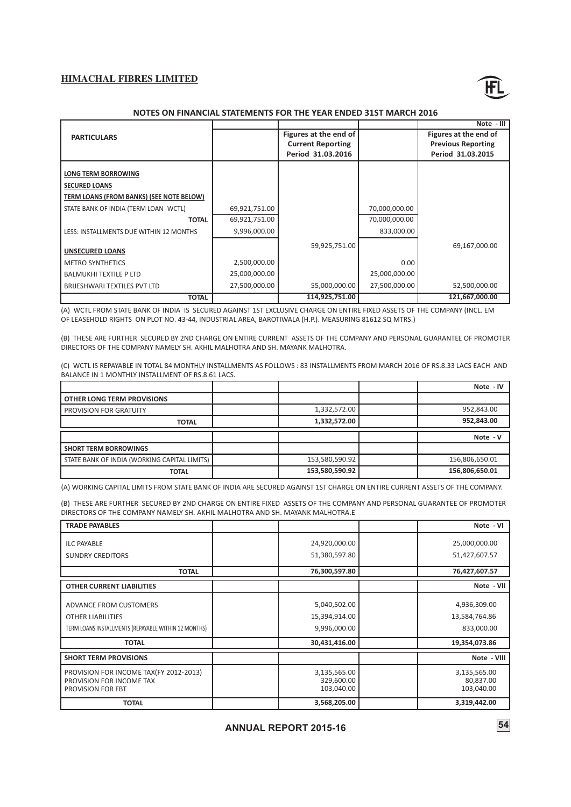![](_page_56_Picture_1.jpeg)

### **NOTES ON FINANCIAL STATEMENTS FOR THE YEAR ENDED 31ST MARCH 2016**

|                                          |               |                          |               | Note - III                |
|------------------------------------------|---------------|--------------------------|---------------|---------------------------|
| <b>PARTICULARS</b>                       |               | Figures at the end of    |               | Figures at the end of     |
|                                          |               | <b>Current Reporting</b> |               | <b>Previous Reporting</b> |
|                                          |               | Period 31.03.2016        |               | Period 31.03.2015         |
|                                          |               |                          |               |                           |
| <b>LONG TERM BORROWING</b>               |               |                          |               |                           |
| <b>SECURED LOANS</b>                     |               |                          |               |                           |
| TERM LOANS (FROM BANKS) (SEE NOTE BELOW) |               |                          |               |                           |
| STATE BANK OF INDIA (TERM LOAN - WCTL)   | 69,921,751.00 |                          | 70,000,000.00 |                           |
| <b>TOTAL</b>                             | 69,921,751.00 |                          | 70,000,000.00 |                           |
| LESS: INSTALLMENTS DUE WITHIN 12 MONTHS  | 9,996,000.00  |                          | 833,000.00    |                           |
|                                          |               | 59,925,751.00            |               | 69,167,000.00             |
| <b>UNSECURED LOANS</b>                   |               |                          |               |                           |
| <b>METRO SYNTHETICS</b>                  | 2,500,000.00  |                          | 0.00          |                           |
| <b>BALMUKHI TEXTILE P LTD</b>            | 25,000,000.00 |                          | 25,000,000.00 |                           |
| BRIJESHWARI TEXTILES PVT LTD             | 27,500,000.00 | 55,000,000.00            | 27,500,000.00 | 52,500,000.00             |
| <b>TOTAL</b>                             |               | 114,925,751.00           |               | 121,667,000.00            |

(A) WCTL FROM STATE BANK OF INDIA IS SECURED AGAINST 1ST EXCLUSIVE CHARGE ON ENTIRE FIXED ASSETS OF THE COMPANY (INCL. EM OF LEASEHOLD RIGHTS ON PLOT NO. 43-44, INDUSTRIAL AREA, BAROTIWALA (H.P.). MEASURING 81612 SQ MTRS.)

(B) THESE ARE FURTHER SECURED BY 2ND CHARGE ON ENTIRE CURRENT ASSETS OF THE COMPANY AND PERSONAL GUARANTEE OF PROMOTER DIRECTORS OF THE COMPANY NAMELY SH. AKHIL MALHOTRA AND SH. MAYANK MALHOTRA.

(C) WCTL IS REPAYABLE IN TOTAL 84 MONTHLY INSTALLMENTS AS FOLLOWS : 83 INSTALLMENTS FROM MARCH 2016 OF RS.8.33 LACS EACH AND BALANCE IN 1 MONTHLY INSTALLMENT OF RS.8.61 LACS.

|                                              |                | Note - IV      |
|----------------------------------------------|----------------|----------------|
| <b>OTHER LONG TERM PROVISIONS</b>            |                |                |
| PROVISION FOR GRATUITY                       | 1,332,572.00   | 952,843.00     |
| <b>TOTAL</b>                                 | 1,332,572.00   | 952,843.00     |
|                                              |                |                |
|                                              |                | Note - V       |
| <b>SHORT TERM BORROWINGS</b>                 |                |                |
| STATE BANK OF INDIA (WORKING CAPITAL LIMITS) | 153,580,590.92 | 156,806,650.01 |

(A) WORKING CAPITAL LIMITS FROM STATE BANK OF INDIA ARE SECURED AGAINST 1ST CHARGE ON ENTIRE CURRENT ASSETS OF THE COMPANY.

(B) THESE ARE FURTHER SECURED BY 2ND CHARGE ON ENTIRE FIXED ASSETS OF THE COMPANY AND PERSONAL GUARANTEE OF PROMOTER DIRECTORS OF THE COMPANY NAMELY SH. AKHIL MALHOTRA AND SH. MAYANK MALHOTRA.E

| <b>TRADE PAYABLES</b>                                                                                                      |                                                                | Note - VI                                                    |
|----------------------------------------------------------------------------------------------------------------------------|----------------------------------------------------------------|--------------------------------------------------------------|
| <b>ILC PAYABLE</b><br><b>SUNDRY CREDITORS</b>                                                                              | 24,920,000.00<br>51,380,597.80                                 | 25,000,000.00<br>51,427,607.57                               |
| <b>TOTAL</b>                                                                                                               | 76,300,597.80                                                  | 76,427,607.57                                                |
| <b>OTHER CURRENT LIABILITIES</b>                                                                                           |                                                                | Note - VII                                                   |
| ADVANCE FROM CUSTOMERS<br><b>OTHER LIABILITIES</b><br>TERM LOANS INSTALLMENTS (REPAYABLE WITHIN 12 MONTHS)<br><b>TOTAL</b> | 5,040,502.00<br>15,394,914.00<br>9,996,000.00<br>30,431,416.00 | 4,936,309.00<br>13,584,764.86<br>833,000.00<br>19,354,073.86 |
| <b>SHORT TERM PROVISIONS</b>                                                                                               |                                                                | Note - VIII                                                  |
| PROVISION FOR INCOME TAX(FY 2012-2013)<br>PROVISION FOR INCOME TAX<br><b>PROVISION FOR FBT</b>                             | 3,135,565.00<br>329,600.00<br>103,040.00                       | 3,135,565.00<br>80,837.00<br>103,040.00                      |
| <b>TOTAL</b>                                                                                                               | 3,568,205.00                                                   | 3,319,442.00                                                 |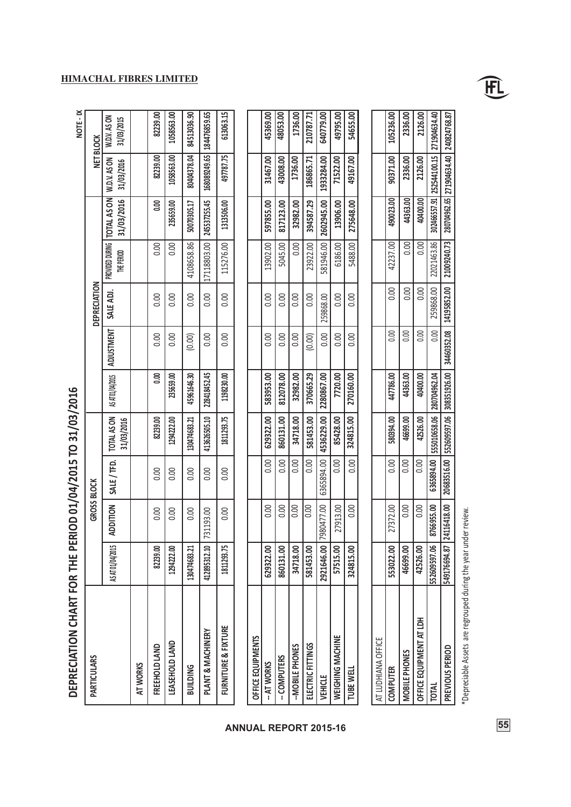| DEPRECIATION CHART FOR THE PEI |                  |                    |            | RIOD 01/04/2015 TO 31/03/2016 |                  |                   |              |                   |                                           |                            | NOTE - IX                  |
|--------------------------------|------------------|--------------------|------------|-------------------------------|------------------|-------------------|--------------|-------------------|-------------------------------------------|----------------------------|----------------------------|
| <b>PARTICULARS</b>             |                  | <b>GROSS BLOCK</b> |            |                               |                  |                   | DEPRECIATION |                   |                                           | <b>NET BLOCK</b>           |                            |
|                                | AS AT 01/04/2015 | <b>ADDITION</b>    | SALE/TFD.  | TOTAL AS ON<br>31/03/2016     | AS AT 01/04/2015 | <b>ADJUSTMENT</b> | SALE ADJ.    | <b>THE PERIOD</b> | PROVIDED DURING TOTAL AS ON<br>31/03/2016 | W.D.V. AS ON<br>31/03/2016 | W.D.V. AS ON<br>31/03/2015 |
| AT WORKS                       |                  |                    |            |                               |                  |                   |              |                   |                                           |                            |                            |
| FREEHOLD LAND                  | 82239.00         | 0.00               | 0.00       | 82239.00                      | 0.00             | 0.00              | 0.00         | 0.00              | 8.00                                      | 82239.00                   | 82239.00                   |
| LEASEHOLD LAND                 | 1294222.00       | 0.00               | 0.00       | 1294222.00                    | 235659.00        | 0.00              | 0.00         | 0.00              | 235659.00                                 | 1058563.00                 | 1058563.00                 |
| <b>BUILDING</b>                | 130474683.21     | 0.00               | 0.00       | 130474683.21                  | 45961646.30      | (0.00)            | 0.00         | 4108658.86        | 50070305.17                               | 80404378.04                | 84513036.90                |
| PLANT & MACHINERY              | 412895312.10     | 31193.00           | 0.00       | 413626505.10                  | 228418452.45     | 0.00              | 0.00         | 17118803.00       | 245537255.45                              | 168089249.65               | 184476859.65               |
| <b>FURNITURE &amp; FIXTURE</b> | 1811293.75       | 0.00               | 0.00       | 1811293.75                    | 1198230.00       | 0.00              | 0.00         | 115276.00         | 1313506.00                                | 497787.75                  | 613063.15                  |
|                                |                  |                    |            |                               |                  |                   |              |                   |                                           |                            |                            |
| OFFICE EQUIPMENTS              |                  |                    |            |                               |                  |                   |              |                   |                                           |                            |                            |
| -- AT WORKS                    | 629322.00        | 0.00               | 0.00       | 629322.00                     | 583953.00        | 0.00              | 0.00         | 13902.00          | 597855.00                                 | 31467.00                   | 45369.00                   |
| -- COMPUTERS                   | 860131.00        | 0.00               | 0.00       | 860131.00                     | 812078.00        | 0.00              | 0.00         | 5045.00           | 817123.00                                 | 43008.00                   | 48053.00                   |
| -MOBILE PHONES                 | 34718.00         | 0.00               | 0.00       | 34718.00                      | 32982.00         | 0.00              | 0.00         | 0.00              | 32982.00                                  | 1736.00                    | 1736.00                    |
| ELECTRIC FITTINGS              | 581453.00        | 0.00               | 0.00       | 581453.00                     | 370665.29        | (0.00)            | 0.00         | 23922.00          | 394587.29                                 | 186865.71                  | 210787.71                  |
| <b>VEHICLE</b>                 | 2921646.00       | 7980477.00         | 6365894.00 | 4536229.00                    | 2280867.00       | 0.00              | 259868.00    | 581946.00         | 2602945.00                                | 1933284.00                 | 640779.00                  |
| WEIGHING MACHINE               | 57515.00         | 27913.00           | 0.00       | 85428.00                      | 7720.00          | 0.00              | 0.00         | 6186.00           | 13906.00                                  | 71522.00                   | 49795.00                   |

| - 1<br>1<br>1<br>1   |
|----------------------|
|                      |
| í                    |
|                      |
| į                    |
| $\ddot{\phantom{a}}$ |
|                      |
|                      |
| -<br>-<br>-<br>-     |
| í                    |
|                      |
|                      |
| $\frac{1}{1}$        |
|                      |
|                      |
| i<br>:<br>:          |
|                      |
| i                    |
| i                    |
|                      |
|                      |
|                      |

| <b>LUDHIANA OFFICE</b>         |              |               |                 |           |                                                                                                                                                    |      |               |                                                                           |           |          |           |
|--------------------------------|--------------|---------------|-----------------|-----------|----------------------------------------------------------------------------------------------------------------------------------------------------|------|---------------|---------------------------------------------------------------------------|-----------|----------|-----------|
| <b>OMPUTER</b>                 | 553022.00    | 27372.00      | $\frac{1}{200}$ | 580394.00 | 447786.00                                                                                                                                          | 0.00 | 0.00          | 42237.00                                                                  | 490023.00 | 90371.00 | 105236.00 |
| OBILE PHONES                   | 16699.00     | 0.00          | $\frac{1}{200}$ | 46699.00  | 44363.00                                                                                                                                           | 0.00 | 0.00          | $\overline{0.00}$                                                         | 44363.00  | 2336.00  | 2336.00   |
| <b>JFFICE EQUIPMENT AT LDH</b> | 42526.00     | $\frac{8}{2}$ | $\frac{1}{200}$ | 42526.00  | 40400.00                                                                                                                                           | 0.00 | $\frac{8}{2}$ | 0.00                                                                      | 40400.00  | 2126.00  | 2126.00   |
| <b>UNIO</b>                    | 552609597.06 | 8766955.00    |                 |           | 6365894.00 555010658.06 280704962.04                                                                                                               |      |               | 0.00   259868.00   22021463.86   302466557.91 252544100.15   271904634.40 |           |          |           |
| <b>REVIOUS PERIOD</b>          | 549176694.87 |               |                 |           | 24116418.00   20683516.00   552609597.06   308351926.00    30460352.08    14195852.00    21009240.73    20070496265   271904634.40    240824768.87 |      |               |                                                                           |           |          |           |
|                                |              |               |                 |           |                                                                                                                                                    |      |               |                                                                           |           |          |           |

5488.00

 $\overline{0.00}$ 

0.00

**324815.00**

**270160.00**

**324815.00**

0.00

**TUBE WELL**

**ANNUAL 55 REPORT 2015-16**

 $\overline{0.00}$ 

**275648.00**

**49167.00**

**54655.00**

\*Depreciable Assets are regrouped during the year under review. \*Depreciable Assets are regrouped during the year under review. FL

# **HIMACHAL FIBRES LIMITED**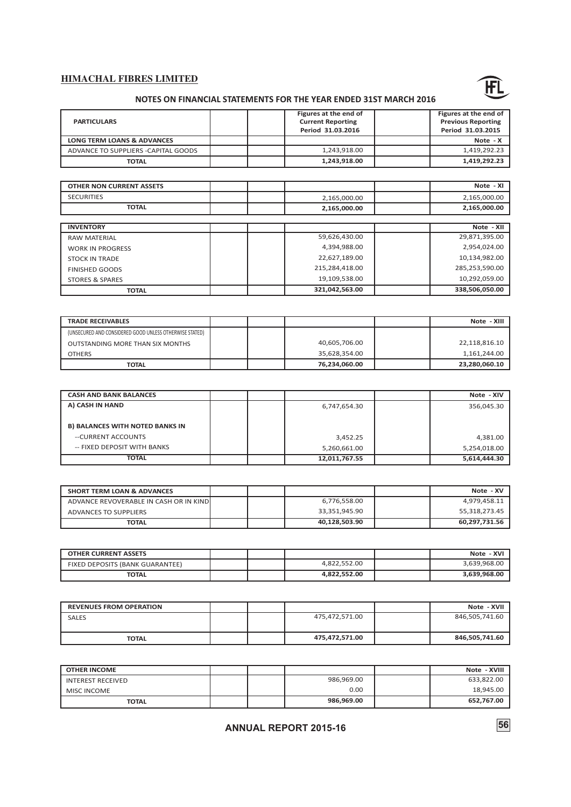![](_page_58_Picture_1.jpeg)

# **NOTES ON FINANCIAL STATEMENTS FOR THE YEAR ENDED 31ST MARCH 2016**

| <b>PARTICULARS</b>                    | Figures at the end of<br><b>Current Reporting</b><br>Period 31.03.2016 | Figures at the end of<br><b>Previous Reporting</b><br>Period 31.03.2015 |
|---------------------------------------|------------------------------------------------------------------------|-------------------------------------------------------------------------|
| <b>LONG TERM LOANS &amp; ADVANCES</b> |                                                                        | Note - X                                                                |
| ADVANCE TO SUPPLIERS -CAPITAL GOODS   | 1.243.918.00                                                           | 1,419,292.23                                                            |
| <b>TOTAL</b>                          | 1,243,918.00                                                           | 1,419,292.23                                                            |

| <b>OTHER NON CURRENT ASSETS</b> |                | Note - XI      |
|---------------------------------|----------------|----------------|
| <b>SECURITIES</b>               | 2,165,000.00   | 2,165,000.00   |
| <b>TOTAL</b>                    | 2,165,000.00   | 2,165,000.00   |
|                                 |                |                |
| <b>INVENTORY</b>                |                | Note - XII     |
| <b>RAW MATERIAL</b>             | 59,626,430.00  | 29,871,395.00  |
| <b>WORK IN PROGRESS</b>         | 4,394,988.00   | 2,954,024.00   |
| <b>STOCK IN TRADE</b>           | 22,627,189.00  | 10,134,982.00  |
| <b>FINISHED GOODS</b>           | 215,284,418.00 | 285,253,590.00 |
| <b>STORES &amp; SPARES</b>      | 19,109,538.00  | 10,292,059.00  |
| <b>TOTAL</b>                    | 321,042,563.00 | 338,506,050.00 |

| <b>TRADE RECEIVABLES</b>                                |  |               | Note - XIII   |
|---------------------------------------------------------|--|---------------|---------------|
| (UNSECURED AND CONSIDERED GOOD UNLESS OTHERWISE STATED) |  |               |               |
| OUTSTANDING MORE THAN SIX MONTHS                        |  | 40.605.706.00 | 22,118,816.10 |
| <b>OTHERS</b>                                           |  | 35.628.354.00 | 1,161,244.00  |
| <b>TOTAL</b>                                            |  | 76,234,060.00 | 23,280,060.10 |

| <b>CASH AND BANK BALANCES</b>          |               | Note - XIV   |
|----------------------------------------|---------------|--------------|
| A) CASH IN HAND                        | 6,747,654.30  | 356.045.30   |
|                                        |               |              |
| <b>B) BALANCES WITH NOTED BANKS IN</b> |               |              |
| --CURRENT ACCOUNTS                     | 3,452.25      | 4,381.00     |
| -- FIXED DEPOSIT WITH BANKS            | 5,260,661.00  | 5,254,018.00 |
| <b>TOTAL</b>                           | 12,011,767.55 | 5,614,444.30 |

| <b>SHORT TERM LOAN &amp; ADVANCES</b>   |  |               | Note - XV     |
|-----------------------------------------|--|---------------|---------------|
| ADVANCE REVOVERABLE IN CASH OR IN KINDI |  | 6.776.558.00  | 4,979,458.11  |
| ADVANCES TO SUPPLIERS                   |  | 33.351.945.90 | 55,318,273.45 |
| TOTAL                                   |  | 40.128.503.90 | 60,297,731.56 |

| <b>OTHER CURRENT ASSETS</b>     |  |              | Note - XVI   |
|---------------------------------|--|--------------|--------------|
| FIXED DEPOSITS (BANK GUARANTEE) |  | 4.822.552.00 | 3.639.968.00 |
| <b>TOTAL</b>                    |  | 4.822.552.00 | 3.639.968.00 |

| <b>REVENUES FROM OPERATION</b> |  |                | Note - XVII    |
|--------------------------------|--|----------------|----------------|
| <b>SALES</b>                   |  | 475,472,571.00 | 846,505,741.60 |
| <b>TOTAL</b>                   |  | 475,472,571.00 | 846,505,741.60 |

| <b>OTHER INCOME</b> |  |            | Note - XVIII |
|---------------------|--|------------|--------------|
| INTEREST RECEIVED   |  | 986.969.00 | 633.822.00   |
| <b>MISC INCOME</b>  |  | 0.00       | 18,945.00    |
| <b>TOTAL</b>        |  | 986.969.00 | 652,767.00   |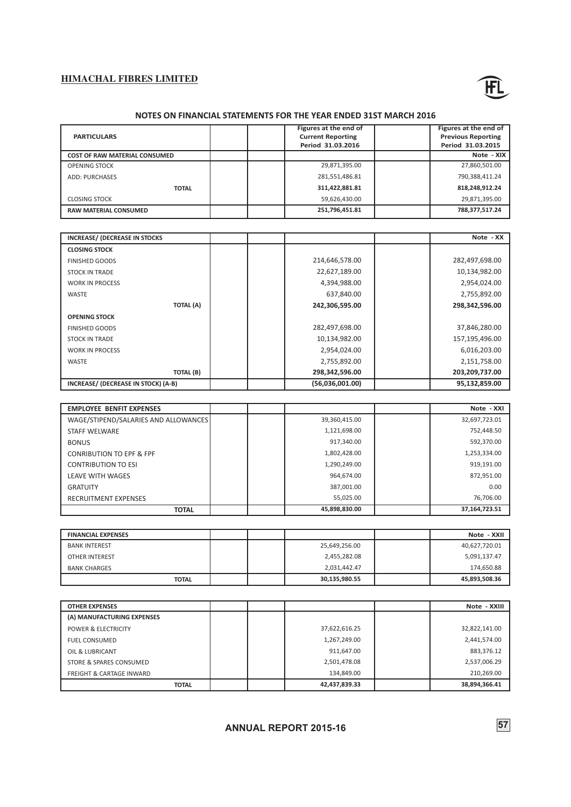![](_page_59_Picture_1.jpeg)

### **NOTES ON FINANCIAL STATEMENTS FOR THE YEAR ENDED 31ST MARCH 2016**

| <b>PARTICULARS</b>                   | Figures at the end of<br><b>Current Reporting</b><br>Period 31.03.2016 | Figures at the end of<br><b>Previous Reporting</b><br>Period 31.03.2015 |
|--------------------------------------|------------------------------------------------------------------------|-------------------------------------------------------------------------|
| <b>COST OF RAW MATERIAL CONSUMED</b> |                                                                        | Note - XIX                                                              |
| <b>OPENING STOCK</b>                 | 29,871,395.00                                                          | 27,860,501.00                                                           |
| <b>ADD: PURCHASES</b>                | 281,551,486.81                                                         | 790,388,411.24                                                          |
| <b>TOTAL</b>                         | 311,422,881.81                                                         | 818,248,912.24                                                          |
| <b>CLOSING STOCK</b>                 | 59,626,430.00                                                          | 29,871,395.00                                                           |
| <b>RAW MATERIAL CONSUMED</b>         | 251,796,451.81                                                         | 788,377,517.24                                                          |

| INCREASE/ (DECREASE IN STOCKS       |                 | Note - XX      |
|-------------------------------------|-----------------|----------------|
| <b>CLOSING STOCK</b>                |                 |                |
| <b>FINISHED GOODS</b>               | 214,646,578.00  | 282,497,698.00 |
| <b>STOCK IN TRADE</b>               | 22,627,189.00   | 10,134,982.00  |
| <b>WORK IN PROCESS</b>              | 4,394,988.00    | 2,954,024.00   |
| <b>WASTE</b>                        | 637,840.00      | 2,755,892.00   |
| TOTAL (A)                           | 242,306,595.00  | 298,342,596.00 |
| <b>OPENING STOCK</b>                |                 |                |
| <b>FINISHED GOODS</b>               | 282,497,698.00  | 37,846,280.00  |
| <b>STOCK IN TRADE</b>               | 10,134,982.00   | 157,195,496.00 |
| <b>WORK IN PROCESS</b>              | 2,954,024.00    | 6,016,203.00   |
| <b>WASTE</b>                        | 2,755,892.00    | 2,151,758.00   |
| <b>TOTAL (B)</b>                    | 298,342,596.00  | 203,209,737.00 |
| INCREASE/ (DECREASE IN STOCK) (A-B) | (56,036,001.00) | 95,132,859.00  |

| <b>EMPLOYEE BENFIT EXPENSES</b>      |               | Note - XXI    |
|--------------------------------------|---------------|---------------|
| WAGE/STIPEND/SALARIES AND ALLOWANCES | 39,360,415.00 | 32,697,723.01 |
| <b>STAFF WELWARE</b>                 | 1,121,698.00  | 752,448.50    |
| <b>BONUS</b>                         | 917,340.00    | 592,370.00    |
| <b>CONRIBUTION TO EPF &amp; FPF</b>  | 1,802,428.00  | 1,253,334.00  |
| <b>CONTRIBUTION TO ESI</b>           | 1,290,249.00  | 919,191.00    |
| LEAVE WITH WAGES                     | 964,674.00    | 872,951.00    |
| <b>GRATUITY</b>                      | 387.001.00    | 0.00          |
| <b>RECRUITMENT EXPENSES</b>          | 55,025.00     | 76.706.00     |
| <b>TOTAL</b>                         | 45.898.830.00 | 37,164,723.51 |

| <b>FINANCIAL EXPENSES</b> |  |               | Note - XXII   |
|---------------------------|--|---------------|---------------|
| <b>BANK INTEREST</b>      |  | 25,649,256.00 | 40,627,720.01 |
| OTHER INTEREST            |  | 2,455,282.08  | 5,091,137.47  |
| <b>BANK CHARGES</b>       |  | 2,031,442.47  | 174,650.88    |
| <b>TOTAL</b>              |  | 30,135,980.55 | 45,893,508.36 |

| <b>OTHER EXPENSES</b>               |               | Note - XXIII  |
|-------------------------------------|---------------|---------------|
| (A) MANUFACTURING EXPENSES          |               |               |
| <b>POWER &amp; ELECTRICITY</b>      | 37,622,616.25 | 32,822,141.00 |
| <b>FUEL CONSUMED</b>                | 1,267,249.00  | 2,441,574.00  |
| OIL & LUBRICANT                     | 911,647.00    | 883,376.12    |
| STORE & SPARES CONSUMED             | 2,501,478.08  | 2,537,006.29  |
| <b>FREIGHT &amp; CARTAGE INWARD</b> | 134,849.00    | 210,269.00    |
| <b>TOTAL</b>                        | 42,437,839.33 | 38,894,366.41 |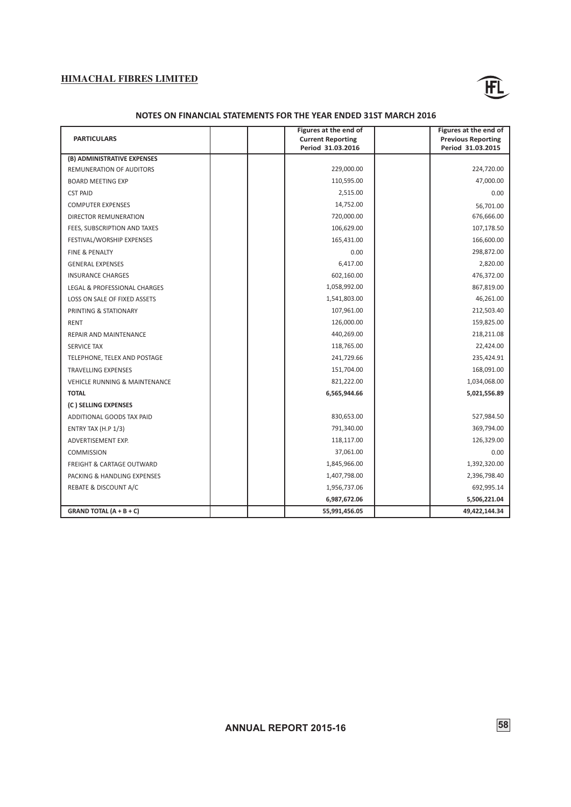![](_page_60_Picture_1.jpeg)

### **NOTES ON FINANCIAL STATEMENTS FOR THE YEAR ENDED 31ST MARCH 2016**

|                                          | Figures at the end of    | Figures at the end of     |
|------------------------------------------|--------------------------|---------------------------|
| <b>PARTICULARS</b>                       | <b>Current Reporting</b> | <b>Previous Reporting</b> |
|                                          | Period 31.03.2016        | Period 31.03.2015         |
| (B) ADMINISTRATIVE EXPENSES              |                          |                           |
| REMUNERATION OF AUDITORS                 | 229,000.00               | 224,720.00                |
| <b>BOARD MEETING EXP</b>                 | 110,595.00               | 47,000.00                 |
| <b>CST PAID</b>                          | 2,515.00                 | 0.00                      |
| <b>COMPUTER EXPENSES</b>                 | 14,752.00                | 56,701.00                 |
| DIRECTOR REMUNERATION                    | 720,000.00               | 676,666.00                |
| FEES, SUBSCRIPTION AND TAXES             | 106,629.00               | 107,178.50                |
| FESTIVAL/WORSHIP EXPENSES                | 165,431.00               | 166,600.00                |
| <b>FINE &amp; PENALTY</b>                | 0.00                     | 298,872.00                |
| <b>GENERAL EXPENSES</b>                  | 6,417.00                 | 2,820.00                  |
| <b>INSURANCE CHARGES</b>                 | 602,160.00               | 476,372.00                |
| LEGAL & PROFESSIONAL CHARGES             | 1,058,992.00             | 867,819.00                |
| LOSS ON SALE OF FIXED ASSETS             | 1,541,803.00             | 46,261.00                 |
| PRINTING & STATIONARY                    | 107,961.00               | 212,503.40                |
| <b>RENT</b>                              | 126,000.00               | 159,825.00                |
| REPAIR AND MAINTENANCE                   | 440,269.00               | 218,211.08                |
| <b>SERVICE TAX</b>                       | 118,765.00               | 22,424.00                 |
| TELEPHONE, TELEX AND POSTAGE             | 241,729.66               | 235,424.91                |
| <b>TRAVELLING EXPENSES</b>               | 151,704.00               | 168,091.00                |
| <b>VEHICLE RUNNING &amp; MAINTENANCE</b> | 821,222.00               | 1,034,068.00              |
| <b>TOTAL</b>                             | 6,565,944.66             | 5,021,556.89              |
| (C) SELLING EXPENSES                     |                          |                           |
| ADDITIONAL GOODS TAX PAID                | 830,653.00               | 527,984.50                |
| ENTRY TAX $(H.P 1/3)$                    | 791,340.00               | 369,794.00                |
| ADVERTISEMENT EXP.                       | 118,117.00               | 126,329.00                |
| <b>COMMISSION</b>                        | 37,061.00                | 0.00                      |
| <b>FREIGHT &amp; CARTAGE OUTWARD</b>     | 1,845,966.00             | 1,392,320.00              |
| PACKING & HANDLING EXPENSES              | 1,407,798.00             | 2,396,798.40              |
| REBATE & DISCOUNT A/C                    | 1,956,737.06             | 692,995.14                |
|                                          | 6,987,672.06             | 5,506,221.04              |
| GRAND TOTAL $(A + B + C)$                | 55,991,456.05            | 49,422,144.34             |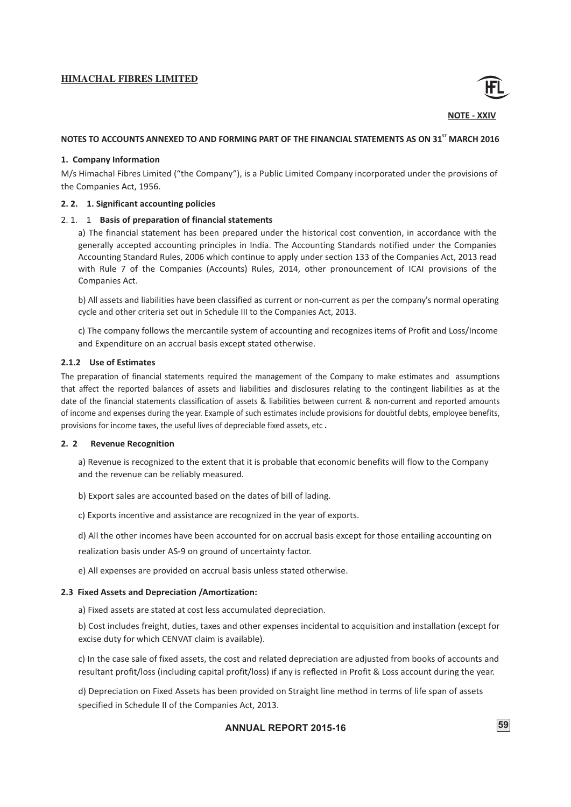![](_page_61_Picture_1.jpeg)

**NOTE - XXIV**

# NOTES TO ACCOUNTS ANNEXED TO AND FORMING PART OF THE FINANCIAL STATEMENTS AS ON 31<sup>ST</sup> MARCH 2016

# **1. Company Information**

M/s Himachal Fibres Limited ("the Company"), is a Public Limited Company incorporated under the provisions of the Companies Act, 1956.

### **2. 2. 1. Significant accounting policies**

# 2. 1. 1 **Basis of preparation of financial statements**

a) The financial statement has been prepared under the historical cost convention, in accordance with the generally accepted accounting principles in India. The Accounting Standards notified under the Companies Accounting Standard Rules, 2006 which continue to apply under section 133 of the Companies Act, 2013 read with Rule 7 of the Companies (Accounts) Rules, 2014, other pronouncement of ICAI provisions of the Companies Act.

b) All assets and liabilities have been classified as current or non-current as per the company's normal operating cycle and other criteria set out in Schedule III to the Companies Act, 2013.

c) The company follows the mercantile system of accounting and recognizes items of Profit and Loss/Income and Expenditure on an accrual basis except stated otherwise.

### **2.1.2 Use of Estimates**

The preparation of financial statements required the management of the Company to make estimates and assumptions that affect the reported balances of assets and liabilities and disclosures relating to the contingent liabilities as at the date of the financial statements classification of assets & liabilities between current & non-current and reported amounts ofincome and expenses during the year. Example of such estimates include provisions for doubtful debts, employee benefits, provisions for income taxes, the useful lives of depreciable fixed assets, etc **.**

### **2. 2 Revenue Recognition**

a) Revenue is recognized to the extent that it is probable that economic benefits will flow to the Company and the revenue can be reliably measured.

b) Export sales are accounted based on the dates of bill of lading.

c) Exports incentive and assistance are recognized in the year of exports.

d) All the other incomes have been accounted for on accrual basis except for those entailing accounting on realization basis under AS-9 on ground of uncertainty factor.

e) All expenses are provided on accrual basis unless stated otherwise.

### **2.3 Fixed Assets and Depreciation /Amortization:**

a) Fixed assets are stated at cost less accumulated depreciation.

b) Cost includes freight, duties, taxes and other expenses incidental to acquisition and installation (except for excise duty for which CENVAT claim is available).

c) In the case sale of fixed assets, the cost and related depreciation are adjusted from books of accounts and resultant profit/loss (including capital profit/loss) if any is reflected in Profit & Loss account during the year.

d) Depreciation on Fixed Assets has been provided on Straight line method in terms of life span of assets specified in Schedule II of the Companies Act, 2013.

# **ANNUAL 59 REPORT 2015-16**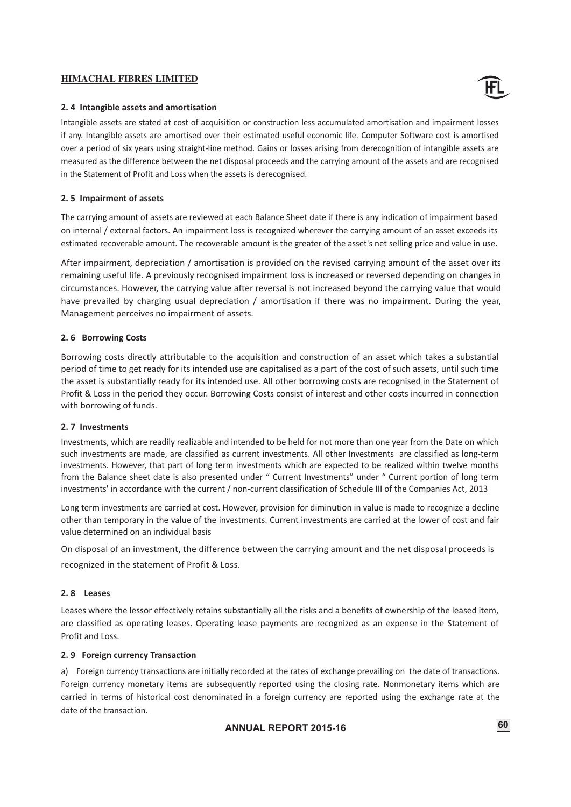![](_page_62_Picture_1.jpeg)

### **2. 4 Intangible assets and amortisation**

Intangible assets are stated at cost of acquisition or construction less accumulated amortisation and impairment losses if any. Intangible assets are amortised over their estimated useful economic life. Computer Software cost is amortised over a period of six years using straight-line method. Gains or losses arising from derecognition of intangible assets are measured as the difference between the net disposal proceeds and the carrying amount of the assets and are recognised in the Statement of Profit and Loss when the assets is derecognised.

### **2. 5 Impairment of assets**

The carrying amount of assets are reviewed at each Balance Sheet date if there is any indication of impairment based on internal / external factors. An impairment loss is recognized wherever the carrying amount of an asset exceeds its estimated recoverable amount. The recoverable amount is the greater of the asset's net selling price and value in use.

After impairment, depreciation / amortisation is provided on the revised carrying amount of the asset over its remaining useful life. A previously recognised impairment loss is increased or reversed depending on changes in circumstances. However, the carrying value after reversal is not increased beyond the carrying value that would have prevailed by charging usual depreciation / amortisation if there was no impairment. During the year, Management perceives no impairment of assets.

### **2. 6 Borrowing Costs**

Borrowing costs directly attributable to the acquisition and construction of an asset which takes a substantial period of time to get ready for its intended use are capitalised as a part of the cost of such assets, until such time the asset is substantially ready for its intended use. All other borrowing costs are recognised in the Statement of Profit & Loss in the period they occur. Borrowing Costs consist of interest and other costs incurred in connection with borrowing of funds.

### **2. 7 Investments**

Investments, which are readily realizable and intended to be held for not more than one year from the Date on which such investments are made, are classified as current investments. All other Investments are classified as long-term investments. However, that part of long term investments which are expected to be realized within twelve months from the Balance sheet date is also presented under " Current Investments" under " Current portion of long term investments' in accordance with the current / non-current classification of Schedule III of the Companies Act, 2013

Long term investments are carried at cost. However, provision for diminution in value is made to recognize a decline other than temporary in the value of the investments. Current investments are carried at the lower of cost and fair value determined on an individual basis

On disposal of an investment, the difference between the carrying amount and the net disposal proceeds is recognized in the statement of Profit & Loss.

# **2. 8 Leases**

Leases where the lessor effectively retains substantially all the risks and a benefits of ownership of the leased item, are classified as operating leases. Operating lease payments are recognized as an expense in the Statement of Profit and Loss.

# **2. 9 Foreign currency Transaction**

a) Foreign currency transactions are initially recorded at the rates of exchange prevailing on the date of transactions. Foreign currency monetary items are subsequently reported using the closing rate. Nonmonetary items which are carried in terms of historical cost denominated in a foreign currency are reported using the exchange rate at the date of the transaction.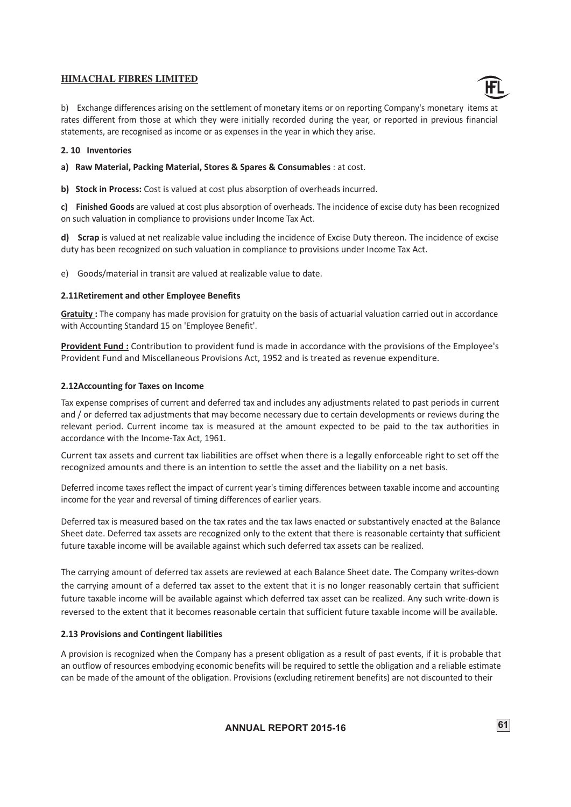![](_page_63_Picture_1.jpeg)

b) Exchange differences arising on the settlement of monetary items or on reporting Company's monetary items at rates different from those at which they were initially recorded during the year, or reported in previous financial statements, are recognised as income or as expenses in the year in which they arise.

# **2. 10 Inventories**

**a) Raw Material, Packing Material, Stores & Spares & Consumables** : at cost.

**b) Stock in Process:** Cost is valued at cost plus absorption of overheads incurred.

**c) Finished Goods** are valued at cost plus absorption of overheads. The incidence of excise duty has been recognized on such valuation in compliance to provisions under Income Tax Act.

**d) Scrap** is valued at net realizable value including the incidence of Excise Duty thereon. The incidence of excise duty has been recognized on such valuation in compliance to provisions under Income Tax Act.

e) Goods/material in transit are valued at realizable value to date.

# **2.11Retirement and other Employee Benefits**

**Gratuity :** The company has made provision for gratuity on the basis of actuarial valuation carried out in accordance with Accounting Standard 15 on 'Employee Benefit'.

**Provident Fund :** Contribution to provident fund is made in accordance with the provisions of the Employee's Provident Fund and Miscellaneous Provisions Act, 1952 and is treated as revenue expenditure.

# **2.12Accounting for Taxes on Income**

Tax expense comprises of current and deferred tax and includes any adjustments related to past periods in current and / or deferred tax adjustments that may become necessary due to certain developments or reviews during the relevant period. Current income tax is measured at the amount expected to be paid to the tax authorities in accordance with the Income-Tax Act, 1961.

Current tax assets and current tax liabilities are offset when there is a legally enforceable right to set off the recognized amounts and there is an intention to settle the asset and the liability on a net basis.

Deferred income taxes reflect the impact of current year's timing differences between taxable income and accounting income for the year and reversal of timing differences of earlier years.

Deferred tax is measured based on the tax rates and the tax laws enacted or substantively enacted at the Balance Sheet date. Deferred tax assets are recognized only to the extent that there is reasonable certainty that sufficient future taxable income will be available against which such deferred tax assets can be realized.

The carrying amount of deferred tax assets are reviewed at each Balance Sheet date. The Company writes-down the carrying amount of a deferred tax asset to the extent that it is no longer reasonably certain that sufficient future taxable income will be available against which deferred tax asset can be realized. Any such write-down is reversed to the extent that it becomes reasonable certain that sufficient future taxable income will be available.

# **2.13 Provisions and Contingent liabilities**

A provision is recognized when the Company has a present obligation as a result of past events, if it is probable that an outflow of resources embodying economic benefits will be required to settle the obligation and a reliable estimate can be made of the amount of the obligation. Provisions (excluding retirement benefits) are not discounted to their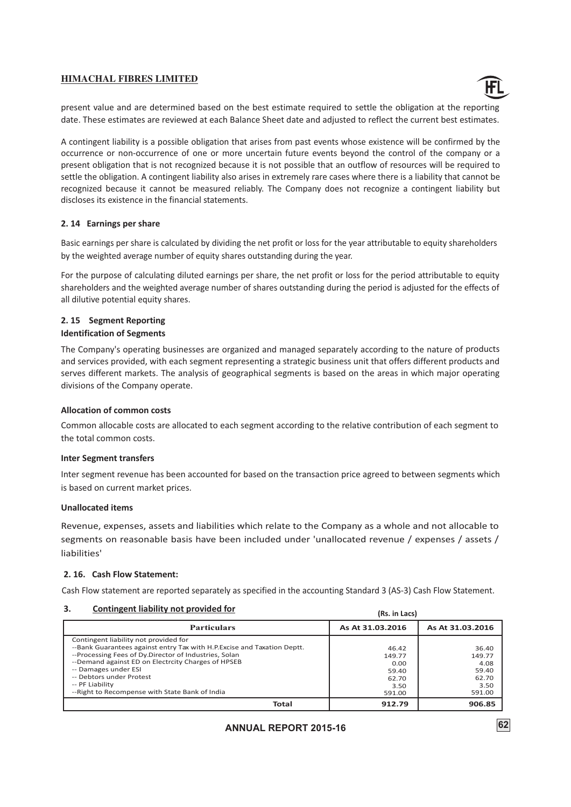![](_page_64_Picture_1.jpeg)

present value and are determined based on the best estimate required to settle the obligation at the reporting date. These estimates are reviewed at each Balance Sheet date and adjusted to reflect the current best estimates.

A contingent liability is a possible obligation that arises from past events whose existence will be confirmed by the occurrence or non-occurrence of one or more uncertain future events beyond the control of the company or a present obligation that is not recognized because it is not possible that an outflow of resources will be required to settle the obligation. A contingent liability also arises in extremely rare cases where there is a liability that cannot be recognized because it cannot be measured reliably. The Company does not recognize a contingent liability but discloses its existence in the financial statements.

# **2. 14 Earnings per share**

Basic earnings per share is calculated by dividing the net profit or loss for the year attributable to equity shareholders by the weighted average number of equity shares outstanding during the year.

For the purpose of calculating diluted earnings per share, the net profit or loss for the period attributable to equity shareholders and the weighted average number of shares outstanding during the period is adjusted for the effects of all dilutive potential equity shares.

# **2. 15 Segment Reporting Identification of Segments**

The Company's operating businesses are organized and managed separately according to the nature of products and services provided, with each segment representing a strategic business unit that offers different products and serves different markets. The analysis of geographical segments is based on the areas in which major operating divisions of the Company operate.

# **Allocation of common costs**

Common allocable costs are allocated to each segment according to the relative contribution of each segment to the total common costs.

# **Inter Segment transfers**

Inter segment revenue has been accounted for based on the transaction price agreed to between segments which is based on current market prices.

### **Unallocated items**

Revenue, expenses, assets and liabilities which relate to the Company as a whole and not allocable to segments on reasonable basis have been included under 'unallocated revenue / expenses / assets / liabilities'

# **2. 16. Cash Flow Statement:**

Cash Flow statement are reported separately as specified in the accounting Standard 3 (AS-3) Cash Flow Statement.

### **3. Contingent liability not provided for**

| З.<br>Contingent liability not provided for                              | (Rs. in Lacs)    |                  |
|--------------------------------------------------------------------------|------------------|------------------|
| <b>Particulars</b>                                                       | As At 31.03.2016 | As At 31.03.2016 |
| Contingent liability not provided for                                    |                  |                  |
| --Bank Guarantees against entry Tax with H.P. Excise and Taxation Deptt. | 46.42            | 36.40            |
| --Processing Fees of Dy Director of Industries, Solan                    | 149.77           | 149.77           |
| --Demand against ED on Electrcity Charges of HPSEB                       | 0.00             | 4.08             |
| -- Damages under ESI                                                     | 59.40            | 59.40            |
| -- Debtors under Protest                                                 | 62.70            | 62.70            |
| -- PF Liability                                                          | 3.50             | 3.50             |
| --Right to Recompense with State Bank of India                           | 591.00           | 591.00           |
| Total                                                                    | 912.79           | 906.85           |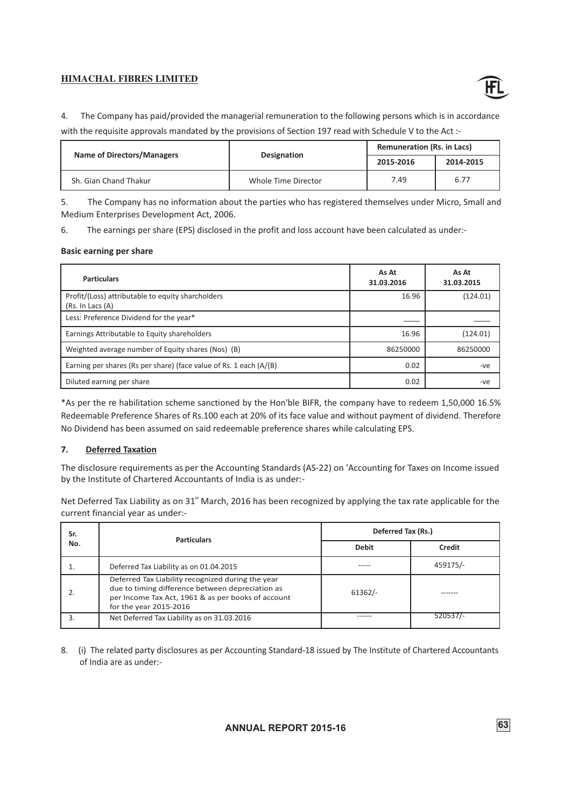![](_page_65_Picture_1.jpeg)

4. The Company has paid/provided the managerial remuneration to the following persons which is in accordance with the requisite approvals mandated by the provisions of Section 197 read with Schedule V to the Act :-

| <b>Name of Directors/Managers</b> | <b>Designation</b>  | <b>Remuneration (Rs. in Lacs)</b> |           |  |
|-----------------------------------|---------------------|-----------------------------------|-----------|--|
|                                   |                     | 2015-2016                         | 2014-2015 |  |
| Sh. Gian Chand Thakur             | Whole Time Director | 7.49                              | 6.77      |  |

5. The Company has no information about the parties who has registered themselves under Micro, Small and Medium Enterprises Development Act, 2006.

6. The earnings per share (EPS) disclosed in the profit and loss account have been calculated as under:-

### **Basic earning per share**

| <b>Particulars</b>                                                     | As At<br>31.03.2016 | As At<br>31.03.2015 |
|------------------------------------------------------------------------|---------------------|---------------------|
| Profit/(Loss) attributable to equity sharcholders<br>(Rs. In Lacs (A)) | 16.96               | (124.01)            |
| Less: Preference Dividend for the year*                                |                     |                     |
| Earnings Attributable to Equity shareholders                           | 16.96               | (124.01)            |
| Weighted average number of Equity shares (Nos) (B)                     | 86250000            | 86250000            |
| Earning per shares (Rs per share) (face value of Rs. 1 each (A/(B)     | 0.02                | -ve                 |
| Diluted earning per share                                              | 0.02                | -ve                 |

\*As per the re habilitation scheme sanctioned by the Hon'ble BIFR, the company have to redeem 1,50,000 16.5% Redeemable Preference Shares of Rs.100 each at 20% of its face value and without payment of dividend. Therefore No Dividend has been assumed on said redeemable preference shares while calculating EPS.

# **7. Deferred Taxation**

The disclosure requirements as per the Accounting Standards (AS-22) on 'Accounting for Taxes on Income issued by the Institute of Chartered Accountants of India is as under:-

Net Deferred Tax Liability as on 31<sup>st</sup> March, 2016 has been recognized by applying the tax rate applicable for the current financial year as under:-

| Sr. | <b>Particulars</b>                                                                                                                                                                    | Deferred Tax (Rs.) |          |  |
|-----|---------------------------------------------------------------------------------------------------------------------------------------------------------------------------------------|--------------------|----------|--|
| No. |                                                                                                                                                                                       | <b>Debit</b>       | Credit   |  |
|     | Deferred Tax Liability as on 01.04.2015                                                                                                                                               |                    | 459175/- |  |
|     | Deferred Tax Liability recognized during the year<br>due to timing difference between depreciation as<br>per Income Tax Act, 1961 & as per books of account<br>for the year 2015-2016 | $61362/-$          |          |  |
|     | Net Deferred Tax Liability as on 31.03.2016                                                                                                                                           |                    | 520537/- |  |

8. (i) The related party disclosures as per Accounting Standard-18 issued by The Institute of Chartered Accountants of India are as under:-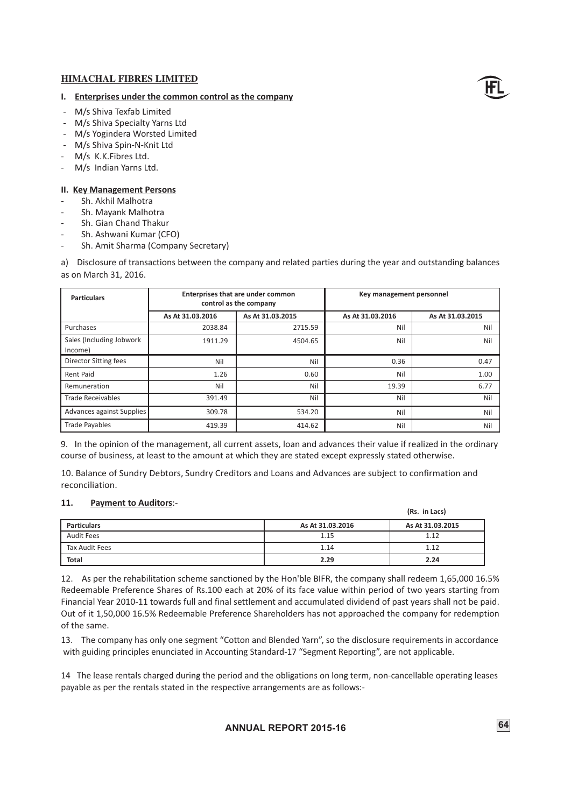# **I. Enterprises under the common control as the company**

- M/s Shiva Texfab Limited
- M/s Shiva Specialty Yarns Ltd
- M/s Yogindera Worsted Limited
- M/s Shiva Spin-N-Knit Ltd
- M/s K.K.Fibres Ltd.
- M/s Indian Yarns Ltd.

### **II. Key Management Persons**

- Sh. Akhil Malhotra
- Sh. Mayank Malhotra
- Sh. Gian Chand Thakur
- Sh. Ashwani Kumar (CFO)
- Sh. Amit Sharma (Company Secretary)

a) Disclosure of transactions between the company and related parties during the year and outstanding balances as on March 31, 2016.

| <b>Particulars</b>                  | Enterprises that are under common<br>control as the company |                  | Key management personnel |                  |
|-------------------------------------|-------------------------------------------------------------|------------------|--------------------------|------------------|
|                                     | As At 31.03.2016                                            | As At 31.03.2015 | As At 31.03.2016         | As At 31.03.2015 |
| Purchases                           | 2038.84                                                     | 2715.59          | Nil                      | Nil              |
| Sales (Including Jobwork<br>Income) | 1911.29                                                     | 4504.65          | Nil                      | Nil              |
| <b>Director Sitting fees</b>        | Nil                                                         | Nil              | 0.36                     | 0.47             |
| <b>Rent Paid</b>                    | 1.26                                                        | 0.60             | Nil                      | 1.00             |
| Remuneration                        | Nil                                                         | Nil              | 19.39                    | 6.77             |
| <b>Trade Receivables</b>            | 391.49                                                      | Nil              | Nil                      | Nil              |
| Advances against Supplies           | 309.78                                                      | 534.20           | Nil                      | Nil              |
| <b>Trade Payables</b>               | 419.39                                                      | 414.62           | Nil                      | Nil              |

9. In the opinion of the management, all current assets, loan and advances their value if realized in the ordinary course of business, at least to the amount at which they are stated except expressly stated otherwise.

10. Balance of Sundry Debtors, Sundry Creditors and Loans and Advances are subject to confirmation and reconciliation.

### **11. Payment to Auditors**:-

| .<br><b>EXPLICITE TO MUNICIPIOL</b> |                  | (Rs. in Lacs)    |
|-------------------------------------|------------------|------------------|
| <b>Particulars</b>                  | As At 31.03.2016 | As At 31.03.2015 |
| <b>Audit Fees</b>                   | 1.15             | 1.12             |
| Tax Audit Fees                      | 1.14             | 1.12             |
| <b>Total</b>                        | 2.29             | 2.24             |

12. As per the rehabilitation scheme sanctioned by the Hon'ble BIFR, the company shall redeem 1,65,000 16.5% Redeemable Preference Shares of Rs.100 each at 20% of its face value within period of two years starting from Financial Year 2010-11 towards full and final settlement and accumulated dividend of past years shall not be paid. Out of it 1,50,000 16.5% Redeemable Preference Shareholders has not approached the company for redemption of the same.

13. The company has only one segment "Cotton and Blended Yarn", so the disclosure requirements in accordance with guiding principles enunciated in Accounting Standard-17 "Segment Reporting", are not applicable.

14 The lease rentals charged during the period and the obligations on long term, non-cancellable operating leases payable as per the rentals stated in the respective arrangements are as follows:-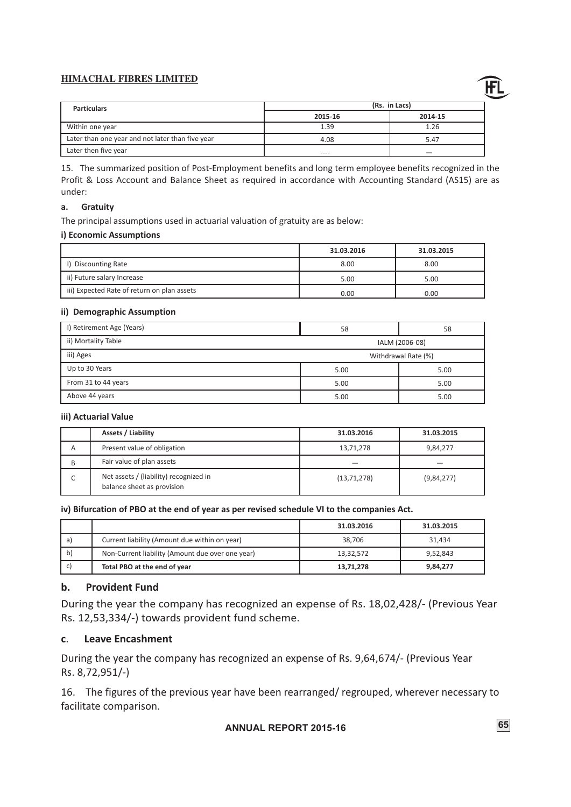![](_page_67_Picture_1.jpeg)

| <b>Particulars</b>                               | (Rs. in Lacs) |         |
|--------------------------------------------------|---------------|---------|
|                                                  | 2015-16       | 2014-15 |
| Within one year                                  | 1.39          | 1.26    |
| Later than one year and not later than five year | 4.08          | 5.47    |
| Later then five year                             | ----          |         |

15. The summarized position of Post-Employment benefits and long term employee benefits recognized in the Profit & Loss Account and Balance Sheet as required in accordance with Accounting Standard (AS15) are as under:

# **a. Gratuity**

The principal assumptions used in actuarial valuation of gratuity are as below:

# **i) Economic Assumptions**

|                                             | 31.03.2016 | 31.03.2015 |
|---------------------------------------------|------------|------------|
| <b>Discounting Rate</b>                     | 8.00       | 8.00       |
| ii) Future salary Increase                  | 5.00       | 5.00       |
| iii) Expected Rate of return on plan assets | 0.00       | 0.00       |

# **ii) Demographic Assumption**

| I) Retirement Age (Years)      | 58             | 58                  |
|--------------------------------|----------------|---------------------|
| ii) Mortality Table            | IALM (2006-08) |                     |
| iii) Ages                      |                | Withdrawal Rate (%) |
| Up to 30 Years<br>5.00<br>5.00 |                |                     |
| From 31 to 44 years<br>5.00    |                | 5.00                |
| Above 44 years                 | 5.00           | 5.00                |

# **iii) Actuarial Value**

|   | Assets / Liability                                                   | 31.03.2016    | 31.03.2015 |
|---|----------------------------------------------------------------------|---------------|------------|
| A | Present value of obligation                                          | 13,71,278     | 9,84,277   |
| B | Fair value of plan assets                                            |               |            |
|   | Net assets / (liability) recognized in<br>balance sheet as provision | (13, 71, 278) | (9,84,277) |

# **iv) Bifurcation of PBO at the end of year as per revised schedule VI to the companies Act.**

|     |                                                  | 31.03.2016 | 31.03.2015 |
|-----|--------------------------------------------------|------------|------------|
| a   | Current liability (Amount due within on year)    | 38.706     | 31.434     |
| -b) | Non-Current liability (Amount due over one year) | 13,32,572  | 9.52.843   |
|     | Total PBO at the end of year                     | 13,71,278  | 9,84,277   |

# **b. Provident Fund**

During the year the company has recognized an expense of Rs. 18,02,428/- (Previous Year Rs. 12,53,334/-) towards provident fund scheme.

# **c**. **Leave Encashment**

During the year the company has recognized an expense of Rs. 9,64,674/- (Previous Year Rs. 8,72,951/-)

16. The figures of the previous year have been rearranged/ regrouped, wherever necessary to facilitate comparison.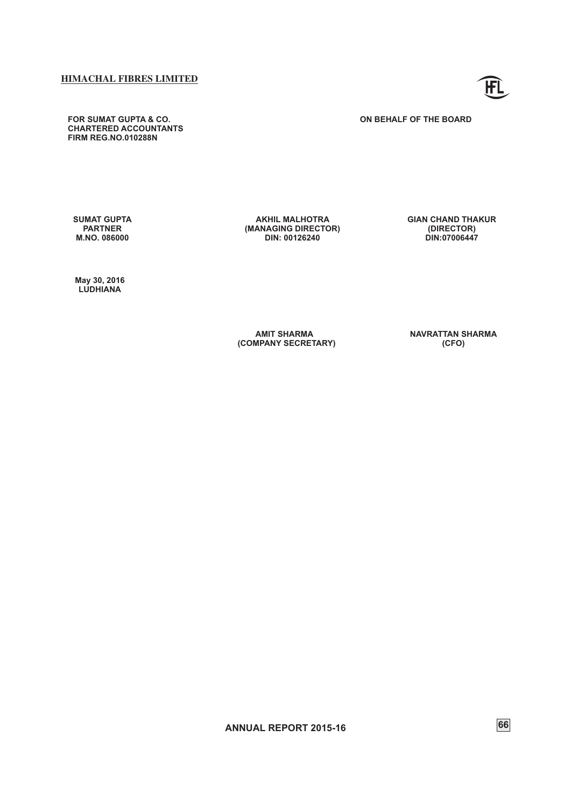**FOR SUMAT GUPTA & CO. CHARTERED ACCOUNTANTS FIRM REG.NO.010288N**

**SUMAT GUPTA PARTNER M.NO. 086000** 

**AKHIL MALHOTRA (MANAGING DIRECTOR) DIN: 00126240** 

**GIAN CHAND THAKUR (DIRECTOR) DIN:07006447**

 **May 30, 2016 LUDHIANA**

> **AMIT SHARMA (COMPANY SECRETARY)**

**NAVRATTAN SHARMA (CFO)**

**ANNUAL REPORT 2015-16** 66

![](_page_68_Picture_10.jpeg)

**ON BEHALF OF THE BOARD**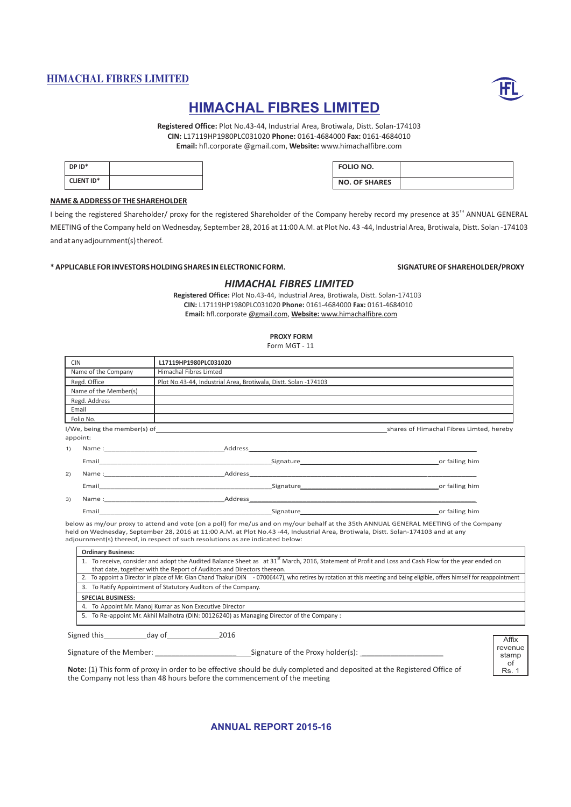![](_page_69_Picture_1.jpeg)

# **HIMACHAL FIBRES LIMITED**

**Registered Office:** Plot No.43-44, Industrial Area, Brotiwala, Distt. Solan-174103 **CIN:** L17119HP1980PLC031020 **Phone:** 0161-4684000 **Fax:** 0161-4684010 **Email:** hfl.corporate @gmail.com, **Website:** www.himachalfibre.com

| DP ID*            |  |
|-------------------|--|
| <b>CLIENT ID*</b> |  |
|                   |  |

| <b>FOLIO NO.</b>     |  |
|----------------------|--|
| <b>NO. OF SHARES</b> |  |

### **NAME & ADDRESS OF THE SHAREHOLDER**

I being the registered Shareholder/ proxy for the registered Shareholder of the Company hereby record my presence at 35<sup>TH</sup> ANNUAL GENERAL MEETING of the Company held on Wednesday, September 28, 2016 at 11:00 A.M. at Plot No. 43 -44, Industrial Area, Brotiwala, Distt. Solan -174103 and at any adjournment(s) thereof.

### **\* APPLICABLE FOR INVESTORS HOLDING SHARES IN ELECTRONIC FORM. SIGNATURE OF SHAREHOLDER/PROXY**

### *HIMACHAL FIBRES LIMITED*

**Registered Office:** Plot No.43-44, Industrial Area, Brotiwala, Distt. Solan-174103 **CIN:** L17119HP1980PLC031020 **Phone:** 0161-4684000 **Fax:** 0161-4684010 **Email:**  hfl.corporate @gmail.com, **Website:** www.himachalfibre.com

# **PROXY FORM**

Form MGT - 11

| <b>CIN</b> |                       | L17119HP1980PLC031020                                                                                                                                                                                                          |                                                                                                                                                                                                                                                  |
|------------|-----------------------|--------------------------------------------------------------------------------------------------------------------------------------------------------------------------------------------------------------------------------|--------------------------------------------------------------------------------------------------------------------------------------------------------------------------------------------------------------------------------------------------|
|            | Name of the Company   | <b>Himachal Fibres Limted</b>                                                                                                                                                                                                  |                                                                                                                                                                                                                                                  |
|            | Regd. Office          | Plot No.43-44, Industrial Area, Brotiwala, Distt. Solan -174103                                                                                                                                                                |                                                                                                                                                                                                                                                  |
|            | Name of the Member(s) |                                                                                                                                                                                                                                |                                                                                                                                                                                                                                                  |
|            | Regd. Address         |                                                                                                                                                                                                                                |                                                                                                                                                                                                                                                  |
|            | Email                 |                                                                                                                                                                                                                                |                                                                                                                                                                                                                                                  |
|            | Folio No.             |                                                                                                                                                                                                                                |                                                                                                                                                                                                                                                  |
|            |                       |                                                                                                                                                                                                                                | shares of Himachal Fibres Limted, hereby                                                                                                                                                                                                         |
|            | appoint:              |                                                                                                                                                                                                                                |                                                                                                                                                                                                                                                  |
| 1)         |                       |                                                                                                                                                                                                                                |                                                                                                                                                                                                                                                  |
|            |                       |                                                                                                                                                                                                                                |                                                                                                                                                                                                                                                  |
| 2)         |                       | Name : Address Address Address Address Address Address Address Address Address Address Address Address Address Address Address Address Address Address Address Address Address Address Address Address Address Address Address |                                                                                                                                                                                                                                                  |
|            |                       | Email Signature Signature Signature Signature Signature Signature Signature Signature Signature Signature Signature Signature Signature Signature Signature Signature Signature Signature Signature Signature Signature Signat | or failing him                                                                                                                                                                                                                                   |
| 3)         |                       |                                                                                                                                                                                                                                | Name : Address Address Address Address Address Address Address Address Address Address Address Address Address Address Address Address Address Address Address Address Address Address Address Address Address Address Address                   |
|            |                       | Email <b>Email Example 2014</b>                                                                                                                                                                                                | or failing him<br>Signature experience and the state of the state of the state of the state of the state of the state of the state of the state of the state of the state of the state of the state of the state of the state of the state of th |

below as my/our proxy to attend and vote (on a poll) for me/us and on my/our behalf at the 35th ANNUAL GENERAL MEETING of the Company held on Wednesday, September 28, 2016 at 11:00 A.M. at Plot No.43 -44, Industrial Area, Brotiwala, Distt. Solan-174103 and at any adjournment(s) thereof, in respect of such resolutions as are indicated below:

Signed this day of 2016

Signature of the Member: \_\_\_\_\_\_\_\_\_\_\_\_\_\_\_\_\_\_\_\_ Signature of the Proxy holder(s): \_\_\_\_\_\_\_\_\_\_\_\_\_\_\_\_\_\_\_\_

Affix revenue stamp  $\cap$ f Rs. 1

**Note:** (1) This form of proxy in order to be effective should be duly completed and deposited at the Registered Office of the Company not less than 48 hours before the commencement of the meeting

**ANNUAL REPORT 2015-16**